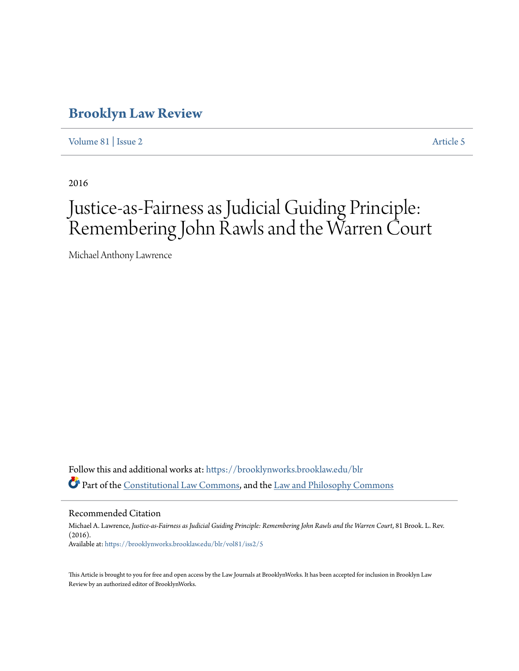## **[Brooklyn Law Review](https://brooklynworks.brooklaw.edu/blr?utm_source=brooklynworks.brooklaw.edu%2Fblr%2Fvol81%2Fiss2%2F5&utm_medium=PDF&utm_campaign=PDFCoverPages)**

[Volume 81](https://brooklynworks.brooklaw.edu/blr/vol81?utm_source=brooklynworks.brooklaw.edu%2Fblr%2Fvol81%2Fiss2%2F5&utm_medium=PDF&utm_campaign=PDFCoverPages) | [Issue 2](https://brooklynworks.brooklaw.edu/blr/vol81/iss2?utm_source=brooklynworks.brooklaw.edu%2Fblr%2Fvol81%2Fiss2%2F5&utm_medium=PDF&utm_campaign=PDFCoverPages) [Article 5](https://brooklynworks.brooklaw.edu/blr/vol81/iss2/5?utm_source=brooklynworks.brooklaw.edu%2Fblr%2Fvol81%2Fiss2%2F5&utm_medium=PDF&utm_campaign=PDFCoverPages)

2016

# Justice-as-Fairness as Judicial Guiding Principle: Remembering John Rawls and the Warren Court

Michael Anthony Lawrence

Follow this and additional works at: [https://brooklynworks.brooklaw.edu/blr](https://brooklynworks.brooklaw.edu/blr?utm_source=brooklynworks.brooklaw.edu%2Fblr%2Fvol81%2Fiss2%2F5&utm_medium=PDF&utm_campaign=PDFCoverPages) Part of the [Constitutional Law Commons,](http://network.bepress.com/hgg/discipline/589?utm_source=brooklynworks.brooklaw.edu%2Fblr%2Fvol81%2Fiss2%2F5&utm_medium=PDF&utm_campaign=PDFCoverPages) and the [Law and Philosophy Commons](http://network.bepress.com/hgg/discipline/1299?utm_source=brooklynworks.brooklaw.edu%2Fblr%2Fvol81%2Fiss2%2F5&utm_medium=PDF&utm_campaign=PDFCoverPages)

Recommended Citation

Michael A. Lawrence, *Justice-as-Fairness as Judicial Guiding Principle: Remembering John Rawls and the Warren Court*, 81 Brook. L. Rev. (2016). Available at: [https://brooklynworks.brooklaw.edu/blr/vol81/iss2/5](https://brooklynworks.brooklaw.edu/blr/vol81/iss2/5?utm_source=brooklynworks.brooklaw.edu%2Fblr%2Fvol81%2Fiss2%2F5&utm_medium=PDF&utm_campaign=PDFCoverPages)

This Article is brought to you for free and open access by the Law Journals at BrooklynWorks. It has been accepted for inclusion in Brooklyn Law Review by an authorized editor of BrooklynWorks.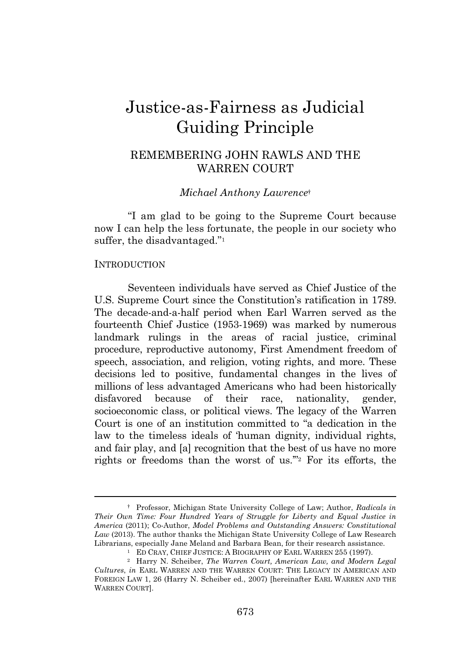## Justice-as-Fairness as Judicial Guiding Principle

### REMEMBERING JOHN RAWLS AND THE WARREN COURT

#### *Michael Anthony Lawrence*†

"I am glad to be going to the Supreme Court because now I can help the less fortunate, the people in our society who suffer, the disadvantaged." 1

#### **INTRODUCTION**

Seventeen individuals have served as Chief Justice of the U.S. Supreme Court since the Constitution's ratification in 1789. The decade-and-a-half period when Earl Warren served as the fourteenth Chief Justice (1953-1969) was marked by numerous landmark rulings in the areas of racial justice, criminal procedure, reproductive autonomy, First Amendment freedom of speech, association, and religion, voting rights, and more. These decisions led to positive, fundamental changes in the lives of millions of less advantaged Americans who had been historically disfavored because of their race, nationality, gender, socioeconomic class, or political views. The legacy of the Warren Court is one of an institution committed to "a dedication in the law to the timeless ideals of 'human dignity, individual rights, and fair play, and [a] recognition that the best of us have no more rights or freedoms than the worst of us.'" <sup>2</sup> For its efforts, the

<sup>†</sup> Professor, Michigan State University College of Law; Author, *Radicals in Their Own Time: Four Hundred Years of Struggle for Liberty and Equal Justice in America* (2011); Co-Author, *Model Problems and Outstanding Answers: Constitutional Law* (2013). The author thanks the Michigan State University College of Law Research Librarians, especially Jane Meland and Barbara Bean, for their research assistance.

<sup>&</sup>lt;sup>1</sup> ED CRAY, CHIEF JUSTICE: A BIOGRAPHY OF EARL WARREN 255 (1997).

<sup>2</sup> Harry N. Scheiber, *The Warren Court, American Law, and Modern Legal Cultures*, *in* EARL WARREN AND THE WARREN COURT: THE LEGACY IN AMERICAN AND FOREIGN LAW 1, 26 (Harry N. Scheiber ed., 2007) [hereinafter EARL WARREN AND THE WARREN COURT].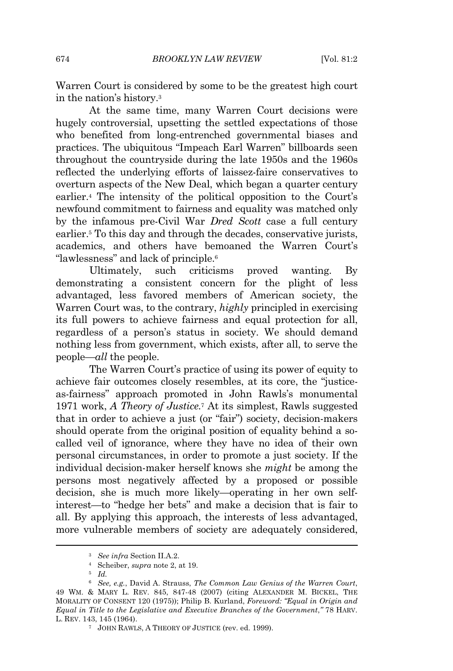Warren Court is considered by some to be the greatest high court in the nation's history.<sup>3</sup>

At the same time, many Warren Court decisions were hugely controversial, upsetting the settled expectations of those who benefited from long-entrenched governmental biases and practices. The ubiquitous "Impeach Earl Warren" billboards seen throughout the countryside during the late 1950s and the 1960s reflected the underlying efforts of laissez-faire conservatives to overturn aspects of the New Deal, which began a quarter century earlier.<sup>4</sup> The intensity of the political opposition to the Court's newfound commitment to fairness and equality was matched only by the infamous pre-Civil War *Dred Scott* case a full century earlier.<sup>5</sup> To this day and through the decades, conservative jurists, academics, and others have bemoaned the Warren Court's "lawlessness" and lack of principle.<sup>6</sup>

Ultimately, such criticisms proved wanting. By demonstrating a consistent concern for the plight of less advantaged, less favored members of American society, the Warren Court was, to the contrary, *highly* principled in exercising its full powers to achieve fairness and equal protection for all, regardless of a person's status in society. We should demand nothing less from government, which exists, after all, to serve the people—*all* the people.

The Warren Court's practice of using its power of equity to achieve fair outcomes closely resembles, at its core, the "justiceas-fairness" approach promoted in John Rawls's monumental 1971 work, *A Theory of Justice.*<sup>7</sup> At its simplest, Rawls suggested that in order to achieve a just (or "fair") society, decision-makers should operate from the original position of equality behind a socalled veil of ignorance, where they have no idea of their own personal circumstances, in order to promote a just society. If the individual decision-maker herself knows she *might* be among the persons most negatively affected by a proposed or possible decision, she is much more likely—operating in her own selfinterest—to "hedge her bets" and make a decision that is fair to all. By applying this approach, the interests of less advantaged, more vulnerable members of society are adequately considered,

<sup>5</sup> *Id.*

<sup>3</sup> *See infra* Section II.A.2.

<sup>4</sup> Scheiber, *supra* note 2, at 19.

<sup>6</sup> *See, e.g.*, David A. Strauss, *The Common Law Genius of the Warren Court*, 49 WM. & MARY L. REV. 845, 847-48 (2007) (citing ALEXANDER M. BICKEL, THE MORALITY OF CONSENT 120 (1975)); Philip B. Kurland, *Foreword: "Equal in Origin and Equal in Title to the Legislative and Executive Branches of the Government*,*"* 78 HARV. L. REV. 143, 145 (1964).

<sup>7</sup> JOHN RAWLS, A THEORY OF JUSTICE (rev. ed. 1999).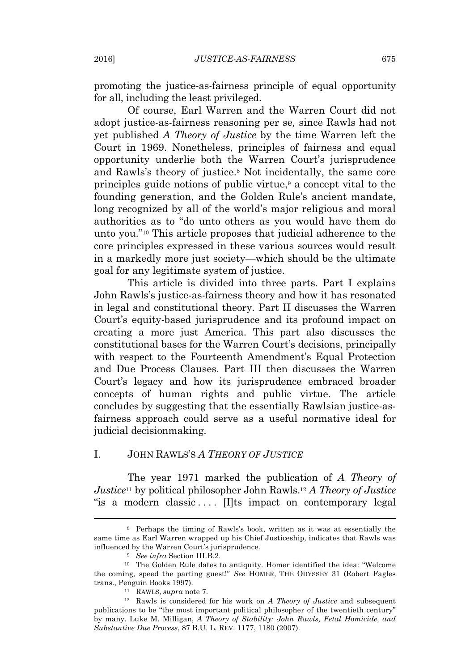promoting the justice-as-fairness principle of equal opportunity for all, including the least privileged.

Of course, Earl Warren and the Warren Court did not adopt justice-as-fairness reasoning per se*,* since Rawls had not yet published *A Theory of Justice* by the time Warren left the Court in 1969. Nonetheless, principles of fairness and equal opportunity underlie both the Warren Court's jurisprudence and Rawls's theory of justice.<sup>8</sup> Not incidentally, the same core principles guide notions of public virtue,<sup>9</sup> a concept vital to the founding generation, and the Golden Rule's ancient mandate, long recognized by all of the world's major religious and moral authorities as to "do unto others as you would have them do unto you." <sup>10</sup> This article proposes that judicial adherence to the core principles expressed in these various sources would result in a markedly more just society—which should be the ultimate goal for any legitimate system of justice.

This article is divided into three parts. Part I explains John Rawls's justice-as-fairness theory and how it has resonated in legal and constitutional theory. Part II discusses the Warren Court's equity-based jurisprudence and its profound impact on creating a more just America. This part also discusses the constitutional bases for the Warren Court's decisions, principally with respect to the Fourteenth Amendment's Equal Protection and Due Process Clauses. Part III then discusses the Warren Court's legacy and how its jurisprudence embraced broader concepts of human rights and public virtue. The article concludes by suggesting that the essentially Rawlsian justice-asfairness approach could serve as a useful normative ideal for judicial decisionmaking.

#### I. JOHN RAWLS'S *A THEORY OF JUSTICE*

The year 1971 marked the publication of *A Theory of Justice*<sup>11</sup> by political philosopher John Rawls.<sup>12</sup> *A Theory of Justice* "is a modern classic .... [I]ts impact on contemporary legal

<sup>8</sup> Perhaps the timing of Rawls's book, written as it was at essentially the same time as Earl Warren wrapped up his Chief Justiceship, indicates that Rawls was influenced by the Warren Court's jurisprudence.

<sup>9</sup> *See infra* Section III.B.2.

<sup>10</sup> The Golden Rule dates to antiquity. Homer identified the idea: "Welcome the coming, speed the parting guest!" *See* HOMER, THE ODYSSEY 31 (Robert Fagles trans., Penguin Books 1997).

<sup>11</sup> RAWLS, *supra* note 7.

<sup>12</sup> Rawls is considered for his work on *A Theory of Justice* and subsequent publications to be "the most important political philosopher of the twentieth century" by many. Luke M. Milligan, *A Theory of Stability: John Rawls, Fetal Homicide, and Substantive Due Process*, 87 B.U. L. REV. 1177, 1180 (2007).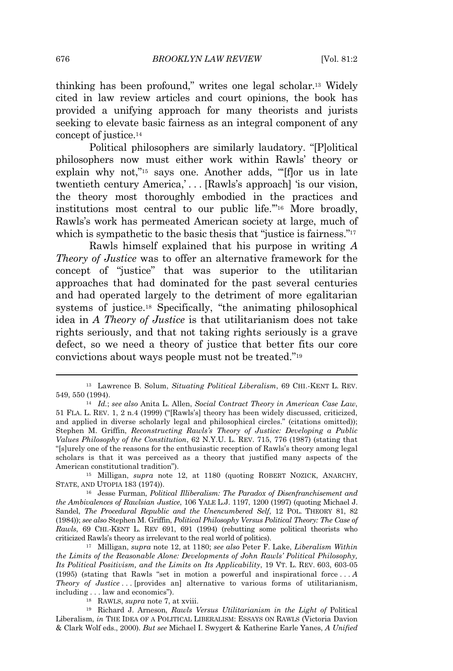thinking has been profound," writes one legal scholar.<sup>13</sup> Widely cited in law review articles and court opinions, the book has provided a unifying approach for many theorists and jurists seeking to elevate basic fairness as an integral component of any concept of justice.<sup>14</sup>

Political philosophers are similarly laudatory. "[P]olitical philosophers now must either work within Rawls' theory or explain why not,"<sup>15</sup> says one. Another adds, "[f]or us in late twentieth century America,' . . . [Rawls's approach] 'is our vision, the theory most thoroughly embodied in the practices and institutions most central to our public life.'" <sup>16</sup> More broadly, Rawls's work has permeated American society at large, much of which is sympathetic to the basic thesis that "justice is fairness."<sup>17</sup>

Rawls himself explained that his purpose in writing *A Theory of Justice* was to offer an alternative framework for the concept of "justice" that was superior to the utilitarian approaches that had dominated for the past several centuries and had operated largely to the detriment of more egalitarian systems of justice.<sup>18</sup> Specifically, "the animating philosophical idea in *A Theory of Justice* is that utilitarianism does not take rights seriously, and that not taking rights seriously is a grave defect, so we need a theory of justice that better fits our core convictions about ways people must not be treated." 19

<sup>15</sup> Milligan, *supra* note 12, at 1180 (quoting ROBERT NOZICK, ANARCHY, STATE, AND UTOPIA 183 (1974)).

<sup>16</sup> Jesse Furman, *Political Illiberalism: The Paradox of Disenfranchisement and the Ambivalences of Rawlsian Justice*, 106 YALE L.J. 1197, 1200 (1997) (quoting Michael J. Sandel, *The Procedural Republic and the Unencumbered Self*, 12 POL. THEORY 81, 82 (1984)); *see also* Stephen M. Griffin, *Political Philosophy Versus Political Theory: The Case of Rawls*, 69 CHI.-KENT L. REV 691, 691 (1994) (rebutting some political theorists who criticized Rawls's theory as irrelevant to the real world of politics).

<sup>17</sup> Milligan, *supra* note 12, at 1180; *see also* Peter F. Lake, *Liberalism Within the Limits of the Reasonable Alone: Developments of John Rawls' Political Philosophy, Its Political Positivism, and the Limits on Its Applicability*, 19 VT. L. REV. 603, 603-05 (1995) (stating that Rawls "set in motion a powerful and inspirational force . . . *A Theory of Justice* . . . [provides an] alternative to various forms of utilitarianism, including . . . law and economics").

<sup>18</sup> RAWLS, *supra* note 7, at xviii.

<sup>19</sup> Richard J. Arneson, *Rawls Versus Utilitarianism in the Light of* Political Liberalism, *in* THE IDEA OF A POLITICAL LIBERALISM: ESSAYS ON RAWLS (Victoria Davion & Clark Wolf eds., 2000). *But see* Michael I. Swygert & Katherine Earle Yanes, *A Unified*

<sup>13</sup> Lawrence B. Solum, *Situating Political Liberalism*, 69 CHI.-KENT L. REV. 549, 550 (1994).

<sup>14</sup> *Id.*; *see also* Anita L. Allen, *Social Contract Theory in American Case Law*, 51 FLA. L. REV. 1, 2 n.4 (1999) ("[Rawls's] theory has been widely discussed, criticized, and applied in diverse scholarly legal and philosophical circles." (citations omitted)); Stephen M. Griffin, *Reconstructing Rawls's Theory of Justice: Developing a Public Values Philosophy of the Constitution*, 62 N.Y.U. L. REV. 715, 776 (1987) (stating that "[s]urely one of the reasons for the enthusiastic reception of Rawls's theory among legal scholars is that it was perceived as a theory that justified many aspects of the American constitutional tradition").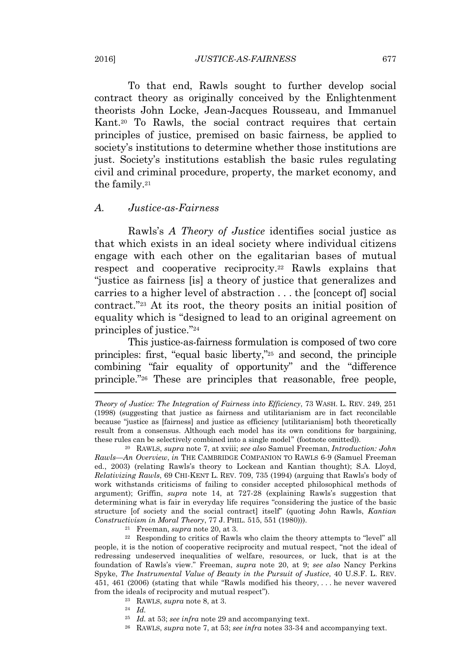To that end, Rawls sought to further develop social contract theory as originally conceived by the Enlightenment theorists John Locke, Jean-Jacques Rousseau, and Immanuel Kant.<sup>20</sup> To Rawls, the social contract requires that certain principles of justice, premised on basic fairness, be applied to society's institutions to determine whether those institutions are just. Society's institutions establish the basic rules regulating civil and criminal procedure, property, the market economy, and the family.<sup>21</sup>

#### *A. Justice-as-Fairness*

Rawls's *A Theory of Justice* identifies social justice as that which exists in an ideal society where individual citizens engage with each other on the egalitarian bases of mutual respect and cooperative reciprocity.<sup>22</sup> Rawls explains that "justice as fairness [is] a theory of justice that generalizes and carries to a higher level of abstraction . . . the [concept of] social contract." <sup>23</sup> At its root, the theory posits an initial position of equality which is "designed to lead to an original agreement on principles of justice." 24

This justice-as-fairness formulation is composed of two core principles: first, "equal basic liberty," <sup>25</sup> and second, the principle combining "fair equality of opportunity" and the "difference principle." <sup>26</sup> These are principles that reasonable, free people,

- <sup>23</sup> RAWLS, *supra* note 8, at 3.
- <sup>24</sup> *Id.*
- <sup>25</sup> *Id.* at 53; *see infra* note 29 and accompanying text.
- <sup>26</sup> RAWLS, *supra* note 7, at 53; *see infra* notes 33-34 and accompanying text.

*Theory of Justice: The Integration of Fairness into Efficiency*, 73 WASH. L. REV. 249, 251 (1998) (suggesting that justice as fairness and utilitarianism are in fact reconcilable because "justice as [fairness] and justice as efficiency [utilitarianism] both theoretically result from a consensus. Although each model has its own conditions for bargaining, these rules can be selectively combined into a single model" (footnote omitted)).

<sup>20</sup> RAWLS, *supra* note 7, at xviii; *see also* Samuel Freeman, *Introduction: John Rawls—An Overview*, *in* THE CAMBRIDGE COMPANION TO RAWLS 6-9 (Samuel Freeman ed., 2003) (relating Rawls's theory to Lockean and Kantian thought); S.A. Lloyd, *Relativizing Rawls*, 69 CHI-KENT L. REV. 709, 735 (1994) (arguing that Rawls's body of work withstands criticisms of failing to consider accepted philosophical methods of argument); Griffin, *supra* note 14, at 727-28 (explaining Rawls's suggestion that determining what is fair in everyday life requires "considering the justice of the basic structure [of society and the social contract] itself" (quoting John Rawls, *Kantian Constructivism in Moral Theory*, 77 J. PHIL. 515, 551 (1980))).

<sup>21</sup> Freeman, *supra* note 20, at 3.

<sup>22</sup> Responding to critics of Rawls who claim the theory attempts to "level" all people, it is the notion of cooperative reciprocity and mutual respect, "not the ideal of redressing undeserved inequalities of welfare, resources, or luck, that is at the foundation of Rawls's view." Freeman, *supra* note 20, at 9; *see also* Nancy Perkins Spyke, *The Instrumental Value of Beauty in the Pursuit of Justice*, 40 U.S.F. L. REV. 451, 461 (2006) (stating that while "Rawls modified his theory, . . . he never wavered from the ideals of reciprocity and mutual respect").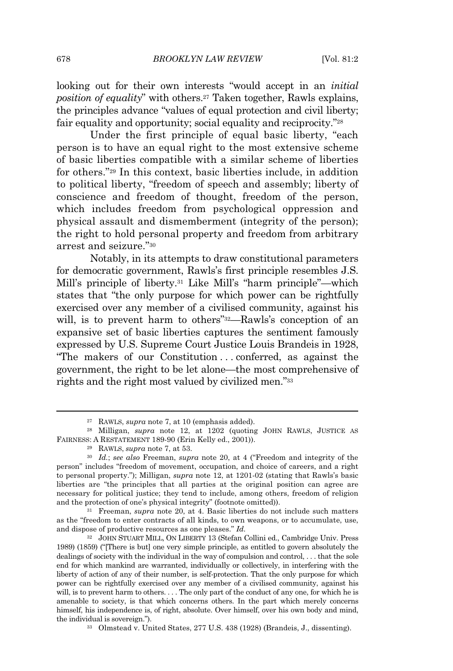looking out for their own interests "would accept in an *initial position of equality*" with others.<sup>27</sup> Taken together, Rawls explains, the principles advance "values of equal protection and civil liberty; fair equality and opportunity; social equality and reciprocity."<sup>28</sup>

Under the first principle of equal basic liberty, "each person is to have an equal right to the most extensive scheme of basic liberties compatible with a similar scheme of liberties for others." <sup>29</sup> In this context, basic liberties include, in addition to political liberty, "freedom of speech and assembly; liberty of conscience and freedom of thought, freedom of the person, which includes freedom from psychological oppression and physical assault and dismemberment (integrity of the person); the right to hold personal property and freedom from arbitrary arrest and seizure." 30

Notably, in its attempts to draw constitutional parameters for democratic government, Rawls's first principle resembles J.S. Mill's principle of liberty.<sup>31</sup> Like Mill's "harm principle"—which states that "the only purpose for which power can be rightfully exercised over any member of a civilised community, against his will, is to prevent harm to others" <sup>32</sup>—Rawls's conception of an expansive set of basic liberties captures the sentiment famously expressed by U.S. Supreme Court Justice Louis Brandeis in 1928, "The makers of our Constitution . . . conferred, as against the government, the right to be let alone—the most comprehensive of rights and the right most valued by civilized men." 33

<sup>31</sup> Freeman, *supra* note 20, at 4. Basic liberties do not include such matters as the "freedom to enter contracts of all kinds, to own weapons, or to accumulate, use, and dispose of productive resources as one pleases." *Id.*

<sup>27</sup> RAWLS, *supra* note 7, at 10 (emphasis added).

<sup>28</sup> Milligan, *supra* note 12, at 1202 (quoting JOHN RAWLS, JUSTICE AS FAIRNESS: A RESTATEMENT 189-90 (Erin Kelly ed., 2001)).

<sup>29</sup> RAWLS, *supra* note 7, at 53.

<sup>30</sup> *Id.*; *see also* Freeman, *supra* note 20, at 4 ("Freedom and integrity of the person" includes "freedom of movement, occupation, and choice of careers, and a right to personal property."); Milligan, *supra* note 12, at 1201-02 (stating that Rawls's basic liberties are "the principles that all parties at the original position can agree are necessary for political justice; they tend to include, among others, freedom of religion and the protection of one's physical integrity" (footnote omitted)).

<sup>32</sup> JOHN STUART MILL, ON LIBERTY 13 (Stefan Collini ed., Cambridge Univ. Press 1989) (1859) ("[There is but] one very simple principle, as entitled to govern absolutely the dealings of society with the individual in the way of compulsion and control, . . . that the sole end for which mankind are warranted, individually or collectively, in interfering with the liberty of action of any of their number, is self-protection. That the only purpose for which power can be rightfully exercised over any member of a civilised community, against his will, is to prevent harm to others. . . . The only part of the conduct of any one, for which he is amenable to society, is that which concerns others. In the part which merely concerns himself, his independence is, of right, absolute. Over himself, over his own body and mind, the individual is sovereign.").

<sup>33</sup> Olmstead v. United States, 277 U.S. 438 (1928) (Brandeis, J., dissenting).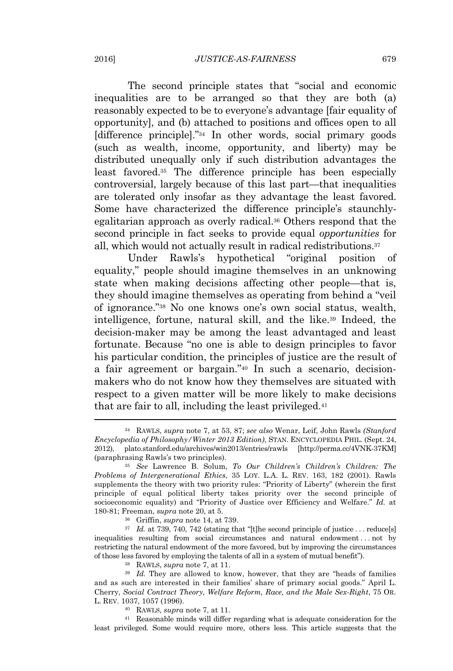The second principle states that "social and economic inequalities are to be arranged so that they are both (a) reasonably expected to be to everyone's advantage [fair equality of opportunity], and (b) attached to positions and offices open to all [difference principle]." <sup>34</sup> In other words, social primary goods (such as wealth, income, opportunity, and liberty) may be distributed unequally only if such distribution advantages the least favored.<sup>35</sup> The difference principle has been especially controversial, largely because of this last part—that inequalities are tolerated only insofar as they advantage the least favored. Some have characterized the difference principle's staunchlyegalitarian approach as overly radical.<sup>36</sup> Others respond that the second principle in fact seeks to provide equal *opportunities* for all, which would not actually result in radical redistributions.<sup>37</sup>

Under Rawls's hypothetical "original position of equality," people should imagine themselves in an unknowing state when making decisions affecting other people—that is, they should imagine themselves as operating from behind a "veil of ignorance." <sup>38</sup> No one knows one's own social status, wealth, intelligence, fortune, natural skill, and the like.<sup>39</sup> Indeed, the decision-maker may be among the least advantaged and least fortunate. Because "no one is able to design principles to favor his particular condition, the principles of justice are the result of a fair agreement or bargain." <sup>40</sup> In such a scenario, decisionmakers who do not know how they themselves are situated with respect to a given matter will be more likely to make decisions that are fair to all, including the least privileged.<sup>41</sup>

<sup>41</sup> Reasonable minds will differ regarding what is adequate consideration for the least privileged. Some would require more, others less. This article suggests that the

<sup>34</sup> RAWLS, *supra* note 7, at 53, 87; *see also* Wenar, Leif, John Rawls *(Stanford Encyclopedia of Philosophy/Winter 2013 Edition)*, STAN. ENCYCLOPEDIA PHIL. (Sept. 24, 2012), plato.stanford.edu/archives/win2013/entries/rawls [http://perma.cc/4VNK-37KM] (paraphrasing Rawls's two principles).

<sup>35</sup> *See* Lawrence B. Solum, *To Our Children's Children's Children: The Problems of Intergenerational Ethics*, 35 LOY. L.A. L. REV. 163, 182 (2001). Rawls supplements the theory with two priority rules: "Priority of Liberty" (wherein the first principle of equal political liberty takes priority over the second principle of socioeconomic equality) and "Priority of Justice over Efficiency and Welfare." *Id.* at 180-81; Freeman, *supra* note 20, at 5.

<sup>36</sup> Griffin, *supra* note 14, at 739.

<sup>&</sup>lt;sup>37</sup> *Id.* at 739, 740, 742 (stating that "[t]he second principle of justice . . . reduce[s] inequalities resulting from social circumstances and natural endowment . . . not by restricting the natural endowment of the more favored, but by improving the circumstances of those less favored by employing the talents of all in a system of mutual benefit").

<sup>38</sup> RAWLS, *supra* note 7, at 11.

<sup>&</sup>lt;sup>39</sup> *Id.* They are allowed to know, however, that they are "heads of families and as such are interested in their families' share of primary social goods." April L. Cherry, *Social Contract Theory, Welfare Reform, Race, and the Male Sex-Right*, 75 OR. L. REV. 1037, 1057 (1996).

<sup>40</sup> RAWLS, *supra* note 7, at 11.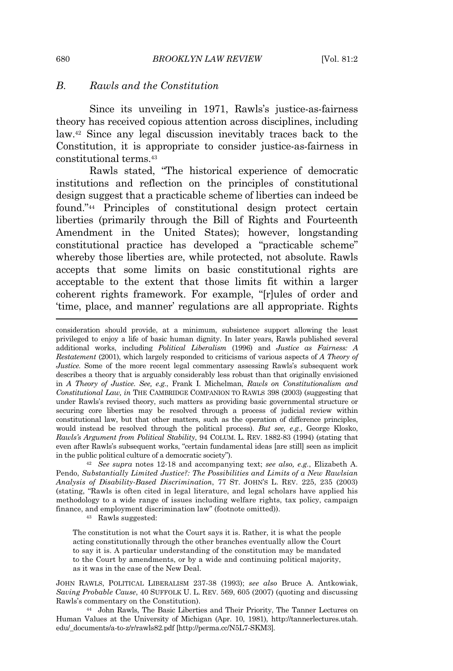#### *B. Rawls and the Constitution*

Since its unveiling in 1971, Rawls's justice-as-fairness theory has received copious attention across disciplines, including law.<sup>42</sup> Since any legal discussion inevitably traces back to the Constitution, it is appropriate to consider justice-as-fairness in constitutional terms.<sup>43</sup>

Rawls stated, "The historical experience of democratic institutions and reflection on the principles of constitutional design suggest that a practicable scheme of liberties can indeed be found." <sup>44</sup> Principles of constitutional design protect certain liberties (primarily through the Bill of Rights and Fourteenth Amendment in the United States); however, longstanding constitutional practice has developed a "practicable scheme" whereby those liberties are, while protected, not absolute. Rawls accepts that some limits on basic constitutional rights are acceptable to the extent that those limits fit within a larger coherent rights framework. For example, "[r]ules of order and 'time, place, and manner' regulations are all appropriate. Rights

consideration should provide, at a minimum, subsistence support allowing the least privileged to enjoy a life of basic human dignity. In later years, Rawls published several additional works, including *Political Liberalism* (1996) and *Justice as Fairness: A Restatement* (2001), which largely responded to criticisms of various aspects of *A Theory of Justice.* Some of the more recent legal commentary assessing Rawls's subsequent work describes a theory that is arguably considerably less robust than that originally envisioned in *A Theory of Justice*. *See, e.g.*, Frank I. Michelman, *Rawls on Constitutionalism and Constitutional Law, in* THE CAMBRIDGE COMPANION TO RAWLS 398 (2003) (suggesting that under Rawls's revised theory, such matters as providing basic governmental structure or securing core liberties may be resolved through a process of judicial review within constitutional law, but that other matters, such as the operation of difference principles, would instead be resolved through the political process). *But see, e.g.*, George Klosko, *Rawls's Argument from Political Stability*, 94 COLUM. L. REV. 1882-83 (1994) (stating that even after Rawls's subsequent works, "certain fundamental ideas [are still] seen as implicit in the public political culture of a democratic society").

<sup>42</sup> *See supra* notes 12-18 and accompanying text; *see also, e.g.*, Elizabeth A. Pendo, *Substantially Limited Justice?: The Possibilities and Limits of a New Rawlsian Analysis of Disability-Based Discrimination*, 77 ST. JOHN'S L. REV. 225, 235 (2003) (stating, "Rawls is often cited in legal literature, and legal scholars have applied his methodology to a wide range of issues including welfare rights, tax policy, campaign finance, and employment discrimination law" (footnote omitted)).

<sup>43</sup> Rawls suggested:

The constitution is not what the Court says it is. Rather, it is what the people acting constitutionally through the other branches eventually allow the Court to say it is. A particular understanding of the constitution may be mandated to the Court by amendments, or by a wide and continuing political majority, as it was in the case of the New Deal.

JOHN RAWLS, POLITICAL LIBERALISM 237-38 (1993); *see also* Bruce A. Antkowiak, *Saving Probable Cause*, 40 SUFFOLK U. L. REV. 569, 605 (2007) (quoting and discussing Rawls's commentary on the Constitution).

<sup>44</sup> John Rawls, The Basic Liberties and Their Priority, The Tanner Lectures on Human Values at the University of Michigan (Apr. 10, 1981), http://tannerlectures.utah. edu/\_documents/a-to-z/r/rawls82.pdf [http://perma.cc/N5L7-SKM3]*.*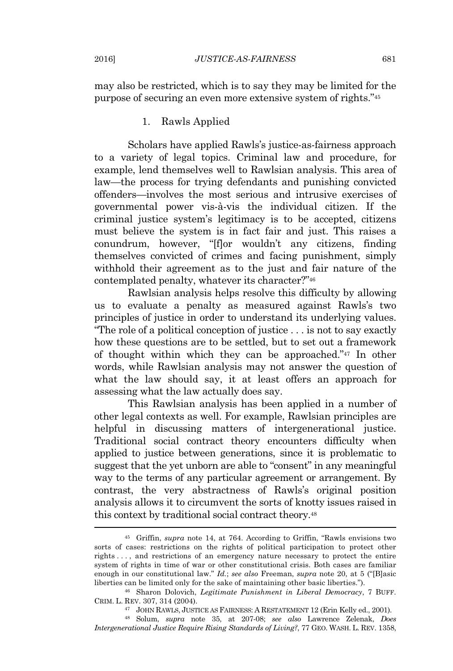may also be restricted, which is to say they may be limited for the purpose of securing an even more extensive system of rights." 45

#### 1. Rawls Applied

Scholars have applied Rawls's justice-as-fairness approach to a variety of legal topics. Criminal law and procedure, for example, lend themselves well to Rawlsian analysis. This area of law—the process for trying defendants and punishing convicted offenders—involves the most serious and intrusive exercises of governmental power vis-à-vis the individual citizen. If the criminal justice system's legitimacy is to be accepted, citizens must believe the system is in fact fair and just. This raises a conundrum, however, "[f]or wouldn't any citizens, finding themselves convicted of crimes and facing punishment, simply withhold their agreement as to the just and fair nature of the contemplated penalty, whatever its character?" 46

Rawlsian analysis helps resolve this difficulty by allowing us to evaluate a penalty as measured against Rawls's two principles of justice in order to understand its underlying values. "The role of a political conception of justice . . . is not to say exactly how these questions are to be settled, but to set out a framework of thought within which they can be approached." <sup>47</sup> In other words, while Rawlsian analysis may not answer the question of what the law should say, it at least offers an approach for assessing what the law actually does say.

This Rawlsian analysis has been applied in a number of other legal contexts as well. For example, Rawlsian principles are helpful in discussing matters of intergenerational justice. Traditional social contract theory encounters difficulty when applied to justice between generations, since it is problematic to suggest that the yet unborn are able to "consent" in any meaningful way to the terms of any particular agreement or arrangement. By contrast, the very abstractness of Rawls's original position analysis allows it to circumvent the sorts of knotty issues raised in this context by traditional social contract theory.<sup>48</sup>

<sup>45</sup> Griffin, *supra* note 14, at 764. According to Griffin, "Rawls envisions two sorts of cases: restrictions on the rights of political participation to protect other rights . . . , and restrictions of an emergency nature necessary to protect the entire system of rights in time of war or other constitutional crisis. Both cases are familiar enough in our constitutional law." *Id.*; *see also* Freeman, *supra* note 20, at 5 ("[B]asic liberties can be limited only for the sake of maintaining other basic liberties.").

<sup>46</sup> Sharon Dolovich, *Legitimate Punishment in Liberal Democracy*, 7 BUFF. CRIM. L. REV. 307, 314 (2004).

<sup>47</sup> JOHN RAWLS, JUSTICE AS FAIRNESS: A RESTATEMENT 12 (Erin Kelly ed., 2001).

<sup>48</sup> Solum, *supra* note 35, at 207-08; *see also* Lawrence Zelenak, *Does Intergenerational Justice Require Rising Standards of Living?*, 77 GEO. WASH. L. REV. 1358,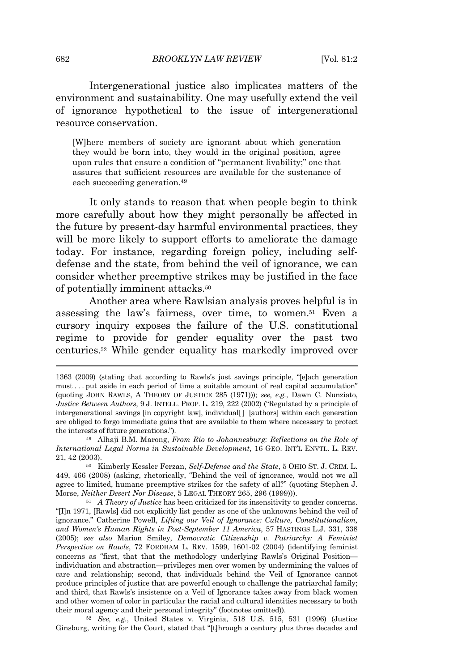Intergenerational justice also implicates matters of the environment and sustainability. One may usefully extend the veil of ignorance hypothetical to the issue of intergenerational resource conservation.

[W]here members of society are ignorant about which generation they would be born into, they would in the original position, agree upon rules that ensure a condition of "permanent livability;" one that assures that sufficient resources are available for the sustenance of each succeeding generation.<sup>49</sup>

It only stands to reason that when people begin to think more carefully about how they might personally be affected in the future by present-day harmful environmental practices, they will be more likely to support efforts to ameliorate the damage today. For instance, regarding foreign policy, including selfdefense and the state, from behind the veil of ignorance, we can consider whether preemptive strikes may be justified in the face of potentially imminent attacks.<sup>50</sup>

Another area where Rawlsian analysis proves helpful is in assessing the law's fairness, over time, to women.<sup>51</sup> Even a cursory inquiry exposes the failure of the U.S. constitutional regime to provide for gender equality over the past two centuries.<sup>52</sup> While gender equality has markedly improved over

<sup>52</sup> *See, e.g.*, United States v. Virginia, 518 U.S. 515, 531 (1996) (Justice Ginsburg, writing for the Court, stated that "[t]hrough a century plus three decades and

<sup>1363 (2009)</sup> (stating that according to Rawls's just savings principle, "[e]ach generation must . . . put aside in each period of time a suitable amount of real capital accumulation" (quoting JOHN RAWLS, A THEORY OF JUSTICE 285 (1971))); *see, e.g.*, Dawn C. Nunziato, *Justice Between Authors*, 9 J. INTELL. PROP. L. 219, 222 (2002) ("Regulated by a principle of intergenerational savings [in copyright law], individual[ ] [authors] within each generation are obliged to forgo immediate gains that are available to them where necessary to protect the interests of future generations.").

<sup>49</sup> Alhaji B.M. Marong, *From Rio to Johannesburg: Reflections on the Role of International Legal Norms in Sustainable Development*, 16 GEO. INT'L ENVTL. L. REV. 21, 42 (2003).

<sup>50</sup> Kimberly Kessler Ferzan, *Self-Defense and the State*, 5 OHIO ST. J. CRIM. L. 449, 466 (2008) (asking, rhetorically, "Behind the veil of ignorance, would not we all agree to limited, humane preemptive strikes for the safety of all?" (quoting Stephen J. Morse, *Neither Desert Nor Disease*, 5 LEGAL THEORY 265, 296 (1999))).

<sup>51</sup> *A Theory of Justice* has been criticized for its insensitivity to gender concerns. "[I]n 1971, [Rawls] did not explicitly list gender as one of the unknowns behind the veil of ignorance." Catherine Powell, *Lifting our Veil of Ignorance: Culture, Constitutionalism, and Women's Human Rights in Post-September 11 America*, 57 HASTINGS L.J. 331, 338 (2005); *see also* Marion Smiley, *Democratic Citizenship v. Patriarchy: A Feminist Perspective on Rawls*, 72 FORDHAM L. REV. 1599, 1601-02 (2004) (identifying feminist concerns as "first, that that the methodology underlying Rawls's Original Position individuation and abstraction—privileges men over women by undermining the values of care and relationship; second, that individuals behind the Veil of Ignorance cannot produce principles of justice that are powerful enough to challenge the patriarchal family; and third, that Rawls's insistence on a Veil of Ignorance takes away from black women and other women of color in particular the racial and cultural identities necessary to both their moral agency and their personal integrity" (footnotes omitted)).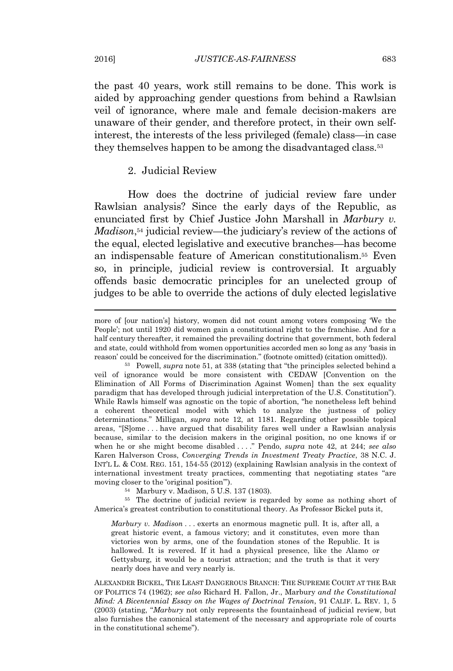the past 40 years, work still remains to be done. This work is aided by approaching gender questions from behind a Rawlsian veil of ignorance, where male and female decision-makers are unaware of their gender, and therefore protect, in their own selfinterest, the interests of the less privileged (female) class—in case they themselves happen to be among the disadvantaged class.<sup>53</sup>

#### 2. Judicial Review

How does the doctrine of judicial review fare under Rawlsian analysis? Since the early days of the Republic, as enunciated first by Chief Justice John Marshall in *Marbury v. Madison*, <sup>54</sup> judicial review—the judiciary's review of the actions of the equal, elected legislative and executive branches—has become an indispensable feature of American constitutionalism.<sup>55</sup> Even so, in principle, judicial review is controversial. It arguably offends basic democratic principles for an unelected group of judges to be able to override the actions of duly elected legislative

<sup>54</sup> Marbury v. Madison, 5 U.S. 137 (1803).

<sup>55</sup> The doctrine of judicial review is regarded by some as nothing short of America's greatest contribution to constitutional theory. As Professor Bickel puts it,

*Marbury v. Madison . . .* exerts an enormous magnetic pull. It is, after all, a great historic event, a famous victory; and it constitutes, even more than victories won by arms, one of the foundation stones of the Republic. It is hallowed. It is revered. If it had a physical presence, like the Alamo or Gettysburg, it would be a tourist attraction; and the truth is that it very nearly does have and very nearly is.

ALEXANDER BICKEL, THE LEAST DANGEROUS BRANCH: THE SUPREME COURT AT THE BAR OF POLITICS 74 (1962); *see also* Richard H. Fallon, Jr., Marbury *and the Constitutional Mind: A Bicentennial Essay on the Wages of Doctrinal Tension*, 91 CALIF. L. REV. 1, 5 (2003) (stating, "*Marbury* not only represents the fountainhead of judicial review, but also furnishes the canonical statement of the necessary and appropriate role of courts in the constitutional scheme").

more of [our nation's] history, women did not count among voters composing 'We the People'; not until 1920 did women gain a constitutional right to the franchise. And for a half century thereafter, it remained the prevailing doctrine that government, both federal and state, could withhold from women opportunities accorded men so long as any 'basis in reason' could be conceived for the discrimination." (footnote omitted) (citation omitted)).

<sup>53</sup> Powell, *supra* note 51, at 338 (stating that "the principles selected behind a veil of ignorance would be more consistent with CEDAW [Convention on the Elimination of All Forms of Discrimination Against Women] than the sex equality paradigm that has developed through judicial interpretation of the U.S. Constitution"). While Rawls himself was agnostic on the topic of abortion, "he nonetheless left behind a coherent theoretical model with which to analyze the justness of policy determinations." Milligan, *supra* note 12, at 1181. Regarding other possible topical areas, "[S]ome . . . have argued that disability fares well under a Rawlsian analysis because, similar to the decision makers in the original position, no one knows if or when he or she might become disabled . . . ." Pendo, *supra* note 42, at 244; *see also* Karen Halverson Cross, *Converging Trends in Investment Treaty Practice*, 38 N.C. J. INT'L L. & COM. REG. 151, 154-55 (2012) (explaining Rawlsian analysis in the context of international investment treaty practices, commenting that negotiating states "are moving closer to the 'original position'").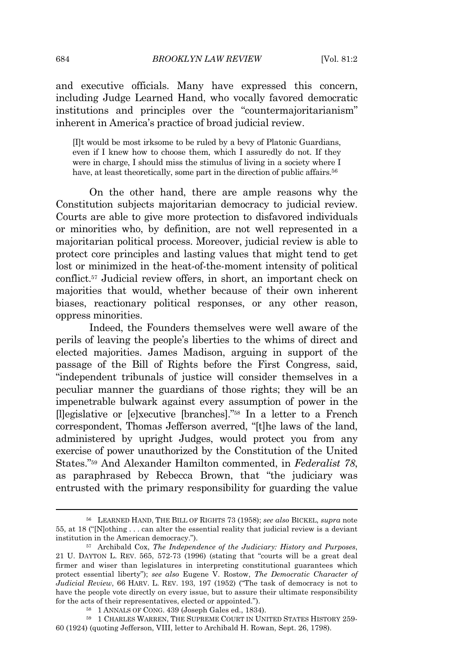and executive officials. Many have expressed this concern, including Judge Learned Hand, who vocally favored democratic institutions and principles over the "countermajoritarianism" inherent in America's practice of broad judicial review.

[I]t would be most irksome to be ruled by a bevy of Platonic Guardians, even if I knew how to choose them, which I assuredly do not. If they were in charge, I should miss the stimulus of living in a society where I have, at least theoretically, some part in the direction of public affairs.<sup>56</sup>

On the other hand, there are ample reasons why the Constitution subjects majoritarian democracy to judicial review. Courts are able to give more protection to disfavored individuals or minorities who, by definition, are not well represented in a majoritarian political process. Moreover, judicial review is able to protect core principles and lasting values that might tend to get lost or minimized in the heat-of-the-moment intensity of political conflict.<sup>57</sup> Judicial review offers, in short, an important check on majorities that would, whether because of their own inherent biases, reactionary political responses, or any other reason, oppress minorities.

Indeed, the Founders themselves were well aware of the perils of leaving the people's liberties to the whims of direct and elected majorities. James Madison, arguing in support of the passage of the Bill of Rights before the First Congress, said, "independent tribunals of justice will consider themselves in a peculiar manner the guardians of those rights; they will be an impenetrable bulwark against every assumption of power in the [l]egislative or [e]xecutive [branches]." <sup>58</sup> In a letter to a French correspondent, Thomas Jefferson averred, "[t]he laws of the land, administered by upright Judges, would protect you from any exercise of power unauthorized by the Constitution of the United States." <sup>59</sup> And Alexander Hamilton commented, in *Federalist 78*, as paraphrased by Rebecca Brown, that "the judiciary was entrusted with the primary responsibility for guarding the value

<sup>56</sup> LEARNED HAND, THE BILL OF RIGHTS 73 (1958); *see also* BICKEL, *supra* note 55, at 18 ("[N]othing . . . can alter the essential reality that judicial review is a deviant institution in the American democracy.").

<sup>57</sup> Archibald Cox, *The Independence of the Judiciary: History and Purposes*, 21 U. DAYTON L. REV. 565, 572-73 (1996) (stating that "courts will be a great deal firmer and wiser than legislatures in interpreting constitutional guarantees which protect essential liberty"); *see also* Eugene V. Rostow, *The Democratic Character of Judicial Review*, 66 HARV. L. REV. 193, 197 (1952) ("The task of democracy is not to have the people vote directly on every issue, but to assure their ultimate responsibility for the acts of their representatives, elected or appointed.").

<sup>58</sup> 1 ANNALS OF CONG. 439 (Joseph Gales ed., 1834).

 $59$  1 CHARLES WARREN, THE SUPREME COURT IN UNITED STATES HISTORY 259-60 (1924) (quoting Jefferson, VIII, letter to Archibald H. Rowan, Sept. 26, 1798).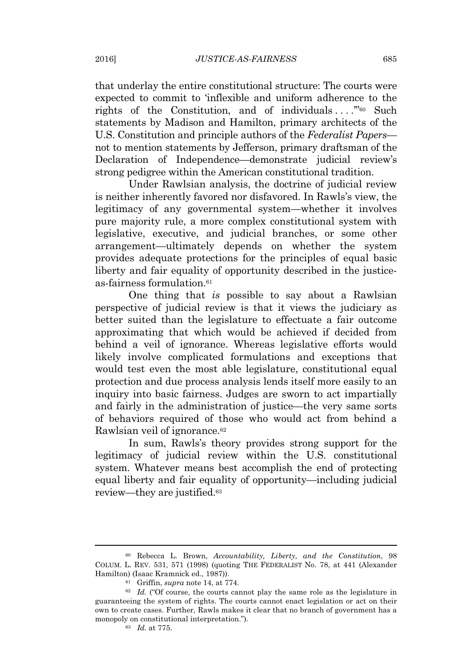that underlay the entire constitutional structure: The courts were expected to commit to 'inflexible and uniform adherence to the rights of the Constitution, and of individuals...."<sup>60</sup> Such statements by Madison and Hamilton, primary architects of the U.S. Constitution and principle authors of the *Federalist Papers* not to mention statements by Jefferson, primary draftsman of the Declaration of Independence—demonstrate judicial review's strong pedigree within the American constitutional tradition.

Under Rawlsian analysis, the doctrine of judicial review is neither inherently favored nor disfavored. In Rawls's view, the legitimacy of any governmental system—whether it involves pure majority rule, a more complex constitutional system with legislative, executive, and judicial branches, or some other arrangement—ultimately depends on whether the system provides adequate protections for the principles of equal basic liberty and fair equality of opportunity described in the justiceas-fairness formulation.<sup>61</sup>

One thing that *is* possible to say about a Rawlsian perspective of judicial review is that it views the judiciary as better suited than the legislature to effectuate a fair outcome approximating that which would be achieved if decided from behind a veil of ignorance. Whereas legislative efforts would likely involve complicated formulations and exceptions that would test even the most able legislature, constitutional equal protection and due process analysis lends itself more easily to an inquiry into basic fairness. Judges are sworn to act impartially and fairly in the administration of justice—the very same sorts of behaviors required of those who would act from behind a Rawlsian veil of ignorance.<sup>62</sup>

In sum, Rawls's theory provides strong support for the legitimacy of judicial review within the U.S. constitutional system. Whatever means best accomplish the end of protecting equal liberty and fair equality of opportunity—including judicial review—they are justified.<sup>63</sup>

<sup>60</sup> Rebecca L. Brown, *Accountability, Liberty, and the Constitution*, 98 COLUM. L. REV. 531, 571 (1998) (quoting THE FEDERALIST No. 78, at 441 (Alexander Hamilton) (Isaac Kramnick ed., 1987)).

<sup>61</sup> Griffin, *supra* note 14, at 774.

<sup>62</sup> *Id.* ("Of course, the courts cannot play the same role as the legislature in guaranteeing the system of rights. The courts cannot enact legislation or act on their own to create cases. Further, Rawls makes it clear that no branch of government has a monopoly on constitutional interpretation.").

<sup>63</sup> *Id.* at 775.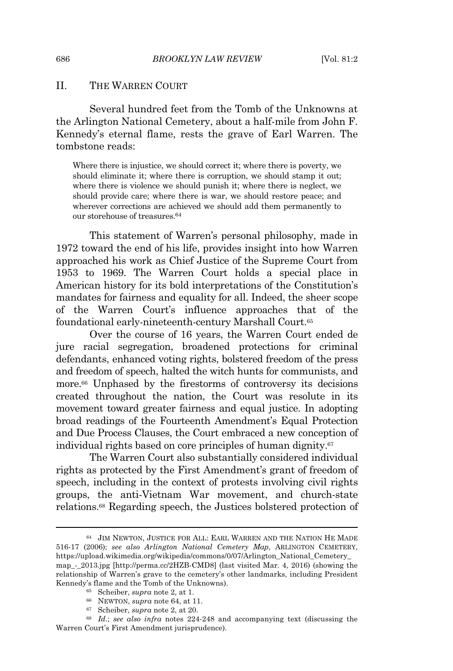#### II. THE WARREN COURT

Several hundred feet from the Tomb of the Unknowns at the Arlington National Cemetery, about a half-mile from John F. Kennedy's eternal flame, rests the grave of Earl Warren. The tombstone reads:

Where there is injustice, we should correct it; where there is poverty, we should eliminate it; where there is corruption, we should stamp it out; where there is violence we should punish it; where there is neglect, we should provide care; where there is war, we should restore peace; and wherever corrections are achieved we should add them permanently to our storehouse of treasures.<sup>64</sup>

This statement of Warren's personal philosophy, made in 1972 toward the end of his life, provides insight into how Warren approached his work as Chief Justice of the Supreme Court from 1953 to 1969. The Warren Court holds a special place in American history for its bold interpretations of the Constitution's mandates for fairness and equality for all. Indeed, the sheer scope of the Warren Court's influence approaches that of the foundational early-nineteenth-century Marshall Court.<sup>65</sup>

Over the course of 16 years, the Warren Court ended de jure racial segregation, broadened protections for criminal defendants, enhanced voting rights, bolstered freedom of the press and freedom of speech, halted the witch hunts for communists, and more.<sup>66</sup> Unphased by the firestorms of controversy its decisions created throughout the nation, the Court was resolute in its movement toward greater fairness and equal justice. In adopting broad readings of the Fourteenth Amendment's Equal Protection and Due Process Clauses, the Court embraced a new conception of individual rights based on core principles of human dignity.<sup>67</sup>

The Warren Court also substantially considered individual rights as protected by the First Amendment's grant of freedom of speech, including in the context of protests involving civil rights groups, the anti-Vietnam War movement, and church-state relations.<sup>68</sup> Regarding speech, the Justices bolstered protection of

<sup>64</sup> JIM NEWTON, JUSTICE FOR ALL: EARL WARREN AND THE NATION HE MADE 516-17 (2006); *see also Arlington National Cemetery Map*, ARLINGTON CEMETERY, https://upload.wikimedia.org/wikipedia/commons/0/07/Arlington\_National\_Cemetery\_ map\_-\_2013.jpg [http://perma.cc/2HZB-CMD8] (last visited Mar. 4, 2016) (showing the relationship of Warren's grave to the cemetery's other landmarks, including President Kennedy's flame and the Tomb of the Unknowns).

<sup>65</sup> Scheiber, *supra* note 2, at 1.

<sup>66</sup> NEWTON, *supra* note 64, at 11.

<sup>67</sup> Scheiber, *supra* note 2, at 20.

<sup>68</sup> *Id.*; *see also infra* notes 224-248 and accompanying text (discussing the Warren Court's First Amendment jurisprudence).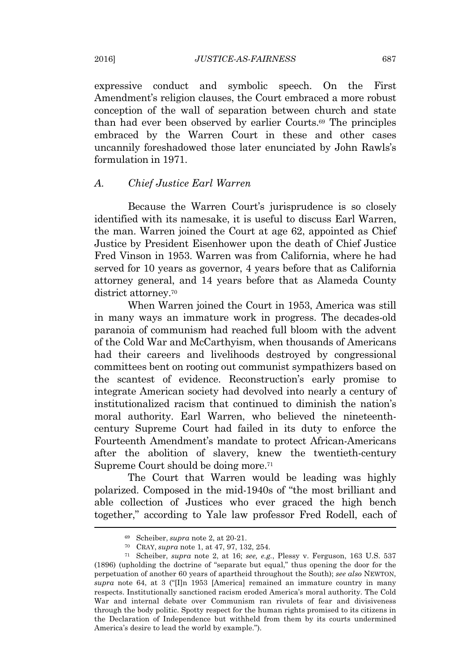expressive conduct and symbolic speech. On the First Amendment's religion clauses, the Court embraced a more robust conception of the wall of separation between church and state than had ever been observed by earlier Courts.<sup>69</sup> The principles embraced by the Warren Court in these and other cases uncannily foreshadowed those later enunciated by John Rawls's formulation in 1971.

#### *A. Chief Justice Earl Warren*

Because the Warren Court's jurisprudence is so closely identified with its namesake, it is useful to discuss Earl Warren, the man. Warren joined the Court at age 62, appointed as Chief Justice by President Eisenhower upon the death of Chief Justice Fred Vinson in 1953. Warren was from California, where he had served for 10 years as governor, 4 years before that as California attorney general, and 14 years before that as Alameda County district attorney.<sup>70</sup>

When Warren joined the Court in 1953, America was still in many ways an immature work in progress. The decades-old paranoia of communism had reached full bloom with the advent of the Cold War and McCarthyism, when thousands of Americans had their careers and livelihoods destroyed by congressional committees bent on rooting out communist sympathizers based on the scantest of evidence. Reconstruction's early promise to integrate American society had devolved into nearly a century of institutionalized racism that continued to diminish the nation's moral authority. Earl Warren, who believed the nineteenthcentury Supreme Court had failed in its duty to enforce the Fourteenth Amendment's mandate to protect African-Americans after the abolition of slavery, knew the twentieth-century Supreme Court should be doing more.<sup>71</sup>

The Court that Warren would be leading was highly polarized. Composed in the mid-1940s of "the most brilliant and able collection of Justices who ever graced the high bench together," according to Yale law professor Fred Rodell, each of

<sup>69</sup> Scheiber, *supra* note 2, at 20-21.

<sup>70</sup> CRAY, *supra* note 1, at 47, 97, 132, 254.

<sup>71</sup> Scheiber, *supra* note 2, at 16; *see, e.g.*, Plessy v. Ferguson, 163 U.S. 537 (1896) (upholding the doctrine of "separate but equal," thus opening the door for the perpetuation of another 60 years of apartheid throughout the South); *see also* NEWTON, *supra* note 64, at 3 ("[I]n 1953 [America] remained an immature country in many respects. Institutionally sanctioned racism eroded America's moral authority. The Cold War and internal debate over Communism ran rivulets of fear and divisiveness through the body politic. Spotty respect for the human rights promised to its citizens in the Declaration of Independence but withheld from them by its courts undermined America's desire to lead the world by example.").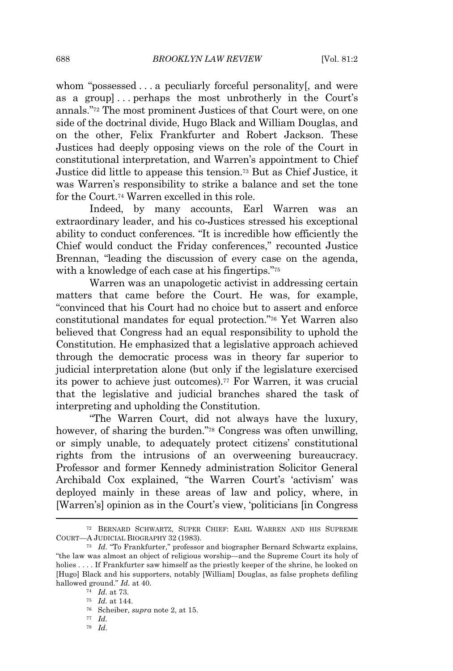whom "possessed . . . a peculiarly forceful personality, and were as a group] . . . perhaps the most unbrotherly in the Court's annals." <sup>72</sup> The most prominent Justices of that Court were, on one side of the doctrinal divide, Hugo Black and William Douglas, and on the other, Felix Frankfurter and Robert Jackson. These Justices had deeply opposing views on the role of the Court in constitutional interpretation, and Warren's appointment to Chief Justice did little to appease this tension.<sup>73</sup> But as Chief Justice, it was Warren's responsibility to strike a balance and set the tone for the Court.<sup>74</sup> Warren excelled in this role.

Indeed, by many accounts, Earl Warren was an extraordinary leader, and his co-Justices stressed his exceptional ability to conduct conferences. "It is incredible how efficiently the Chief would conduct the Friday conferences," recounted Justice Brennan, "leading the discussion of every case on the agenda, with a knowledge of each case at his fingertips." 75

Warren was an unapologetic activist in addressing certain matters that came before the Court. He was, for example, "convinced that his Court had no choice but to assert and enforce constitutional mandates for equal protection." <sup>76</sup> Yet Warren also believed that Congress had an equal responsibility to uphold the Constitution. He emphasized that a legislative approach achieved through the democratic process was in theory far superior to judicial interpretation alone (but only if the legislature exercised its power to achieve just outcomes).<sup>77</sup> For Warren, it was crucial that the legislative and judicial branches shared the task of interpreting and upholding the Constitution.

"The Warren Court, did not always have the luxury, however, of sharing the burden." <sup>78</sup> Congress was often unwilling, or simply unable, to adequately protect citizens' constitutional rights from the intrusions of an overweening bureaucracy. Professor and former Kennedy administration Solicitor General Archibald Cox explained, "the Warren Court's 'activism' was deployed mainly in these areas of law and policy, where, in [Warren's] opinion as in the Court's view, 'politicians [in Congress

<sup>72</sup> BERNARD SCHWARTZ, SUPER CHIEF: EARL WARREN AND HIS SUPREME COURT—A JUDICIAL BIOGRAPHY 32 (1983).

<sup>73</sup> *Id.* "To Frankfurter," professor and biographer Bernard Schwartz explains, "the law was almost an object of religious worship—and the Supreme Court its holy of holies . . . If Frankfurter saw himself as the priestly keeper of the shrine, he looked on [Hugo] Black and his supporters, notably [William] Douglas, as false prophets defiling hallowed ground." *Id.* at 40.

<sup>74</sup> *Id.* at 73.

<sup>75</sup> *Id.* at 144.

<sup>76</sup> Scheiber, *supra* note 2, at 15.

<sup>77</sup> *Id.* <sup>78</sup> *Id.*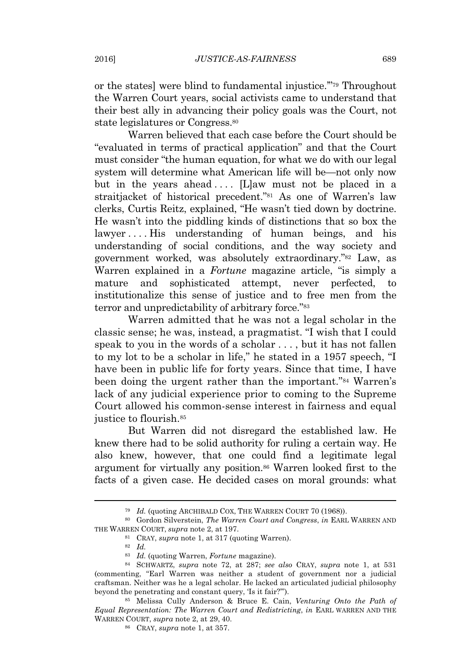or the states] were blind to fundamental injustice.'" <sup>79</sup> Throughout the Warren Court years, social activists came to understand that their best ally in advancing their policy goals was the Court, not state legislatures or Congress.<sup>80</sup>

Warren believed that each case before the Court should be "evaluated in terms of practical application" and that the Court must consider "the human equation, for what we do with our legal system will determine what American life will be—not only now but in the years ahead  $\dots$ . [L]aw must not be placed in a straitjacket of historical precedent." <sup>81</sup> As one of Warren's law clerks, Curtis Reitz, explained, "He wasn't tied down by doctrine. He wasn't into the piddling kinds of distinctions that so box the lawyer ... His understanding of human beings, and his understanding of social conditions, and the way society and government worked, was absolutely extraordinary." <sup>82</sup> Law, as Warren explained in a *Fortune* magazine article, "is simply a mature and sophisticated attempt, never perfected, to institutionalize this sense of justice and to free men from the terror and unpredictability of arbitrary force."<sup>83</sup>

Warren admitted that he was not a legal scholar in the classic sense; he was, instead, a pragmatist. "I wish that I could speak to you in the words of a scholar . . . , but it has not fallen to my lot to be a scholar in life," he stated in a 1957 speech, "I have been in public life for forty years. Since that time, I have been doing the urgent rather than the important." <sup>84</sup> Warren's lack of any judicial experience prior to coming to the Supreme Court allowed his common-sense interest in fairness and equal justice to flourish.<sup>85</sup>

But Warren did not disregard the established law. He knew there had to be solid authority for ruling a certain way. He also knew, however, that one could find a legitimate legal argument for virtually any position.<sup>86</sup> Warren looked first to the facts of a given case. He decided cases on moral grounds: what

<sup>79</sup> *Id.* (quoting ARCHIBALD COX, THE WARREN COURT 70 (1968)).

<sup>80</sup> Gordon Silverstein, *The Warren Court and Congress*, *in* EARL WARREN AND THE WARREN COURT, *supra* note 2, at 197.

<sup>81</sup> CRAY, *supra* note 1, at 317 (quoting Warren).

<sup>82</sup> *Id.*

<sup>83</sup> *Id.* (quoting Warren, *Fortune* magazine).

<sup>84</sup> SCHWARTZ, *supra* note 72, at 287; *see also* CRAY, *supra* note 1, at 531 (commenting, "Earl Warren was neither a student of government nor a judicial craftsman. Neither was he a legal scholar. He lacked an articulated judicial philosophy beyond the penetrating and constant query, 'Is it fair?'").

<sup>85</sup> Melissa Cully Anderson & Bruce E. Cain, *Venturing Onto the Path of Equal Representation: The Warren Court and Redistricting*, *in* EARL WARREN AND THE WARREN COURT, *supra* note 2, at 29, 40.

<sup>86</sup> CRAY, *supra* note 1, at 357.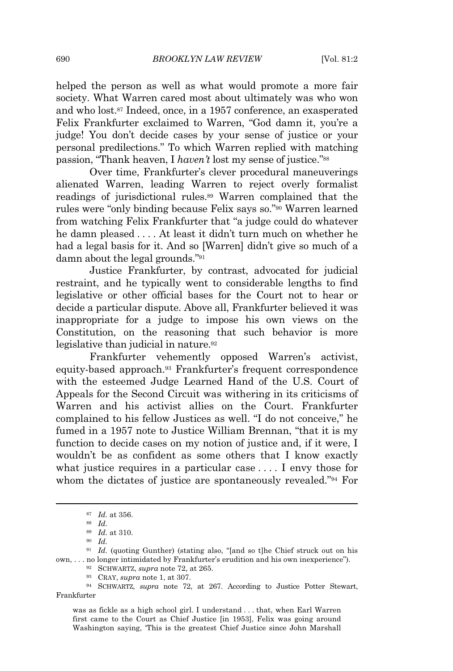690 *BROOKLYN LAW REVIEW* [Vol. 81:2

helped the person as well as what would promote a more fair society. What Warren cared most about ultimately was who won and who lost.<sup>87</sup> Indeed, once, in a 1957 conference, an exasperated Felix Frankfurter exclaimed to Warren, "God damn it, you're a judge! You don't decide cases by your sense of justice or your personal predilections." To which Warren replied with matching passion, "Thank heaven, I *haven't* lost my sense of justice." 88

Over time, Frankfurter's clever procedural maneuverings alienated Warren, leading Warren to reject overly formalist readings of jurisdictional rules.<sup>89</sup> Warren complained that the rules were "only binding because Felix says so." <sup>90</sup> Warren learned from watching Felix Frankfurter that "a judge could do whatever he damn pleased . . . . At least it didn't turn much on whether he had a legal basis for it. And so [Warren] didn't give so much of a damn about the legal grounds." 91

Justice Frankfurter, by contrast, advocated for judicial restraint, and he typically went to considerable lengths to find legislative or other official bases for the Court not to hear or decide a particular dispute. Above all, Frankfurter believed it was inappropriate for a judge to impose his own views on the Constitution, on the reasoning that such behavior is more legislative than judicial in nature.<sup>92</sup>

Frankfurter vehemently opposed Warren's activist, equity-based approach.<sup>93</sup> Frankfurter's frequent correspondence with the esteemed Judge Learned Hand of the U.S. Court of Appeals for the Second Circuit was withering in its criticisms of Warren and his activist allies on the Court. Frankfurter complained to his fellow Justices as well. "I do not conceive," he fumed in a 1957 note to Justice William Brennan, "that it is my function to decide cases on my notion of justice and, if it were, I wouldn't be as confident as some others that I know exactly what justice requires in a particular case . . . . I envy those for whom the dictates of justice are spontaneously revealed." <sup>94</sup> For

<sup>87</sup> *Id.* at 356.

<sup>88</sup> *Id.*

<sup>89</sup> *Id.* at 310.

<sup>90</sup> *Id.*

<sup>91</sup> *Id.* (quoting Gunther) (stating also, "[and so t]he Chief struck out on his own, . . . no longer intimidated by Frankfurter's erudition and his own inexperience").

<sup>92</sup> SCHWARTZ, *supra* note 72, at 265.

<sup>93</sup> CRAY, *supra* note 1, at 307.

<sup>94</sup> SCHWARTZ, *supra* note 72, at 267. According to Justice Potter Stewart, Frankfurter

was as fickle as a high school girl. I understand . . . that, when Earl Warren first came to the Court as Chief Justice [in 1953], Felix was going around Washington saying, 'This is the greatest Chief Justice since John Marshall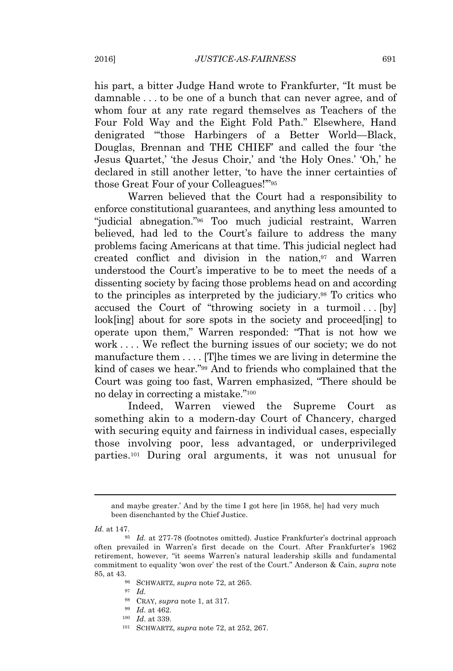his part, a bitter Judge Hand wrote to Frankfurter, "It must be damnable . . . to be one of a bunch that can never agree, and of whom four at any rate regard themselves as Teachers of the Four Fold Way and the Eight Fold Path." Elsewhere, Hand denigrated "'those Harbingers of a Better World—Black, Douglas, Brennan and THE CHIEF' and called the four 'the Jesus Quartet,' 'the Jesus Choir,' and 'the Holy Ones.' 'Oh,' he declared in still another letter, 'to have the inner certainties of those Great Four of your Colleagues!'" 95

Warren believed that the Court had a responsibility to enforce constitutional guarantees, and anything less amounted to "judicial abnegation." <sup>96</sup> Too much judicial restraint, Warren believed, had led to the Court's failure to address the many problems facing Americans at that time. This judicial neglect had created conflict and division in the nation,<sup>97</sup> and Warren understood the Court's imperative to be to meet the needs of a dissenting society by facing those problems head on and according to the principles as interpreted by the judiciary.<sup>98</sup> To critics who accused the Court of "throwing society in a turmoil... $[by]$ look[ing] about for sore spots in the society and proceed[ing] to operate upon them," Warren responded: "That is not how we work . . . . We reflect the burning issues of our society; we do not manufacture them . . . . [T]he times we are living in determine the kind of cases we hear." <sup>99</sup> And to friends who complained that the Court was going too fast, Warren emphasized, "There should be no delay in correcting a mistake." 100

Indeed, Warren viewed the Supreme Court as something akin to a modern-day Court of Chancery, charged with securing equity and fairness in individual cases, especially those involving poor, less advantaged, or underprivileged parties.<sup>101</sup> During oral arguments, it was not unusual for

*Id.* at 147.

<sup>98</sup> CRAY, *supra* note 1, at 317.

- <sup>100</sup> *Id.* at 339.
- <sup>101</sup> SCHWARTZ, *supra* note 72, at 252, 267.

and maybe greater.' And by the time I got here [in 1958, he] had very much been disenchanted by the Chief Justice.

<sup>95</sup> *Id.* at 277-78 (footnotes omitted). Justice Frankfurter's doctrinal approach often prevailed in Warren's first decade on the Court. After Frankfurter's 1962 retirement, however, "it seems Warren's natural leadership skills and fundamental commitment to equality 'won over' the rest of the Court." Anderson & Cain, *supra* note 85, at 43.

<sup>96</sup> SCHWARTZ, *supra* note 72, at 265.

<sup>97</sup> *Id.*

<sup>99</sup> *Id.* at 462.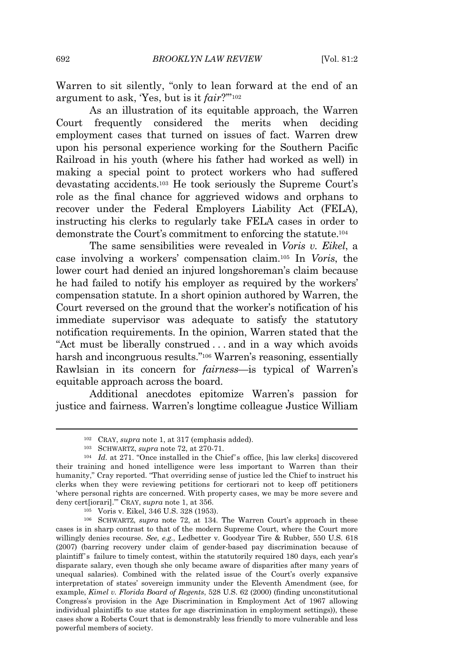Warren to sit silently, "only to lean forward at the end of an argument to ask, 'Yes, but is it *fair*?'" 102

As an illustration of its equitable approach, the Warren Court frequently considered the merits when deciding employment cases that turned on issues of fact. Warren drew upon his personal experience working for the Southern Pacific Railroad in his youth (where his father had worked as well) in making a special point to protect workers who had suffered devastating accidents.<sup>103</sup> He took seriously the Supreme Court's role as the final chance for aggrieved widows and orphans to recover under the Federal Employers Liability Act (FELA), instructing his clerks to regularly take FELA cases in order to demonstrate the Court's commitment to enforcing the statute.<sup>104</sup>

The same sensibilities were revealed in *Voris v. Eikel*, a case involving a workers' compensation claim.<sup>105</sup> In *Voris*, the lower court had denied an injured longshoreman's claim because he had failed to notify his employer as required by the workers' compensation statute. In a short opinion authored by Warren, the Court reversed on the ground that the worker's notification of his immediate supervisor was adequate to satisfy the statutory notification requirements. In the opinion, Warren stated that the "Act must be liberally construed . . . and in a way which avoids harsh and incongruous results." <sup>106</sup> Warren's reasoning, essentially Rawlsian in its concern for *fairness*—is typical of Warren's equitable approach across the board.

Additional anecdotes epitomize Warren's passion for justice and fairness. Warren's longtime colleague Justice William

<sup>102</sup> CRAY, *supra* note 1, at 317 (emphasis added).

<sup>103</sup> SCHWARTZ, *supra* note 72, at 270-71.

<sup>104</sup> *Id.* at 271. "Once installed in the Chief's office, [his law clerks] discovered their training and honed intelligence were less important to Warren than their humanity," Cray reported. "That overriding sense of justice led the Chief to instruct his clerks when they were reviewing petitions for certiorari not to keep off petitioners 'where personal rights are concerned. With property cases, we may be more severe and deny cert[iorari].'" CRAY, *supra* note 1, at 356.

<sup>105</sup> Voris v. Eikel, 346 U.S. 328 (1953).

<sup>106</sup> SCHWARTZ, *supra* note 72, at 134. The Warren Court's approach in these cases is in sharp contrast to that of the modern Supreme Court, where the Court more willingly denies recourse. *See, e.g.*, Ledbetter v. Goodyear Tire & Rubber, 550 U.S. 618 (2007) (barring recovery under claim of gender-based pay discrimination because of plaintiff's failure to timely contest, within the statutorily required 180 days, each year's disparate salary, even though she only became aware of disparities after many years of unequal salaries). Combined with the related issue of the Court's overly expansive interpretation of states' sovereign immunity under the Eleventh Amendment (see, for example, *Kimel v. Florida Board of Regents*, 528 U.S. 62 (2000) (finding unconstitutional Congress's provision in the Age Discrimination in Employment Act of 1967 allowing individual plaintiffs to sue states for age discrimination in employment settings)), these cases show a Roberts Court that is demonstrably less friendly to more vulnerable and less powerful members of society.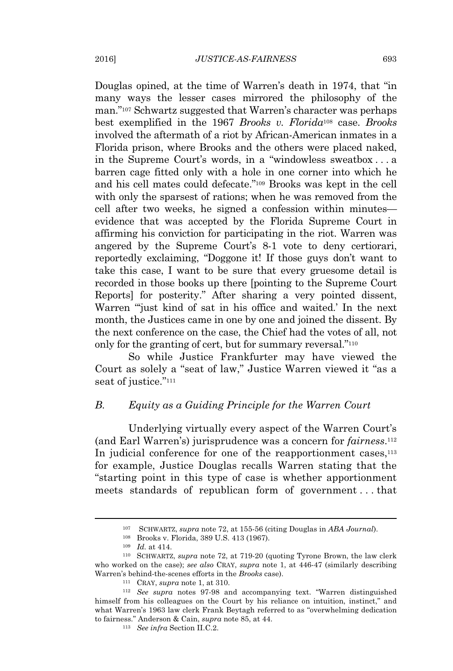Douglas opined, at the time of Warren's death in 1974, that "in many ways the lesser cases mirrored the philosophy of the man." <sup>107</sup> Schwartz suggested that Warren's character was perhaps best exemplified in the 1967 *Brooks v. Florida*<sup>108</sup> case. *Brooks* involved the aftermath of a riot by African-American inmates in a Florida prison, where Brooks and the others were placed naked, in the Supreme Court's words, in a "windowless sweatbox . . . a barren cage fitted only with a hole in one corner into which he and his cell mates could defecate." <sup>109</sup> Brooks was kept in the cell with only the sparsest of rations; when he was removed from the cell after two weeks, he signed a confession within minutes evidence that was accepted by the Florida Supreme Court in affirming his conviction for participating in the riot. Warren was angered by the Supreme Court's 8-1 vote to deny certiorari, reportedly exclaiming, "Doggone it! If those guys don't want to take this case, I want to be sure that every gruesome detail is recorded in those books up there [pointing to the Supreme Court Reports] for posterity." After sharing a very pointed dissent, Warren "'just kind of sat in his office and waited.' In the next month, the Justices came in one by one and joined the dissent. By the next conference on the case, the Chief had the votes of all, not only for the granting of cert, but for summary reversal."<sup>110</sup>

So while Justice Frankfurter may have viewed the Court as solely a "seat of law," Justice Warren viewed it "as a seat of justice." 111

#### *B. Equity as a Guiding Principle for the Warren Court*

Underlying virtually every aspect of the Warren Court's (and Earl Warren's) jurisprudence was a concern for *fairness*. 112 In judicial conference for one of the reapportionment cases,  $113$ for example, Justice Douglas recalls Warren stating that the "starting point in this type of case is whether apportionment meets standards of republican form of government . . . that

<sup>107</sup> SCHWARTZ, *supra* note 72, at 155-56 (citing Douglas in *ABA Journal*).

<sup>108</sup> Brooks v. Florida, 389 U.S. 413 (1967).

<sup>109</sup> *Id.* at 414.

<sup>110</sup> SCHWARTZ, *supra* note 72, at 719-20 (quoting Tyrone Brown, the law clerk who worked on the case); *see also* CRAY, *supra* note 1, at 446-47 (similarly describing Warren's behind-the-scenes efforts in the *Brooks* case).

<sup>111</sup> CRAY, *supra* note 1, at 310.

<sup>112</sup> *See supra* notes 97-98 and accompanying text. "Warren distinguished himself from his colleagues on the Court by his reliance on intuition, instinct," and what Warren's 1963 law clerk Frank Beytagh referred to as "overwhelming dedication to fairness." Anderson & Cain, *supra* note 85, at 44.

<sup>113</sup> *See infra* Section II.C.2.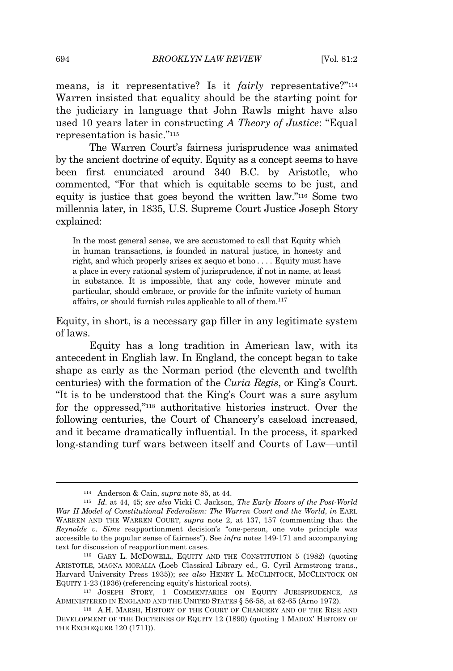means, is it representative? Is it *fairly* representative?"<sup>114</sup> Warren insisted that equality should be the starting point for the judiciary in language that John Rawls might have also used 10 years later in constructing *A Theory of Justice*: "Equal representation is basic." 115

The Warren Court's fairness jurisprudence was animated by the ancient doctrine of equity. Equity as a concept seems to have been first enunciated around 340 B.C. by Aristotle, who commented, "For that which is equitable seems to be just, and equity is justice that goes beyond the written law." <sup>116</sup> Some two millennia later, in 1835, U.S. Supreme Court Justice Joseph Story explained:

In the most general sense, we are accustomed to call that Equity which in human transactions, is founded in natural justice, in honesty and right, and which properly arises ex aequo et bono *. . . .* Equity must have a place in every rational system of jurisprudence, if not in name, at least in substance. It is impossible, that any code, however minute and particular, should embrace, or provide for the infinite variety of human affairs, or should furnish rules applicable to all of them.<sup>117</sup>

Equity, in short, is a necessary gap filler in any legitimate system of laws.

Equity has a long tradition in American law, with its antecedent in English law. In England, the concept began to take shape as early as the Norman period (the eleventh and twelfth centuries) with the formation of the *Curia Regis*, or King's Court. "It is to be understood that the King's Court was a sure asylum for the oppressed," <sup>118</sup> authoritative histories instruct. Over the following centuries, the Court of Chancery's caseload increased, and it became dramatically influential. In the process, it sparked long-standing turf wars between itself and Courts of Law—until

<sup>114</sup> Anderson & Cain, *supra* note 85, at 44.

<sup>115</sup> *Id.* at 44, 45; *see also* Vicki C. Jackson, *The Early Hours of the Post-World War II Model of Constitutional Federalism: The Warren Court and the World*, *in* EARL WARREN AND THE WARREN COURT, *supra* note 2, at 137, 157 (commenting that the *Reynolds v. Sims* reapportionment decision's "one-person, one vote principle was accessible to the popular sense of fairness"). See *infra* notes 149-171 and accompanying text for discussion of reapportionment cases.

<sup>116</sup> GARY L. MCDOWELL, EQUITY AND THE CONSTITUTION 5 (1982) (quoting ARISTOTLE, MAGNA MORALIA (Loeb Classical Library ed., G. Cyril Armstrong trans., Harvard University Press 1935)); *see also* HENRY L. MCCLINTOCK, MCCLINTOCK ON EQUITY 1-23 (1936) (referencing equity's historical roots).

<sup>117</sup> JOSEPH STORY, 1 COMMENTARIES ON EQUITY JURISPRUDENCE, AS ADMINISTERED IN ENGLAND AND THE UNITED STATES § 56-58, at 62-65 (Arno 1972).

<sup>118</sup> A.H. MARSH, HISTORY OF THE COURT OF CHANCERY AND OF THE RISE AND DEVELOPMENT OF THE DOCTRINES OF EQUITY 12 (1890) (quoting 1 MADOX' HISTORY OF THE EXCHEQUER 120 (1711)).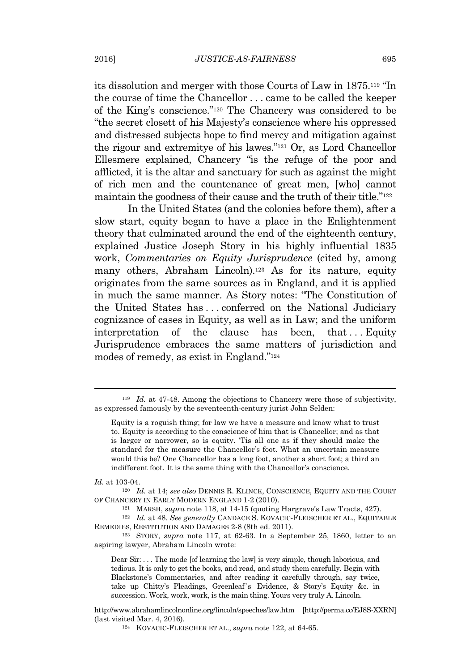its dissolution and merger with those Courts of Law in 1875.<sup>119</sup> "In the course of time the Chancellor . . . came to be called the keeper of the King's conscience." <sup>120</sup> The Chancery was considered to be "the secret closett of his Majesty's conscience where his oppressed and distressed subjects hope to find mercy and mitigation against the rigour and extremitye of his lawes." <sup>121</sup> Or, as Lord Chancellor Ellesmere explained, Chancery "is the refuge of the poor and afflicted, it is the altar and sanctuary for such as against the might of rich men and the countenance of great men, [who] cannot maintain the goodness of their cause and the truth of their title." 122

In the United States (and the colonies before them), after a slow start, equity began to have a place in the Enlightenment theory that culminated around the end of the eighteenth century, explained Justice Joseph Story in his highly influential 1835 work, *Commentaries on Equity Jurisprudence* (cited by, among many others, Abraham Lincoln).<sup>123</sup> As for its nature, equity originates from the same sources as in England, and it is applied in much the same manner. As Story notes: "The Constitution of the United States has . . . conferred on the National Judiciary cognizance of cases in Equity, as well as in Law; and the uniform interpretation of the clause has been, that ... Equity Jurisprudence embraces the same matters of jurisdiction and modes of remedy, as exist in England." 124

*Id.* at 103-04.

<sup>120</sup> *Id.* at 14; *see also* DENNIS R. KLINCK, CONSCIENCE, EQUITY AND THE COURT OF CHANCERY IN EARLY MODERN ENGLAND 1-2 (2010).

<sup>121</sup> MARSH, *supra* note 118, at 14-15 (quoting Hargrave's Law Tracts, 427).

<sup>122</sup> *Id.* at 48. *See generally* CANDACE S. KOVACIC-FLEISCHER ET AL., EQUITABLE REMEDIES, RESTITUTION AND DAMAGES 2-8 (8th ed. 2011).

<sup>123</sup> STORY, *supra* note 117, at 62-63. In a September 25, 1860, letter to an aspiring lawyer, Abraham Lincoln wrote:

Dear Sir: . . . The mode [of learning the law] is very simple, though laborious, and tedious. It is only to get the books, and read, and study them carefully. Begin with Blackstone's Commentaries, and after reading it carefully through, say twice, take up Chitty's Pleadings, Greenleaf's Evidence, & Story's Equity &c. in succession. Work, work, work, is the main thing. Yours very truly A. Lincoln.

http://www.abrahamlincolnonline.org/lincoln/speeches/law.htm [http://perma.cc/EJ8S-XXRN] (last visited Mar. 4, 2016).

<sup>124</sup> KOVACIC-FLEISCHER ET AL., *supra* note 122, at 64-65.

<sup>119</sup> *Id.* at 47-48. Among the objections to Chancery were those of subjectivity, as expressed famously by the seventeenth-century jurist John Selden:

Equity is a roguish thing; for law we have a measure and know what to trust to. Equity is according to the conscience of him that is Chancellor; and as that is larger or narrower, so is equity. 'Tis all one as if they should make the standard for the measure the Chancellor's foot. What an uncertain measure would this be? One Chancellor has a long foot, another a short foot; a third an indifferent foot. It is the same thing with the Chancellor's conscience.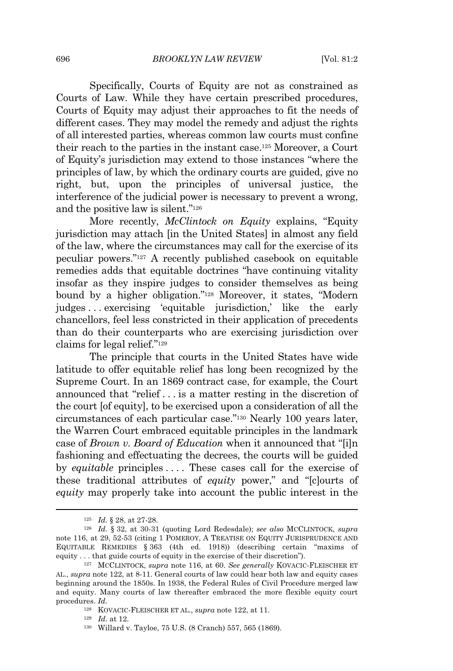Specifically, Courts of Equity are not as constrained as Courts of Law. While they have certain prescribed procedures, Courts of Equity may adjust their approaches to fit the needs of different cases. They may model the remedy and adjust the rights of all interested parties, whereas common law courts must confine their reach to the parties in the instant case.<sup>125</sup> Moreover, a Court of Equity's jurisdiction may extend to those instances "where the principles of law, by which the ordinary courts are guided, give no right, but, upon the principles of universal justice, the interference of the judicial power is necessary to prevent a wrong, and the positive law is silent." 126

More recently, *McClintock on Equity* explains, "Equity jurisdiction may attach [in the United States] in almost any field of the law, where the circumstances may call for the exercise of its peculiar powers." <sup>127</sup> A recently published casebook on equitable remedies adds that equitable doctrines "have continuing vitality insofar as they inspire judges to consider themselves as being bound by a higher obligation." <sup>128</sup> Moreover, it states, "Modern judges . . . exercising 'equitable jurisdiction,' like the early chancellors, feel less constricted in their application of precedents than do their counterparts who are exercising jurisdiction over claims for legal relief." 129

The principle that courts in the United States have wide latitude to offer equitable relief has long been recognized by the Supreme Court. In an 1869 contract case, for example, the Court announced that "relief . . . is a matter resting in the discretion of the court [of equity], to be exercised upon a consideration of all the circumstances of each particular case." <sup>130</sup> Nearly 100 years later, the Warren Court embraced equitable principles in the landmark case of *Brown v. Board of Education* when it announced that "[i]n fashioning and effectuating the decrees, the courts will be guided by *equitable* principles .... These cases call for the exercise of these traditional attributes of *equity* power," and "[c]ourts of *equity* may properly take into account the public interest in the

<sup>130</sup> Willard v. Tayloe, 75 U.S. (8 Cranch) 557, 565 (1869).

<sup>125</sup> *Id.* § 28, at 27-28.

<sup>126</sup> *Id.* § 32, at 30-31 (quoting Lord Redesdale); *see also* MCCLINTOCK, *supra* note 116, at 29, 52-53 (citing 1 POMEROY, A TREATISE ON EQUITY JURISPRUDENCE AND EQUITABLE REMEDIES § 363 (4th ed. 1918)) (describing certain "maxims of equity . . . that guide courts of equity in the exercise of their discretion").

<sup>127</sup> MCCLINTOCK, *supra* note 116, at 60. *See generally* KOVACIC-FLEISCHER ET AL., *supra* note 122, at 8-11. General courts of law could hear both law and equity cases beginning around the 1850s. In 1938, the Federal Rules of Civil Procedure merged law and equity. Many courts of law thereafter embraced the more flexible equity court procedures. *Id.*

<sup>128</sup> KOVACIC-FLEISCHER ET AL., *supra* note 122, at 11.

<sup>129</sup> *Id.* at 12.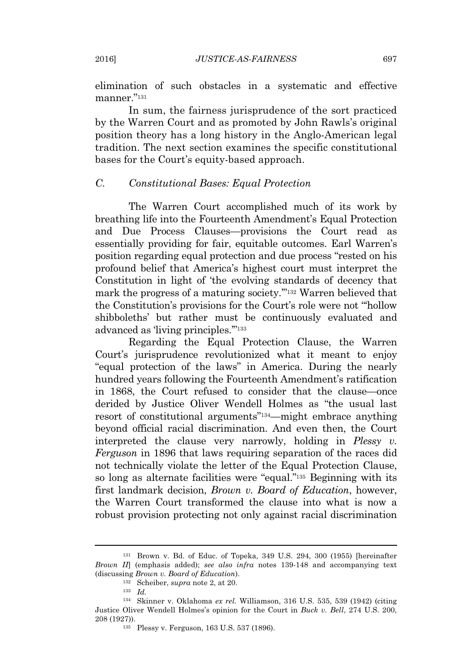elimination of such obstacles in a systematic and effective manner." 131

In sum, the fairness jurisprudence of the sort practiced by the Warren Court and as promoted by John Rawls's original position theory has a long history in the Anglo-American legal tradition. The next section examines the specific constitutional bases for the Court's equity-based approach.

#### *C. Constitutional Bases: Equal Protection*

The Warren Court accomplished much of its work by breathing life into the Fourteenth Amendment's Equal Protection and Due Process Clauses—provisions the Court read as essentially providing for fair, equitable outcomes. Earl Warren's position regarding equal protection and due process "rested on his profound belief that America's highest court must interpret the Constitution in light of 'the evolving standards of decency that mark the progress of a maturing society.'" <sup>132</sup> Warren believed that the Constitution's provisions for the Court's role were not "'hollow shibboleths' but rather must be continuously evaluated and advanced as 'living principles.'" 133

Regarding the Equal Protection Clause, the Warren Court's jurisprudence revolutionized what it meant to enjoy "equal protection of the laws" in America. During the nearly hundred years following the Fourteenth Amendment's ratification in 1868, the Court refused to consider that the clause—once derided by Justice Oliver Wendell Holmes as "the usual last resort of constitutional arguments" <sup>134</sup>—might embrace anything beyond official racial discrimination. And even then, the Court interpreted the clause very narrowly, holding in *Plessy v. Ferguson* in 1896 that laws requiring separation of the races did not technically violate the letter of the Equal Protection Clause, so long as alternate facilities were "equal."<sup>135</sup> Beginning with its first landmark decision, *Brown v. Board of Education*, however, the Warren Court transformed the clause into what is now a robust provision protecting not only against racial discrimination

<sup>131</sup> Brown v. Bd. of Educ. of Topeka, 349 U.S. 294, 300 (1955) [hereinafter *Brown II*] (emphasis added); *see also infra* notes 139-148 and accompanying text (discussing *Brown v. Board of Education*).

<sup>132</sup> Scheiber, *supra* note 2, at 20.

<sup>133</sup> *Id.*

<sup>134</sup> Skinner v. Oklahoma *ex rel.* Williamson, 316 U.S. 535, 539 (1942) (citing Justice Oliver Wendell Holmes's opinion for the Court in *Buck v. Bell*, 274 U.S. 200, 208 (1927)).

<sup>135</sup> Plessy v. Ferguson, 163 U.S. 537 (1896).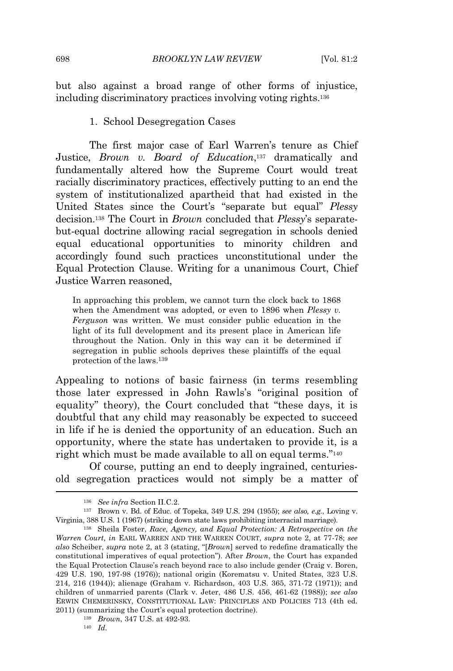but also against a broad range of other forms of injustice, including discriminatory practices involving voting rights.<sup>136</sup>

#### 1. School Desegregation Cases

The first major case of Earl Warren's tenure as Chief Justice, *Brown v. Board of Education*, <sup>137</sup> dramatically and fundamentally altered how the Supreme Court would treat racially discriminatory practices, effectively putting to an end the system of institutionalized apartheid that had existed in the United States since the Court's "separate but equal" *Plessy* decision.<sup>138</sup> The Court in *Brown* concluded that *Plessy*'s separatebut-equal doctrine allowing racial segregation in schools denied equal educational opportunities to minority children and accordingly found such practices unconstitutional under the Equal Protection Clause. Writing for a unanimous Court, Chief Justice Warren reasoned,

In approaching this problem, we cannot turn the clock back to 1868 when the Amendment was adopted, or even to 1896 when *Plessy v. Ferguson* was written. We must consider public education in the light of its full development and its present place in American life throughout the Nation. Only in this way can it be determined if segregation in public schools deprives these plaintiffs of the equal protection of the laws.<sup>139</sup>

Appealing to notions of basic fairness (in terms resembling those later expressed in John Rawls's "original position of equality" theory), the Court concluded that "these days, it is doubtful that any child may reasonably be expected to succeed in life if he is denied the opportunity of an education. Such an opportunity, where the state has undertaken to provide it, is a right which must be made available to all on equal terms." 140

Of course, putting an end to deeply ingrained, centuriesold segregation practices would not simply be a matter of

<sup>136</sup> *See infra* Section II.C.2.

<sup>137</sup> Brown v. Bd. of Educ. of Topeka, 349 U.S. 294 (1955); *see also, e.g.*, Loving v. Virginia, 388 U.S. 1 (1967) (striking down state laws prohibiting interracial marriage).

<sup>138</sup> Sheila Foster, *Race, Agency, and Equal Protection: A Retrospective on the Warren Court, in* EARL WARREN AND THE WARREN COURT, *supra* note 2, at 77-78; *see also* Scheiber, *supra* note 2, at 3 (stating, "[*Brown*] served to redefine dramatically the constitutional imperatives of equal protection"). After *Brown*, the Court has expanded the Equal Protection Clause's reach beyond race to also include gender (Craig v. Boren, 429 U.S. 190, 197-98 (1976)); national origin (Korematsu v. United States, 323 U.S. 214, 216 (1944)); alienage (Graham v. Richardson, 403 U.S. 365, 371-72 (1971)); and children of unmarried parents (Clark v. Jeter, 486 U.S. 456, 461-62 (1988)); *see also* ERWIN CHEMERINSKY, CONSTITUTIONAL LAW: PRINCIPLES AND POLICIES 713 (4th ed. 2011) (summarizing the Court's equal protection doctrine).

<sup>139</sup> *Brown*, 347 U.S. at 492-93.

<sup>140</sup> *Id.*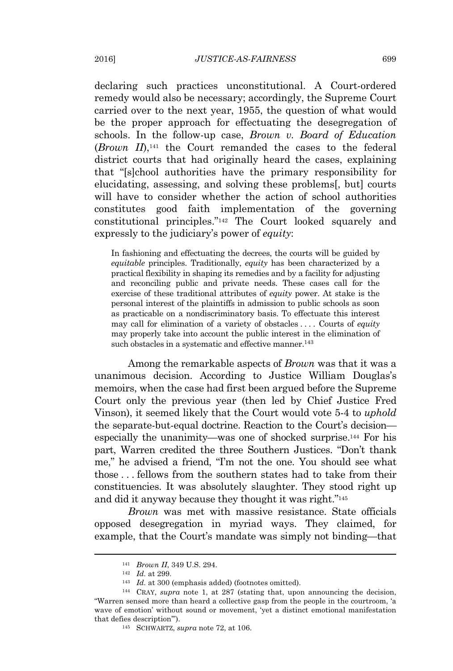declaring such practices unconstitutional. A Court-ordered remedy would also be necessary; accordingly, the Supreme Court carried over to the next year, 1955, the question of what would be the proper approach for effectuating the desegregation of schools. In the follow-up case, *Brown v. Board of Education* (*Brown II*),<sup>141</sup> the Court remanded the cases to the federal district courts that had originally heard the cases, explaining that "[s]chool authorities have the primary responsibility for elucidating, assessing, and solving these problems[, but] courts will have to consider whether the action of school authorities constitutes good faith implementation of the governing constitutional principles." <sup>142</sup> The Court looked squarely and expressly to the judiciary's power of *equity*:

In fashioning and effectuating the decrees, the courts will be guided by *equitable* principles. Traditionally, *equity* has been characterized by a practical flexibility in shaping its remedies and by a facility for adjusting and reconciling public and private needs. These cases call for the exercise of these traditional attributes of *equity* power. At stake is the personal interest of the plaintiffs in admission to public schools as soon as practicable on a nondiscriminatory basis. To effectuate this interest may call for elimination of a variety of obstacles . . . . Courts of *equity* may properly take into account the public interest in the elimination of such obstacles in a systematic and effective manner.<sup>143</sup>

Among the remarkable aspects of *Brown* was that it was a unanimous decision. According to Justice William Douglas's memoirs, when the case had first been argued before the Supreme Court only the previous year (then led by Chief Justice Fred Vinson), it seemed likely that the Court would vote 5-4 to *uphold* the separate-but-equal doctrine. Reaction to the Court's decision especially the unanimity—was one of shocked surprise.<sup>144</sup> For his part, Warren credited the three Southern Justices. "Don't thank me," he advised a friend, "I'm not the one. You should see what those . . . fellows from the southern states had to take from their constituencies. It was absolutely slaughter. They stood right up and did it anyway because they thought it was right." 145

*Brown* was met with massive resistance. State officials opposed desegregation in myriad ways. They claimed, for example, that the Court's mandate was simply not binding—that

<sup>141</sup> *Brown II*, 349 U.S. 294.

<sup>142</sup> *Id.* at 299.

<sup>143</sup> *Id.* at 300 (emphasis added) (footnotes omitted).

<sup>144</sup> CRAY, *supra* note 1, at 287 (stating that, upon announcing the decision, "Warren sensed more than heard a collective gasp from the people in the courtroom, 'a wave of emotion' without sound or movement, 'yet a distinct emotional manifestation that defies description'").

<sup>145</sup> SCHWARTZ, *supra* note 72, at 106.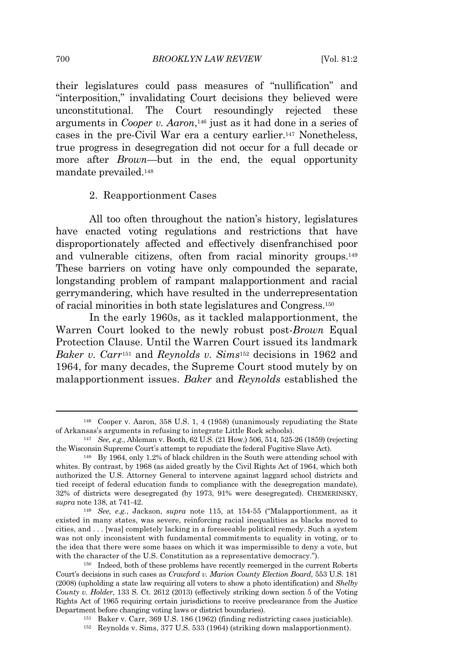#### 700 *BROOKLYN LAW REVIEW* [Vol. 81:2

their legislatures could pass measures of "nullification" and "interposition," invalidating Court decisions they believed were unconstitutional. The Court resoundingly rejected these arguments in *Cooper v. Aaron*, <sup>146</sup> just as it had done in a series of cases in the pre-Civil War era a century earlier.<sup>147</sup> Nonetheless, true progress in desegregation did not occur for a full decade or more after *Brown*—but in the end, the equal opportunity mandate prevailed.<sup>148</sup>

#### 2. Reapportionment Cases

All too often throughout the nation's history, legislatures have enacted voting regulations and restrictions that have disproportionately affected and effectively disenfranchised poor and vulnerable citizens, often from racial minority groups.<sup>149</sup> These barriers on voting have only compounded the separate, longstanding problem of rampant malapportionment and racial gerrymandering, which have resulted in the underrepresentation of racial minorities in both state legislatures and Congress.<sup>150</sup>

In the early 1960s, as it tackled malapportionment, the Warren Court looked to the newly robust post-*Brown* Equal Protection Clause. Until the Warren Court issued its landmark *Baker v. Carr*<sup>151</sup> and *Reynolds v. Sims*<sup>152</sup> decisions in 1962 and 1964, for many decades, the Supreme Court stood mutely by on malapportionment issues. *Baker* and *Reynolds* established the

<sup>152</sup> Reynolds v. Sims, 377 U.S. 533 (1964) (striking down malapportionment).

<sup>146</sup> Cooper v. Aaron, 358 U.S. 1, 4 (1958) (unanimously repudiating the State of Arkansas's arguments in refusing to integrate Little Rock schools).

<sup>147</sup> *See, e.g.*, Ableman v. Booth, 62 U.S. (21 How.) 506, 514, 525-26 (1859) (rejecting the Wisconsin Supreme Court's attempt to repudiate the federal Fugitive Slave Act).

<sup>148</sup> By 1964, only 1.2% of black children in the South were attending school with whites. By contrast, by 1968 (as aided greatly by the Civil Rights Act of 1964, which both authorized the U.S. Attorney General to intervene against laggard school districts and tied receipt of federal education funds to compliance with the desegregation mandate), 32% of districts were desegregated (by 1973, 91% were desegregated). CHEMERINSKY, *supra* note 138, at 741-42.

<sup>149</sup> *See, e.g.*, Jackson, *supra* note 115, at 154-55 ("Malapportionment, as it existed in many states, was severe, reinforcing racial inequalities as blacks moved to cities, and . . . [was] completely lacking in a foreseeable political remedy. Such a system was not only inconsistent with fundamental commitments to equality in voting, or to the idea that there were some bases on which it was impermissible to deny a vote, but with the character of the U.S. Constitution as a representative democracy.").

<sup>150</sup> Indeed, both of these problems have recently reemerged in the current Roberts Court's decisions in such cases as *Crawford v. Marion County Election Board*, 553 U.S. 181 (2008) (upholding a state law requiring all voters to show a photo identification) and *Shelby County v. Holder*, 133 S. Ct. 2612 (2013) (effectively striking down section 5 of the Voting Rights Act of 1965 requiring certain jurisdictions to receive preclearance from the Justice Department before changing voting laws or district boundaries).

<sup>151</sup> Baker v. Carr, 369 U.S. 186 (1962) (finding redistricting cases justiciable).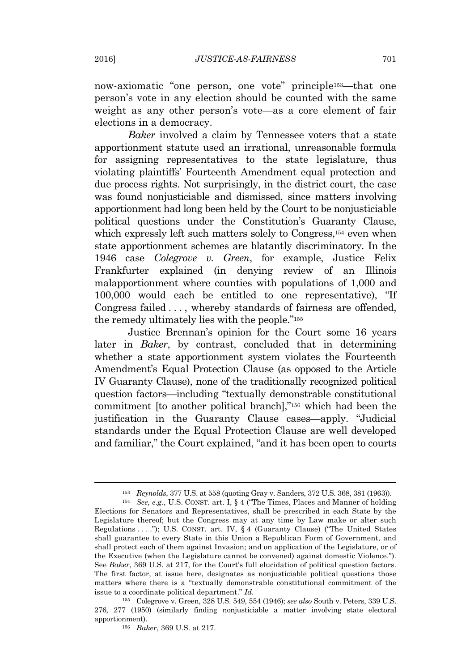now-axiomatic "one person, one vote" principle153—that one person's vote in any election should be counted with the same weight as any other person's vote—as a core element of fair elections in a democracy.

*Baker* involved a claim by Tennessee voters that a state apportionment statute used an irrational, unreasonable formula for assigning representatives to the state legislature, thus violating plaintiffs' Fourteenth Amendment equal protection and due process rights. Not surprisingly, in the district court, the case was found nonjusticiable and dismissed, since matters involving apportionment had long been held by the Court to be nonjusticiable political questions under the Constitution's Guaranty Clause, which expressly left such matters solely to Congress,<sup>154</sup> even when state apportionment schemes are blatantly discriminatory. In the 1946 case *Colegrove v. Green*, for example, Justice Felix Frankfurter explained (in denying review of an Illinois malapportionment where counties with populations of 1,000 and 100,000 would each be entitled to one representative), "If Congress failed ..., whereby standards of fairness are offended, the remedy ultimately lies with the people." 155

Justice Brennan's opinion for the Court some 16 years later in *Baker*, by contrast, concluded that in determining whether a state apportionment system violates the Fourteenth Amendment's Equal Protection Clause (as opposed to the Article IV Guaranty Clause), none of the traditionally recognized political question factors—including "textually demonstrable constitutional commitment [to another political branch]," <sup>156</sup> which had been the justification in the Guaranty Clause cases—apply. "Judicial standards under the Equal Protection Clause are well developed and familiar," the Court explained, "and it has been open to courts

<sup>153</sup> *Reynolds*, 377 U.S. at 558 (quoting Gray v. Sanders, 372 U.S. 368, 381 (1963)).

<sup>154</sup> *See, e.g.*, U.S. CONST. art. I, § 4 ("The Times, Places and Manner of holding Elections for Senators and Representatives, shall be prescribed in each State by the Legislature thereof; but the Congress may at any time by Law make or alter such Regulations . . . ."); U.S. CONST. art. IV, § 4 (Guaranty Clause) ("The United States shall guarantee to every State in this Union a Republican Form of Government, and shall protect each of them against Invasion; and on application of the Legislature, or of the Executive (when the Legislature cannot be convened) against domestic Violence."). See *Baker*, 369 U.S. at 217, for the Court's full elucidation of political question factors. The first factor, at issue here, designates as nonjusticiable political questions those matters where there is a "textually demonstrable constitutional commitment of the issue to a coordinate political department." *Id.*

<sup>155</sup> Colegrove v. Green, 328 U.S. 549, 554 (1946); *see also* South v. Peters, 339 U.S. 276, 277 (1950) (similarly finding nonjusticiable a matter involving state electoral apportionment).

<sup>156</sup> *Baker*, 369 U.S. at 217.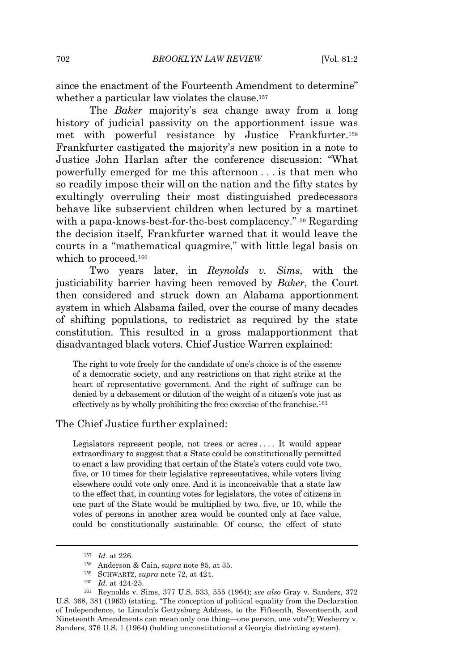since the enactment of the Fourteenth Amendment to determine" whether a particular law violates the clause.<sup>157</sup>

The *Baker* majority's sea change away from a long history of judicial passivity on the apportionment issue was met with powerful resistance by Justice Frankfurter.<sup>158</sup> Frankfurter castigated the majority's new position in a note to Justice John Harlan after the conference discussion: "What powerfully emerged for me this afternoon . . . is that men who so readily impose their will on the nation and the fifty states by exultingly overruling their most distinguished predecessors behave like subservient children when lectured by a martinet with a papa-knows-best-for-the-best complacency." <sup>159</sup> Regarding the decision itself, Frankfurter warned that it would leave the courts in a "mathematical quagmire," with little legal basis on which to proceed.<sup>160</sup>

Two years later, in *Reynolds v. Sims*, with the justiciability barrier having been removed by *Baker*, the Court then considered and struck down an Alabama apportionment system in which Alabama failed, over the course of many decades of shifting populations, to redistrict as required by the state constitution. This resulted in a gross malapportionment that disadvantaged black voters. Chief Justice Warren explained:

The right to vote freely for the candidate of one's choice is of the essence of a democratic society, and any restrictions on that right strike at the heart of representative government. And the right of suffrage can be denied by a debasement or dilution of the weight of a citizen's vote just as effectively as by wholly prohibiting the free exercise of the franchise.<sup>161</sup>

#### The Chief Justice further explained:

Legislators represent people, not trees or acres . . . . It would appear extraordinary to suggest that a State could be constitutionally permitted to enact a law providing that certain of the State's voters could vote two, five, or 10 times for their legislative representatives, while voters living elsewhere could vote only once. And it is inconceivable that a state law to the effect that, in counting votes for legislators, the votes of citizens in one part of the State would be multiplied by two, five, or 10, while the votes of persons in another area would be counted only at face value, could be constitutionally sustainable. Of course, the effect of state

<sup>157</sup> *Id.* at 226.

<sup>158</sup> Anderson & Cain, *supra* note 85, at 35.

<sup>159</sup> SCHWARTZ, *supra* note 72, at 424.

<sup>160</sup> *Id.* at 424-25.

<sup>161</sup> Reynolds v. Sims, 377 U.S. 533, 555 (1964); *see also* Gray v. Sanders, 372 U.S. 368, 381 (1963) (stating, "The conception of political equality from the Declaration of Independence, to Lincoln's Gettysburg Address, to the Fifteenth, Seventeenth, and Nineteenth Amendments can mean only one thing—one person, one vote"); Wesberry v. Sanders, 376 U.S. 1 (1964) (holding unconstitutional a Georgia districting system).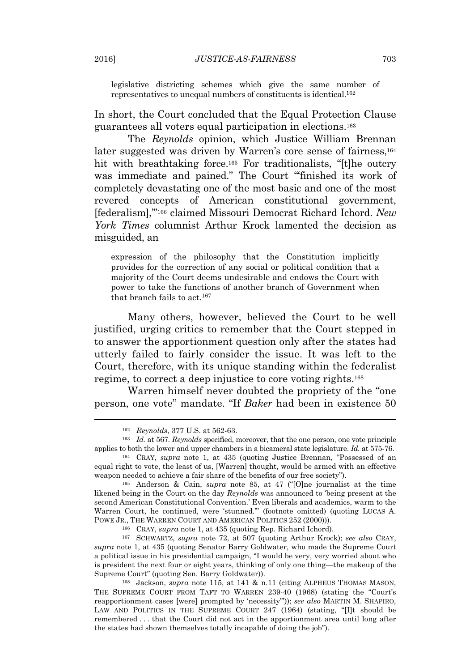legislative districting schemes which give the same number of representatives to unequal numbers of constituents is identical.<sup>162</sup>

In short, the Court concluded that the Equal Protection Clause guarantees all voters equal participation in elections.<sup>163</sup>

The *Reynolds* opinion, which Justice William Brennan later suggested was driven by Warren's core sense of fairness,<sup>164</sup> hit with breathtaking force.<sup>165</sup> For traditionalists, "[t]he outcry was immediate and pained." The Court "'finished its work of completely devastating one of the most basic and one of the most revered concepts of American constitutional government, [federalism],'" <sup>166</sup> claimed Missouri Democrat Richard Ichord. *New York Times* columnist Arthur Krock lamented the decision as misguided, an

expression of the philosophy that the Constitution implicitly provides for the correction of any social or political condition that a majority of the Court deems undesirable and endows the Court with power to take the functions of another branch of Government when that branch fails to act.<sup>167</sup>

Many others, however, believed the Court to be well justified, urging critics to remember that the Court stepped in to answer the apportionment question only after the states had utterly failed to fairly consider the issue. It was left to the Court, therefore, with its unique standing within the federalist regime, to correct a deep injustice to core voting rights.<sup>168</sup>

Warren himself never doubted the propriety of the "one person, one vote" mandate. "If *Baker* had been in existence 50

<sup>166</sup> CRAY, *supra* note 1, at 435 (quoting Rep. Richard Ichord).

<sup>162</sup> *Reynolds*, 377 U.S. at 562-63.

<sup>163</sup> *Id.* at 567. *Reynolds* specified, moreover, that the one person, one vote principle applies to both the lower and upper chambers in a bicameral state legislature. *Id.* at 575-76.

<sup>164</sup> CRAY, *supra* note 1, at 435 (quoting Justice Brennan, "Possessed of an equal right to vote, the least of us, [Warren] thought, would be armed with an effective weapon needed to achieve a fair share of the benefits of our free society").

<sup>165</sup> Anderson & Cain, *supra* note 85, at 47 ("[O]ne journalist at the time likened being in the Court on the day *Reynolds* was announced to 'being present at the second American Constitutional Convention.' Even liberals and academics, warm to the Warren Court, he continued, were 'stunned.'" (footnote omitted) (quoting LUCAS A. POWE JR., THE WARREN COURT AND AMERICAN POLITICS 252 (2000))).

<sup>167</sup> SCHWARTZ, *supra* note 72, at 507 (quoting Arthur Krock); *see also* CRAY, *supra* note 1, at 435 (quoting Senator Barry Goldwater, who made the Supreme Court a political issue in his presidential campaign, "I would be very, very worried about who is president the next four or eight years, thinking of only one thing—the makeup of the Supreme Court" (quoting Sen. Barry Goldwater)).

<sup>&</sup>lt;sup>168</sup> Jackson, *supra* note 115, at 141 & n.11 (citing ALPHEUS THOMAS MASON, THE SUPREME COURT FROM TAFT TO WARREN 239-40 (1968) (stating the "Court's reapportionment cases [were] prompted by 'necessity'")); *see also* MARTIN M. SHAPIRO, LAW AND POLITICS IN THE SUPREME COURT 247 (1964) (stating, "[I]t should be remembered . . . that the Court did not act in the apportionment area until long after the states had shown themselves totally incapable of doing the job").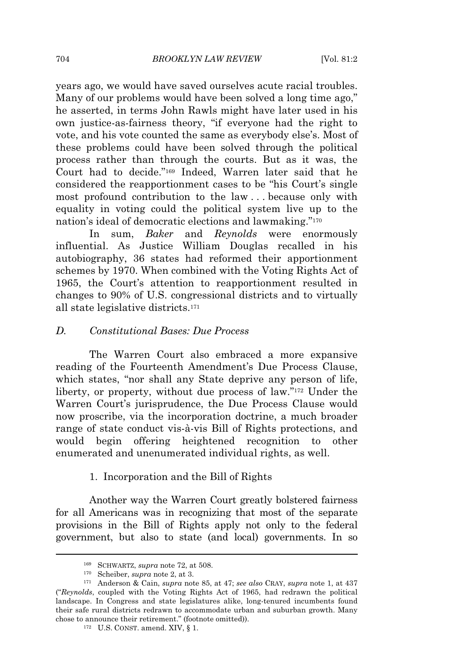years ago, we would have saved ourselves acute racial troubles. Many of our problems would have been solved a long time ago," he asserted, in terms John Rawls might have later used in his own justice-as-fairness theory, "if everyone had the right to vote, and his vote counted the same as everybody else's. Most of these problems could have been solved through the political process rather than through the courts. But as it was, the Court had to decide." <sup>169</sup> Indeed, Warren later said that he considered the reapportionment cases to be "his Court's single most profound contribution to the law . . . because only with equality in voting could the political system live up to the nation's ideal of democratic elections and lawmaking." 170

In sum, *Baker* and *Reynolds* were enormously influential. As Justice William Douglas recalled in his autobiography, 36 states had reformed their apportionment schemes by 1970. When combined with the Voting Rights Act of 1965, the Court's attention to reapportionment resulted in changes to 90% of U.S. congressional districts and to virtually all state legislative districts.<sup>171</sup>

#### *D. Constitutional Bases: Due Process*

The Warren Court also embraced a more expansive reading of the Fourteenth Amendment's Due Process Clause, which states, "nor shall any State deprive any person of life, liberty, or property, without due process of law." <sup>172</sup> Under the Warren Court's jurisprudence, the Due Process Clause would now proscribe, via the incorporation doctrine, a much broader range of state conduct vis-à-vis Bill of Rights protections, and would begin offering heightened recognition to other enumerated and unenumerated individual rights, as well.

#### 1. Incorporation and the Bill of Rights

Another way the Warren Court greatly bolstered fairness for all Americans was in recognizing that most of the separate provisions in the Bill of Rights apply not only to the federal government, but also to state (and local) governments. In so

<sup>169</sup> SCHWARTZ, *supra* note 72, at 508.

<sup>170</sup> Scheiber, *supra* note 2, at 3.

<sup>171</sup> Anderson & Cain, *supra* note 85, at 47; *see also* CRAY, *supra* note 1, at 437 ("*Reynolds*, coupled with the Voting Rights Act of 1965, had redrawn the political landscape. In Congress and state legislatures alike, long-tenured incumbents found their safe rural districts redrawn to accommodate urban and suburban growth. Many chose to announce their retirement." (footnote omitted)).

<sup>172</sup> U.S. CONST. amend. XIV, § 1.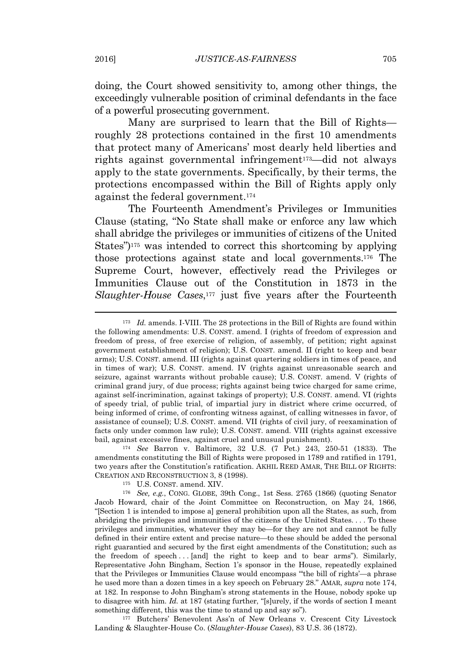doing, the Court showed sensitivity to, among other things, the exceedingly vulnerable position of criminal defendants in the face of a powerful prosecuting government.

Many are surprised to learn that the Bill of Rights roughly 28 protections contained in the first 10 amendments that protect many of Americans' most dearly held liberties and rights against governmental infringement<sup>173</sup>—did not always apply to the state governments. Specifically, by their terms, the protections encompassed within the Bill of Rights apply only against the federal government.<sup>174</sup>

The Fourteenth Amendment's Privileges or Immunities Clause (stating, "No State shall make or enforce any law which shall abridge the privileges or immunities of citizens of the United States") <sup>175</sup> was intended to correct this shortcoming by applying those protections against state and local governments.<sup>176</sup> The Supreme Court, however, effectively read the Privileges or Immunities Clause out of the Constitution in 1873 in the *Slaughter-House Cases*, <sup>177</sup> just five years after the Fourteenth

<sup>174</sup> *See* Barron v. Baltimore, 32 U.S. (7 Pet.) 243, 250-51 (1833). The amendments constituting the Bill of Rights were proposed in 1789 and ratified in 1791, two years after the Constitution's ratification. AKHIL REED AMAR, THE BILL OF RIGHTS: CREATION AND RECONSTRUCTION 3, 8 (1998).

<sup>177</sup> Butchers' Benevolent Ass'n of New Orleans v. Crescent City Livestock Landing & Slaughter-House Co. (*Slaughter-House Cases*), 83 U.S. 36 (1872).

<sup>&</sup>lt;sup>173</sup> *Id.* amends. I-VIII. The 28 protections in the Bill of Rights are found within the following amendments: U.S. CONST. amend. I (rights of freedom of expression and freedom of press, of free exercise of religion, of assembly, of petition; right against government establishment of religion); U.S. CONST. amend. II (right to keep and bear arms); U.S. CONST. amend. III (rights against quartering soldiers in times of peace, and in times of war); U.S. CONST. amend. IV (rights against unreasonable search and seizure, against warrants without probable cause); U.S. CONST. amend. V (rights of criminal grand jury, of due process; rights against being twice charged for same crime, against self-incrimination, against takings of property); U.S. CONST. amend. VI (rights of speedy trial, of public trial, of impartial jury in district where crime occurred, of being informed of crime, of confronting witness against, of calling witnesses in favor, of assistance of counsel); U.S. CONST. amend. VII (rights of civil jury, of reexamination of facts only under common law rule); U.S. CONST. amend. VIII (rights against excessive bail, against excessive fines, against cruel and unusual punishment).

<sup>175</sup> U.S. CONST. amend. XIV.

<sup>176</sup> *See, e.g.*, CONG. GLOBE, 39th Cong., 1st Sess. 2765 (1866) (quoting Senator Jacob Howard, chair of the Joint Committee on Reconstruction, on May 24, 1866, "[Section 1 is intended to impose a] general prohibition upon all the States, as such, from abridging the privileges and immunities of the citizens of the United States. . . . To these privileges and immunities, whatever they may be—for they are not and cannot be fully defined in their entire extent and precise nature—to these should be added the personal right guarantied and secured by the first eight amendments of the Constitution; such as the freedom of speech . . . [and] the right to keep and to bear arms"). Similarly, Representative John Bingham, Section 1's sponsor in the House, repeatedly explained that the Privileges or Immunities Clause would encompass "'the bill of rights'—a phrase he used more than a dozen times in a key speech on February 28." AMAR, *supra* note 174, at 182. In response to John Bingham's strong statements in the House, nobody spoke up to disagree with him. *Id.* at 187 (stating further, "[s]urely, if the words of section I meant something different, this was the time to stand up and say so").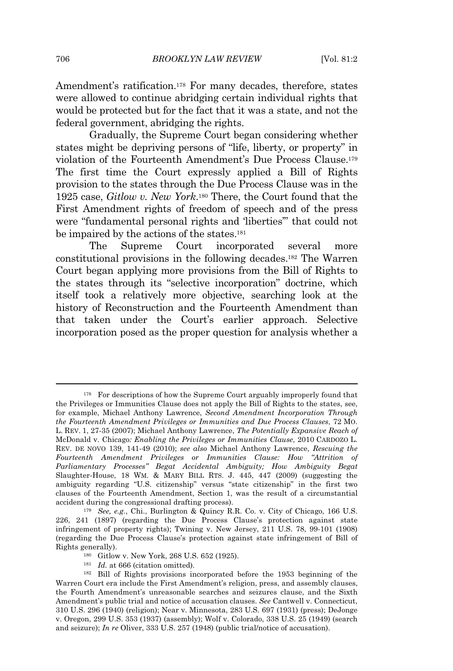Amendment's ratification.<sup>178</sup> For many decades, therefore, states were allowed to continue abridging certain individual rights that would be protected but for the fact that it was a state, and not the federal government, abridging the rights.

Gradually, the Supreme Court began considering whether states might be depriving persons of "life, liberty, or property" in violation of the Fourteenth Amendment's Due Process Clause.<sup>179</sup> The first time the Court expressly applied a Bill of Rights provision to the states through the Due Process Clause was in the 1925 case, *Gitlow v. New York*. <sup>180</sup> There, the Court found that the First Amendment rights of freedom of speech and of the press were "fundamental personal rights and 'liberties'" that could not be impaired by the actions of the states.<sup>181</sup>

The Supreme Court incorporated several more constitutional provisions in the following decades.<sup>182</sup> The Warren Court began applying more provisions from the Bill of Rights to the states through its "selective incorporation" doctrine, which itself took a relatively more objective, searching look at the history of Reconstruction and the Fourteenth Amendment than that taken under the Court's earlier approach. Selective incorporation posed as the proper question for analysis whether a

- <sup>180</sup> Gitlow v. New York, 268 U.S. 652 (1925).
- <sup>181</sup> *Id.* at 666 (citation omitted).

<sup>178</sup> For descriptions of how the Supreme Court arguably improperly found that the Privileges or Immunities Clause does not apply the Bill of Rights to the states, see, for example, Michael Anthony Lawrence, *Second Amendment Incorporation Through the Fourteenth Amendment Privileges or Immunities and Due Process Clauses*, 72 MO. L. REV. 1, 27-35 (2007); Michael Anthony Lawrence, *The Potentially Expansive Reach of* McDonald v. Chicago*: Enabling the Privileges or Immunities Clause*, 2010 CARDOZO L. REV. DE NOVO 139, 141-49 (2010); *see also* Michael Anthony Lawrence, *Rescuing the Fourteenth Amendment Privileges or Immunities Clause: How "Attrition of Parliamentary Processes" Begat Accidental Ambiguity; How Ambiguity Begat* Slaughter-House, 18 WM. & MARY BILL RTS. J. 445, 447 (2009) (suggesting the ambiguity regarding "U.S. citizenship" versus "state citizenship" in the first two clauses of the Fourteenth Amendment, Section 1, was the result of a circumstantial accident during the congressional drafting process).

<sup>179</sup> *See, e.g.*, Chi., Burlington & Quincy R.R. Co. v. City of Chicago, 166 U.S. 226, 241 (1897) (regarding the Due Process Clause's protection against state infringement of property rights); Twining v. New Jersey, 211 U.S. 78, 99-101 (1908) (regarding the Due Process Clause's protection against state infringement of Bill of Rights generally).

<sup>182</sup> Bill of Rights provisions incorporated before the 1953 beginning of the Warren Court era include the First Amendment's religion, press, and assembly clauses, the Fourth Amendment's unreasonable searches and seizures clause, and the Sixth Amendment's public trial and notice of accusation clauses. *See* Cantwell v. Connecticut, 310 U.S. 296 (1940) (religion); Near v. Minnesota, 283 U.S. 697 (1931) (press); DeJonge v. Oregon, 299 U.S. 353 (1937) (assembly); Wolf v. Colorado, 338 U.S. 25 (1949) (search and seizure); *In re* Oliver, 333 U.S. 257 (1948) (public trial/notice of accusation).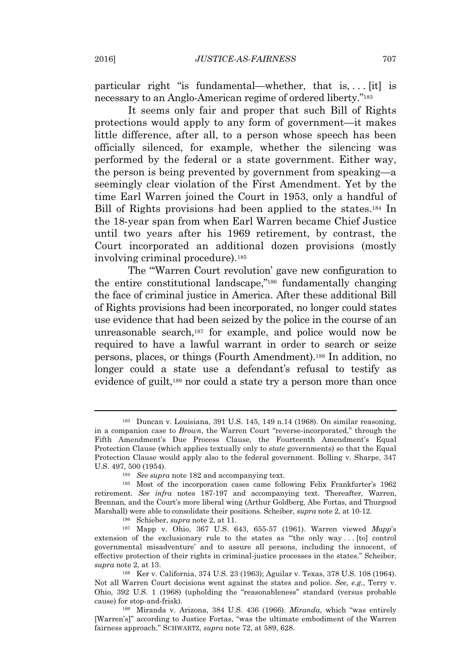particular right "is fundamental—whether, that is,  $\dots$  [it] is necessary to an Anglo-American regime of ordered liberty." 183

It seems only fair and proper that such Bill of Rights protections would apply to any form of government—it makes little difference, after all, to a person whose speech has been officially silenced, for example, whether the silencing was performed by the federal or a state government. Either way, the person is being prevented by government from speaking—a seemingly clear violation of the First Amendment. Yet by the time Earl Warren joined the Court in 1953, only a handful of Bill of Rights provisions had been applied to the states.<sup>184</sup> In the 18-year span from when Earl Warren became Chief Justice until two years after his 1969 retirement, by contrast, the Court incorporated an additional dozen provisions (mostly involving criminal procedure).<sup>185</sup>

The "'Warren Court revolution' gave new configuration to the entire constitutional landscape," <sup>186</sup> fundamentally changing the face of criminal justice in America. After these additional Bill of Rights provisions had been incorporated, no longer could states use evidence that had been seized by the police in the course of an unreasonable search,<sup>187</sup> for example, and police would now be required to have a lawful warrant in order to search or seize persons, places, or things (Fourth Amendment).<sup>188</sup> In addition, no longer could a state use a defendant's refusal to testify as evidence of guilt,<sup>189</sup> nor could a state try a person more than once

<sup>183</sup> Duncan v. Louisiana, 391 U.S. 145, 149 n.14 (1968). On similar reasoning, in a companion case to *Brown*, the Warren Court "reverse-incorporated," through the Fifth Amendment's Due Process Clause, the Fourteenth Amendment's Equal Protection Clause (which applies textually only to *state* governments) so that the Equal Protection Clause would apply also to the federal government. Bolling v. Sharpe, 347 U.S. 497, 500 (1954).

<sup>184</sup> *See supra* note 182 and accompanying text.

<sup>185</sup> Most of the incorporation cases came following Felix Frankfurter's 1962 retirement. *See infra* notes 187-197 and accompanying text. Thereafter, Warren, Brennan, and the Court's more liberal wing (Arthur Goldberg, Abe Fortas, and Thurgood Marshall) were able to consolidate their positions. Scheiber, *supra* note 2, at 10-12.

<sup>186</sup> Schieber, *supra* note 2, at 11.

<sup>187</sup> Mapp v. Ohio, 367 U.S. 643, 655-57 (1961). Warren viewed *Mapp*'s extension of the exclusionary rule to the states as "'the only way . . . [to] control governmental misadventure' and to assure all persons, including the innocent, of effective protection of their rights in criminal-justice processes in the states." Scheiber, *supra* note 2, at 13.

<sup>188</sup> Ker v. California, 374 U.S. 23 (1963); Aguilar v. Texas, 378 U.S. 108 (1964). Not all Warren Court decisions went against the states and police. *See, e.g.*, Terry v. Ohio, 392 U.S. 1 (1968) (upholding the "reasonableness" standard (versus probable cause) for stop-and-frisk).

<sup>189</sup> Miranda v. Arizona, 384 U.S. 436 (1966). *Miranda*, which "was entirely [Warren's]" according to Justice Fortas, "was the ultimate embodiment of the Warren fairness approach." SCHWARTZ, *supra* note 72, at 589, 628.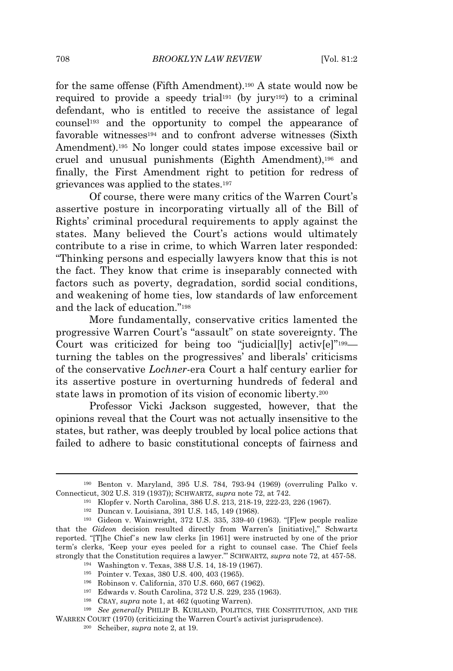for the same offense (Fifth Amendment).<sup>190</sup> A state would now be required to provide a speedy trial<sup>191</sup> (by jury<sup>192</sup>) to a criminal defendant, who is entitled to receive the assistance of legal counsel<sup>193</sup> and the opportunity to compel the appearance of favorable witnesses<sup>194</sup> and to confront adverse witnesses (Sixth Amendment).<sup>195</sup> No longer could states impose excessive bail or cruel and unusual punishments (Eighth Amendment),<sup>196</sup> and finally, the First Amendment right to petition for redress of grievances was applied to the states.<sup>197</sup>

Of course, there were many critics of the Warren Court's assertive posture in incorporating virtually all of the Bill of Rights' criminal procedural requirements to apply against the states. Many believed the Court's actions would ultimately contribute to a rise in crime, to which Warren later responded: "Thinking persons and especially lawyers know that this is not the fact. They know that crime is inseparably connected with factors such as poverty, degradation, sordid social conditions, and weakening of home ties, low standards of law enforcement and the lack of education." 198

More fundamentally, conservative critics lamented the progressive Warren Court's "assault" on state sovereignty. The Court was criticized for being too "judicial[ly] activ[e]"<sup>199</sup>turning the tables on the progressives' and liberals' criticisms of the conservative *Lochner*-era Court a half century earlier for its assertive posture in overturning hundreds of federal and state laws in promotion of its vision of economic liberty.<sup>200</sup>

Professor Vicki Jackson suggested, however, that the opinions reveal that the Court was not actually insensitive to the states, but rather, was deeply troubled by local police actions that failed to adhere to basic constitutional concepts of fairness and

<sup>190</sup> Benton v. Maryland, 395 U.S. 784, 793-94 (1969) (overruling Palko v. Connecticut, 302 U.S. 319 (1937)); SCHWARTZ, *supra* note 72, at 742.

<sup>191</sup> Klopfer v. North Carolina, 386 U.S. 213, 218-19, 222-23, 226 (1967).

<sup>192</sup> Duncan v. Louisiana, 391 U.S. 145, 149 (1968).

<sup>193</sup> Gideon v. Wainwright, 372 U.S. 335, 339-40 (1963). "[F]ew people realize that the *Gideon* decision resulted directly from Warren's [initiative]," Schwartz reported. "[T]he Chief's new law clerks [in 1961] were instructed by one of the prior term's clerks, 'Keep your eyes peeled for a right to counsel case. The Chief feels strongly that the Constitution requires a lawyer.'" SCHWARTZ, *supra* note 72, at 457-58.

<sup>194</sup> Washington v. Texas, 388 U.S. 14, 18-19 (1967).

<sup>195</sup> Pointer v. Texas, 380 U.S. 400, 403 (1965).

<sup>196</sup> Robinson v. California, 370 U.S. 660, 667 (1962).

<sup>197</sup> Edwards v. South Carolina, 372 U.S. 229, 235 (1963).

<sup>198</sup> CRAY, *supra* note 1, at 462 (quoting Warren).

<sup>199</sup> *See generally* PHILIP B. KURLAND, POLITICS, THE CONSTITUTION, AND THE

WARREN COURT (1970) (criticizing the Warren Court's activist jurisprudence).

<sup>200</sup> Scheiber, *supra* note 2, at 19.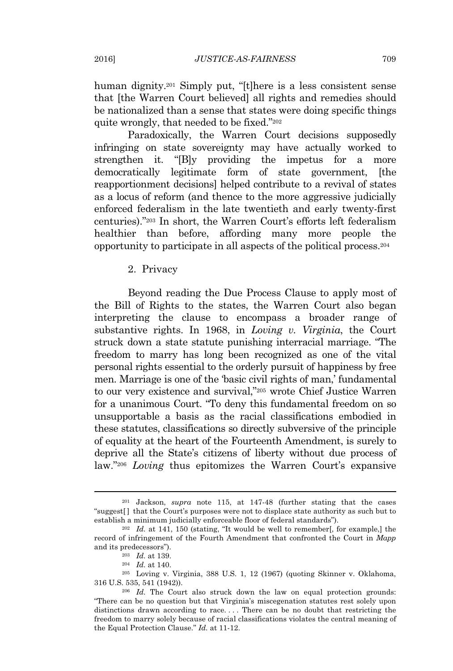human dignity.<sup>201</sup> Simply put, "[t]here is a less consistent sense that [the Warren Court believed] all rights and remedies should be nationalized than a sense that states were doing specific things quite wrongly, that needed to be fixed." 202

Paradoxically, the Warren Court decisions supposedly infringing on state sovereignty may have actually worked to strengthen it. "[B]y providing the impetus for a more democratically legitimate form of state government, [the reapportionment decisions] helped contribute to a revival of states as a locus of reform (and thence to the more aggressive judicially enforced federalism in the late twentieth and early twenty-first centuries)." <sup>203</sup> In short, the Warren Court's efforts left federalism healthier than before, affording many more people the opportunity to participate in all aspects of the political process.<sup>204</sup>

2. Privacy

Beyond reading the Due Process Clause to apply most of the Bill of Rights to the states, the Warren Court also began interpreting the clause to encompass a broader range of substantive rights. In 1968, in *Loving v. Virginia*, the Court struck down a state statute punishing interracial marriage. "The freedom to marry has long been recognized as one of the vital personal rights essential to the orderly pursuit of happiness by free men. Marriage is one of the 'basic civil rights of man,' fundamental to our very existence and survival," <sup>205</sup> wrote Chief Justice Warren for a unanimous Court. "To deny this fundamental freedom on so unsupportable a basis as the racial classifications embodied in these statutes, classifications so directly subversive of the principle of equality at the heart of the Fourteenth Amendment, is surely to deprive all the State's citizens of liberty without due process of law." <sup>206</sup> *Loving* thus epitomizes the Warren Court's expansive

<sup>201</sup> Jackson, *supra* note 115, at 147-48 (further stating that the cases "suggest[ ] that the Court's purposes were not to displace state authority as such but to establish a minimum judicially enforceable floor of federal standards").

<sup>202</sup> *Id.* at 141, 150 (stating, "It would be well to remember[, for example,] the record of infringement of the Fourth Amendment that confronted the Court in *Mapp* and its predecessors").

<sup>203</sup> *Id.* at 139.

<sup>204</sup> *Id.* at 140.

<sup>205</sup> Loving v. Virginia, 388 U.S. 1, 12 (1967) (quoting Skinner v. Oklahoma, 316 U.S. 535, 541 (1942)).

<sup>206</sup> *Id.* The Court also struck down the law on equal protection grounds: "There can be no question but that Virginia's miscegenation statutes rest solely upon distinctions drawn according to race. . . . There can be no doubt that restricting the freedom to marry solely because of racial classifications violates the central meaning of the Equal Protection Clause." *Id.* at 11-12.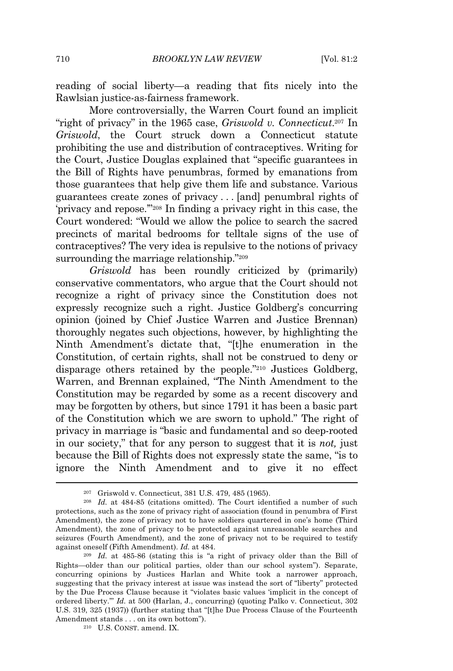reading of social liberty—a reading that fits nicely into the Rawlsian justice-as-fairness framework.

More controversially, the Warren Court found an implicit "right of privacy" in the 1965 case, *Griswold v. Connecticut*. <sup>207</sup> In *Griswold*, the Court struck down a Connecticut statute prohibiting the use and distribution of contraceptives. Writing for the Court, Justice Douglas explained that "specific guarantees in the Bill of Rights have penumbras, formed by emanations from those guarantees that help give them life and substance. Various guarantees create zones of privacy . . . [and] penumbral rights of 'privacy and repose.'" <sup>208</sup> In finding a privacy right in this case, the Court wondered: "Would we allow the police to search the sacred precincts of marital bedrooms for telltale signs of the use of contraceptives? The very idea is repulsive to the notions of privacy surrounding the marriage relationship."<sup>209</sup>

*Griswold* has been roundly criticized by (primarily) conservative commentators, who argue that the Court should not recognize a right of privacy since the Constitution does not expressly recognize such a right. Justice Goldberg's concurring opinion (joined by Chief Justice Warren and Justice Brennan) thoroughly negates such objections, however, by highlighting the Ninth Amendment's dictate that, "[t]he enumeration in the Constitution, of certain rights, shall not be construed to deny or disparage others retained by the people." <sup>210</sup> Justices Goldberg, Warren, and Brennan explained, "The Ninth Amendment to the Constitution may be regarded by some as a recent discovery and may be forgotten by others, but since 1791 it has been a basic part of the Constitution which we are sworn to uphold." The right of privacy in marriage is "basic and fundamental and so deep-rooted in our society," that for any person to suggest that it is *not,* just because the Bill of Rights does not expressly state the same, "is to ignore the Ninth Amendment and to give it no effect

<sup>207</sup> Griswold v. Connecticut, 381 U.S. 479, 485 (1965).

<sup>208</sup> *Id.* at 484-85 (citations omitted). The Court identified a number of such protections, such as the zone of privacy right of association (found in penumbra of First Amendment), the zone of privacy not to have soldiers quartered in one's home (Third Amendment), the zone of privacy to be protected against unreasonable searches and seizures (Fourth Amendment), and the zone of privacy not to be required to testify against oneself (Fifth Amendment). *Id.* at 484.

<sup>209</sup> *Id.* at 485-86 (stating this is "a right of privacy older than the Bill of Rights—older than our political parties, older than our school system"). Separate, concurring opinions by Justices Harlan and White took a narrower approach, suggesting that the privacy interest at issue was instead the sort of "liberty" protected by the Due Process Clause because it "violates basic values 'implicit in the concept of ordered liberty.'" *Id.* at 500 (Harlan, J., concurring) (quoting Palko v. Connecticut, 302 U.S. 319, 325 (1937)) (further stating that "[t]he Due Process Clause of the Fourteenth Amendment stands . . . on its own bottom").

<sup>210</sup> U.S. CONST. amend. IX.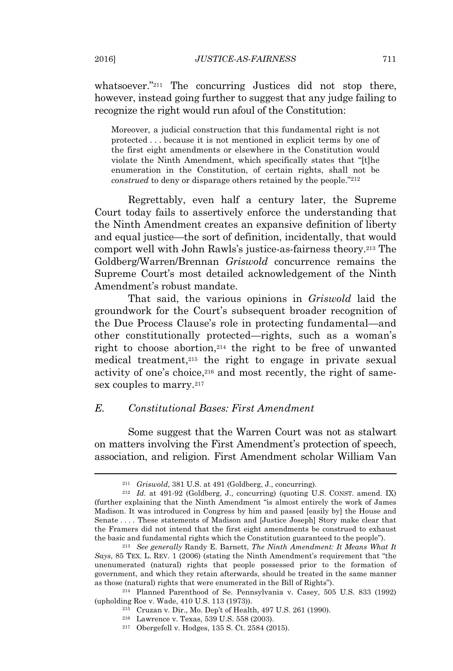whatsoever." <sup>211</sup> The concurring Justices did not stop there, however, instead going further to suggest that any judge failing to recognize the right would run afoul of the Constitution:

Moreover, a judicial construction that this fundamental right is not protected . . . because it is not mentioned in explicit terms by one of the first eight amendments or elsewhere in the Constitution would violate the Ninth Amendment, which specifically states that "[t]he enumeration in the Constitution, of certain rights, shall not be *construed* to deny or disparage others retained by the people." 212

Regrettably, even half a century later, the Supreme Court today fails to assertively enforce the understanding that the Ninth Amendment creates an expansive definition of liberty and equal justice—the sort of definition, incidentally, that would comport well with John Rawls's justice-as-fairness theory.<sup>213</sup> The Goldberg/Warren/Brennan *Griswold* concurrence remains the Supreme Court's most detailed acknowledgement of the Ninth Amendment's robust mandate.

That said, the various opinions in *Griswold* laid the groundwork for the Court's subsequent broader recognition of the Due Process Clause's role in protecting fundamental—and other constitutionally protected—rights, such as a woman's right to choose abortion,<sup>214</sup> the right to be free of unwanted medical treatment,<sup>215</sup> the right to engage in private sexual activity of one's choice,<sup>216</sup> and most recently, the right of samesex couples to marry.<sup>217</sup>

#### *E. Constitutional Bases: First Amendment*

Some suggest that the Warren Court was not as stalwart on matters involving the First Amendment's protection of speech, association, and religion. First Amendment scholar William Van

<sup>211</sup> *Griswold*, 381 U.S. at 491 (Goldberg, J., concurring).

<sup>212</sup> *Id.* at 491-92 (Goldberg, J., concurring) (quoting U.S. CONST. amend. IX) (further explaining that the Ninth Amendment "is almost entirely the work of James Madison. It was introduced in Congress by him and passed [easily by] the House and Senate . . . . These statements of Madison and [Justice Joseph] Story make clear that the Framers did not intend that the first eight amendments be construed to exhaust the basic and fundamental rights which the Constitution guaranteed to the people").

<sup>213</sup> *See generally* Randy E. Barnett, *The Ninth Amendment: It Means What It Says*, 85 TEX. L. REV. 1 (2006) (stating the Ninth Amendment's requirement that "the unenumerated (natural) rights that people possessed prior to the formation of government, and which they retain afterwards, should be treated in the same manner as those (natural) rights that were enumerated in the Bill of Rights").

<sup>214</sup> Planned Parenthood of Se. Pennsylvania v. Casey, 505 U.S. 833 (1992) (upholding Roe v. Wade, 410 U.S. 113 (1973)).

<sup>215</sup> Cruzan v. Dir., Mo. Dep't of Health, 497 U.S. 261 (1990).

<sup>216</sup> Lawrence v. Texas, 539 U.S. 558 (2003).

<sup>217</sup> Obergefell v. Hodges, 135 S. Ct. 2584 (2015).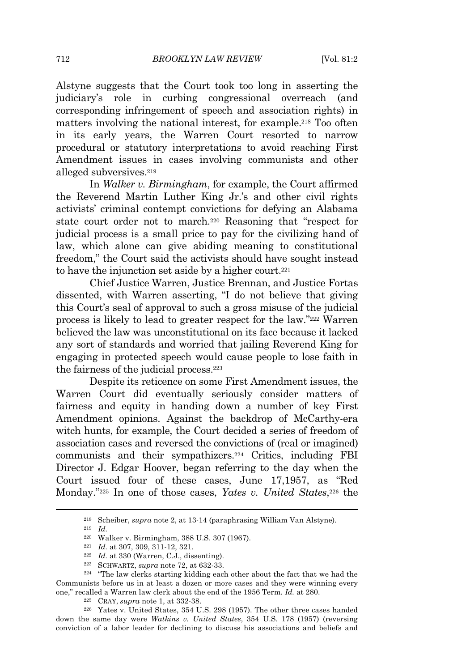Alstyne suggests that the Court took too long in asserting the judiciary's role in curbing congressional overreach (and corresponding infringement of speech and association rights) in matters involving the national interest, for example.<sup>218</sup> Too often in its early years, the Warren Court resorted to narrow procedural or statutory interpretations to avoid reaching First Amendment issues in cases involving communists and other alleged subversives.<sup>219</sup>

In *Walker v. Birmingham*, for example, the Court affirmed the Reverend Martin Luther King Jr.'s and other civil rights activists' criminal contempt convictions for defying an Alabama state court order not to march.<sup>220</sup> Reasoning that "respect for judicial process is a small price to pay for the civilizing hand of law, which alone can give abiding meaning to constitutional freedom," the Court said the activists should have sought instead to have the injunction set aside by a higher court.<sup>221</sup>

Chief Justice Warren, Justice Brennan, and Justice Fortas dissented, with Warren asserting, "I do not believe that giving this Court's seal of approval to such a gross misuse of the judicial process is likely to lead to greater respect for the law." <sup>222</sup> Warren believed the law was unconstitutional on its face because it lacked any sort of standards and worried that jailing Reverend King for engaging in protected speech would cause people to lose faith in the fairness of the judicial process.<sup>223</sup>

Despite its reticence on some First Amendment issues, the Warren Court did eventually seriously consider matters of fairness and equity in handing down a number of key First Amendment opinions. Against the backdrop of McCarthy-era witch hunts, for example, the Court decided a series of freedom of association cases and reversed the convictions of (real or imagined) communists and their sympathizers.<sup>224</sup> Critics, including FBI Director J. Edgar Hoover, began referring to the day when the Court issued four of these cases, June 17,1957, as "Red Monday." <sup>225</sup> In one of those cases, *Yates v. United States*, <sup>226</sup> the

<sup>218</sup> Scheiber, *supra* note 2, at 13-14 (paraphrasing William Van Alstyne).

<sup>219</sup> *Id.*

<sup>220</sup> Walker v. Birmingham, 388 U.S. 307 (1967).

<sup>221</sup> *Id.* at 307, 309, 311-12, 321.

 $222$  *Id.* at 330 (Warren, C.J., dissenting).

<sup>223</sup> SCHWARTZ, *supra* note 72, at 632-33.

<sup>224</sup> "The law clerks starting kidding each other about the fact that we had the Communists before us in at least a dozen or more cases and they were winning every one," recalled a Warren law clerk about the end of the 1956 Term. *Id.* at 280.

<sup>225</sup> CRAY, *supra* note 1, at 332-38.

<sup>226</sup> Yates v. United States, 354 U.S. 298 (1957). The other three cases handed down the same day were *Watkins v. United States*, 354 U.S. 178 (1957) (reversing conviction of a labor leader for declining to discuss his associations and beliefs and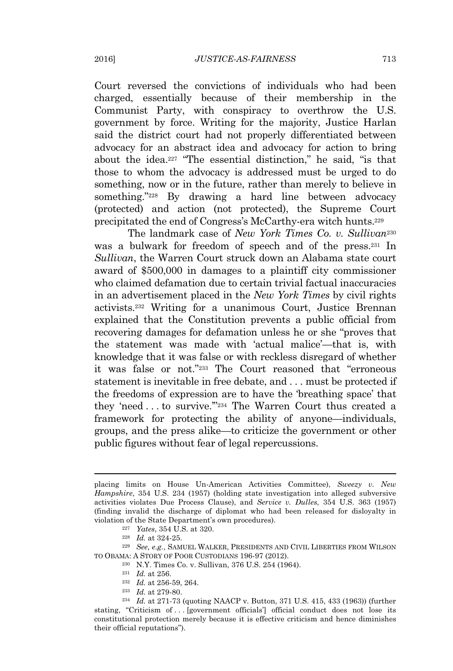Court reversed the convictions of individuals who had been charged, essentially because of their membership in the Communist Party, with conspiracy to overthrow the U.S. government by force. Writing for the majority, Justice Harlan said the district court had not properly differentiated between advocacy for an abstract idea and advocacy for action to bring about the idea.<sup>227</sup> "The essential distinction," he said, "is that those to whom the advocacy is addressed must be urged to do something, now or in the future, rather than merely to believe in something." <sup>228</sup> By drawing a hard line between advocacy (protected) and action (not protected), the Supreme Court precipitated the end of Congress's McCarthy-era witch hunts.<sup>229</sup>

The landmark case of *New York Times Co. v. Sullivan*<sup>230</sup> was a bulwark for freedom of speech and of the press.<sup>231</sup> In *Sullivan*, the Warren Court struck down an Alabama state court award of \$500,000 in damages to a plaintiff city commissioner who claimed defamation due to certain trivial factual inaccuracies in an advertisement placed in the *New York Times* by civil rights activists.<sup>232</sup> Writing for a unanimous Court, Justice Brennan explained that the Constitution prevents a public official from recovering damages for defamation unless he or she "proves that the statement was made with 'actual malice'—that is, with knowledge that it was false or with reckless disregard of whether it was false or not." <sup>233</sup> The Court reasoned that "erroneous statement is inevitable in free debate, and . . . must be protected if the freedoms of expression are to have the 'breathing space' that they 'need . . . to survive.'" <sup>234</sup> The Warren Court thus created a framework for protecting the ability of anyone—individuals, groups, and the press alike—to criticize the government or other public figures without fear of legal repercussions.

placing limits on House Un-American Activities Committee), *Sweezy v. New Hampshire*, 354 U.S. 234 (1957) (holding state investigation into alleged subversive activities violates Due Process Clause), and *Service v. Dulles*, 354 U.S. 363 (1957) (finding invalid the discharge of diplomat who had been released for disloyalty in violation of the State Department's own procedures).

<sup>227</sup> *Yates*, 354 U.S. at 320.

<sup>228</sup> *Id.* at 324-25.

<sup>229</sup> *See, e.g.*, SAMUEL WALKER, PRESIDENTS AND CIVIL LIBERTIES FROM WILSON TO OBAMA: A STORY OF POOR CUSTODIANS 196-97 (2012).

<sup>230</sup> N.Y. Times Co. v. Sullivan, 376 U.S. 254 (1964).

<sup>231</sup> *Id.* at 256.

<sup>232</sup> *Id.* at 256-59, 264.

<sup>233</sup> *Id.* at 279-80.

<sup>234</sup> *Id.* at 271-73 (quoting NAACP v. Button, 371 U.S. 415, 433 (1963)) (further stating, "Criticism of . . . [government officials'] official conduct does not lose its constitutional protection merely because it is effective criticism and hence diminishes their official reputations").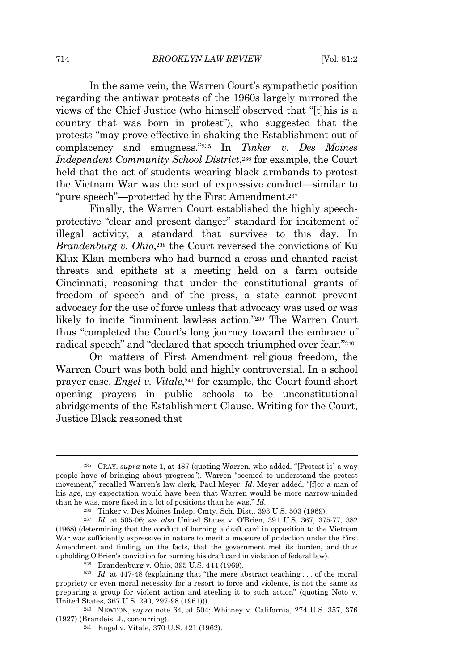In the same vein, the Warren Court's sympathetic position regarding the antiwar protests of the 1960s largely mirrored the views of the Chief Justice (who himself observed that "[t]his is a country that was born in protest"), who suggested that the protests "may prove effective in shaking the Establishment out of complacency and smugness." <sup>235</sup> In *Tinker v. Des Moines Independent Community School District*, <sup>236</sup> for example, the Court held that the act of students wearing black armbands to protest the Vietnam War was the sort of expressive conduct—similar to "pure speech"—protected by the First Amendment.<sup>237</sup>

Finally, the Warren Court established the highly speechprotective "clear and present danger" standard for incitement of illegal activity, a standard that survives to this day. In *Brandenburg v. Ohio*, <sup>238</sup> the Court reversed the convictions of Ku Klux Klan members who had burned a cross and chanted racist threats and epithets at a meeting held on a farm outside Cincinnati, reasoning that under the constitutional grants of freedom of speech and of the press, a state cannot prevent advocacy for the use of force unless that advocacy was used or was likely to incite "imminent lawless action." <sup>239</sup> The Warren Court thus "completed the Court's long journey toward the embrace of radical speech" and "declared that speech triumphed over fear." 240

On matters of First Amendment religious freedom, the Warren Court was both bold and highly controversial. In a school prayer case, *Engel v. Vitale*, <sup>241</sup> for example, the Court found short opening prayers in public schools to be unconstitutional abridgements of the Establishment Clause. Writing for the Court, Justice Black reasoned that

<sup>235</sup> CRAY, *supra* note 1, at 487 (quoting Warren, who added, "[Protest is] a way people have of bringing about progress"). Warren "seemed to understand the protest movement," recalled Warren's law clerk, Paul Meyer. *Id.* Meyer added, "[f]or a man of his age, my expectation would have been that Warren would be more narrow-minded than he was, more fixed in a lot of positions than he was." *Id.*

<sup>236</sup> Tinker v. Des Moines Indep. Cmty. Sch. Dist., 393 U.S. 503 (1969).

<sup>237</sup> *Id.* at 505-06; *see also* United States v. O'Brien, 391 U.S. 367, 375-77, 382 (1968) (determining that the conduct of burning a draft card in opposition to the Vietnam War was sufficiently expressive in nature to merit a measure of protection under the First Amendment and finding, on the facts, that the government met its burden, and thus upholding O'Brien's conviction for burning his draft card in violation of federal law).

<sup>238</sup> Brandenburg v. Ohio, 395 U.S. 444 (1969).

<sup>239</sup> *Id.* at 447-48 (explaining that "the mere abstract teaching . . . of the moral propriety or even moral necessity for a resort to force and violence, is not the same as preparing a group for violent action and steeling it to such action" (quoting Noto v. United States, 367 U.S. 290, 297-98 (1961))).

<sup>240</sup> NEWTON, *supra* note 64, at 504; Whitney v. California, 274 U.S. 357, 376 (1927) (Brandeis, J., concurring).

<sup>241</sup> Engel v. Vitale, 370 U.S. 421 (1962).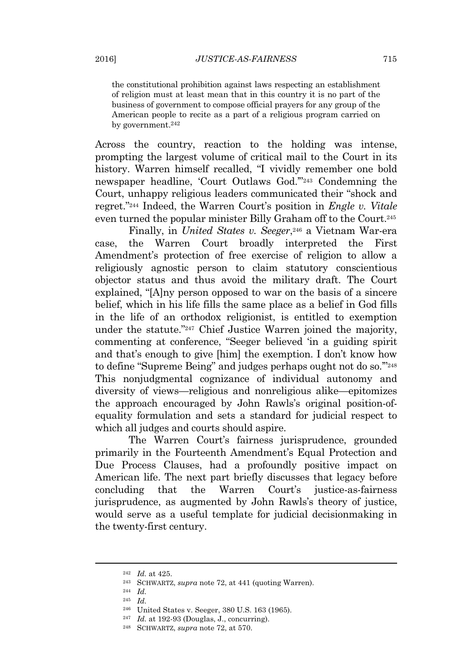the constitutional prohibition against laws respecting an establishment of religion must at least mean that in this country it is no part of the business of government to compose official prayers for any group of the American people to recite as a part of a religious program carried on by government.<sup>242</sup>

Across the country, reaction to the holding was intense, prompting the largest volume of critical mail to the Court in its history. Warren himself recalled, "I vividly remember one bold newspaper headline, 'Court Outlaws God.'" <sup>243</sup> Condemning the Court, unhappy religious leaders communicated their "shock and regret." <sup>244</sup> Indeed, the Warren Court's position in *Engle v. Vitale* even turned the popular minister Billy Graham off to the Court.<sup>245</sup>

Finally, in *United States v. Seeger*, <sup>246</sup> a Vietnam War-era case, the Warren Court broadly interpreted the First Amendment's protection of free exercise of religion to allow a religiously agnostic person to claim statutory conscientious objector status and thus avoid the military draft. The Court explained, "[A]ny person opposed to war on the basis of a sincere belief, which in his life fills the same place as a belief in God fills in the life of an orthodox religionist, is entitled to exemption under the statute." <sup>247</sup> Chief Justice Warren joined the majority, commenting at conference, "Seeger believed 'in a guiding spirit and that's enough to give [him] the exemption. I don't know how to define "Supreme Being" and judges perhaps ought not do so.'" 248 This nonjudgmental cognizance of individual autonomy and diversity of views—religious and nonreligious alike—epitomizes the approach encouraged by John Rawls's original position-ofequality formulation and sets a standard for judicial respect to which all judges and courts should aspire.

The Warren Court's fairness jurisprudence, grounded primarily in the Fourteenth Amendment's Equal Protection and Due Process Clauses, had a profoundly positive impact on American life. The next part briefly discusses that legacy before concluding that the Warren Court's justice-as-fairness jurisprudence, as augmented by John Rawls's theory of justice, would serve as a useful template for judicial decisionmaking in the twenty-first century.

<sup>242</sup> *Id.* at 425.

<sup>243</sup> SCHWARTZ, *supra* note 72, at 441 (quoting Warren).

<sup>244</sup> *Id.*

<sup>245</sup> *Id.*

<sup>246</sup> United States v. Seeger, 380 U.S. 163 (1965).

<sup>247</sup> *Id.* at 192-93 (Douglas, J., concurring).

<sup>248</sup> SCHWARTZ, *supra* note 72, at 570.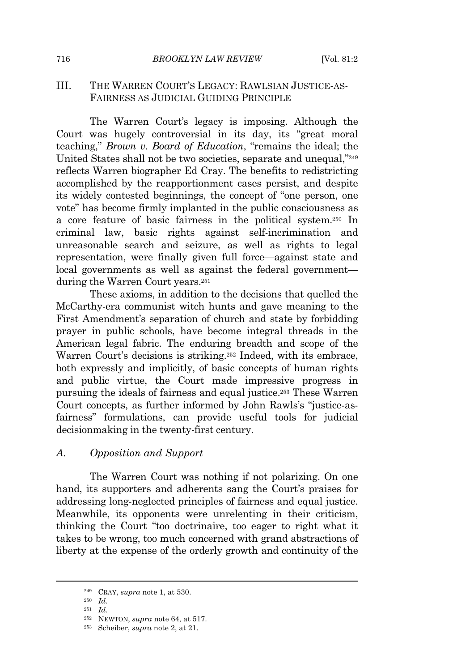#### III. THE WARREN COURT'S LEGACY: RAWLSIAN JUSTICE-AS-FAIRNESS AS JUDICIAL GUIDING PRINCIPLE

The Warren Court's legacy is imposing. Although the Court was hugely controversial in its day, its "great moral teaching," *Brown v. Board of Education*, "remains the ideal; the United States shall not be two societies, separate and unequal," 249 reflects Warren biographer Ed Cray. The benefits to redistricting accomplished by the reapportionment cases persist, and despite its widely contested beginnings, the concept of "one person, one vote" has become firmly implanted in the public consciousness as a core feature of basic fairness in the political system.<sup>250</sup> In criminal law, basic rights against self-incrimination and unreasonable search and seizure, as well as rights to legal representation, were finally given full force—against state and local governments as well as against the federal government during the Warren Court years.<sup>251</sup>

These axioms, in addition to the decisions that quelled the McCarthy-era communist witch hunts and gave meaning to the First Amendment's separation of church and state by forbidding prayer in public schools, have become integral threads in the American legal fabric. The enduring breadth and scope of the Warren Court's decisions is striking.<sup>252</sup> Indeed, with its embrace, both expressly and implicitly, of basic concepts of human rights and public virtue, the Court made impressive progress in pursuing the ideals of fairness and equal justice.<sup>253</sup> These Warren Court concepts, as further informed by John Rawls's "justice-asfairness" formulations, can provide useful tools for judicial decisionmaking in the twenty-first century.

#### *A. Opposition and Support*

The Warren Court was nothing if not polarizing. On one hand, its supporters and adherents sang the Court's praises for addressing long-neglected principles of fairness and equal justice. Meanwhile, its opponents were unrelenting in their criticism, thinking the Court "too doctrinaire, too eager to right what it takes to be wrong, too much concerned with grand abstractions of liberty at the expense of the orderly growth and continuity of the

<sup>249</sup> CRAY, *supra* note 1, at 530.

<sup>250</sup> *Id.*

<sup>251</sup> *Id.*

<sup>252</sup> NEWTON, *supra* note 64, at 517.

<sup>253</sup> Scheiber, *supra* note 2, at 21.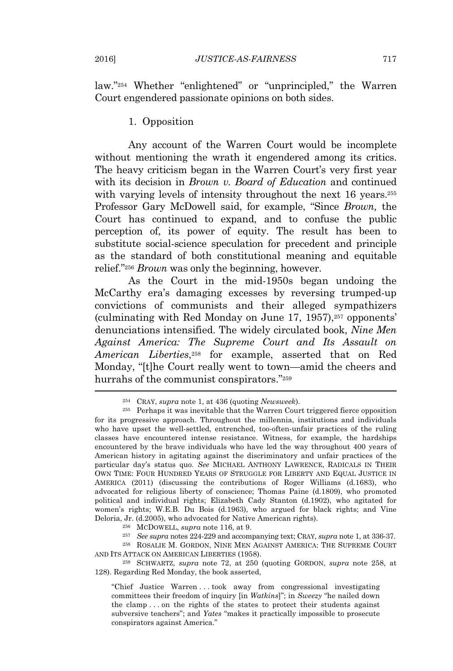law." <sup>254</sup> Whether "enlightened" or "unprincipled," the Warren Court engendered passionate opinions on both sides.

#### 1. Opposition

Any account of the Warren Court would be incomplete without mentioning the wrath it engendered among its critics. The heavy criticism began in the Warren Court's very first year with its decision in *Brown v. Board of Education* and continued with varying levels of intensity throughout the next 16 years.<sup>255</sup> Professor Gary McDowell said, for example, "Since *Brown,* the Court has continued to expand, and to confuse the public perception of, its power of equity. The result has been to substitute social-science speculation for precedent and principle as the standard of both constitutional meaning and equitable relief." <sup>256</sup> *Brown* was only the beginning, however.

As the Court in the mid-1950s began undoing the McCarthy era's damaging excesses by reversing trumped-up convictions of communists and their alleged sympathizers (culminating with Red Monday on June  $17, 1957$ ),<sup>257</sup> opponents' denunciations intensified. The widely circulated book, *Nine Men Against America: The Supreme Court and Its Assault on American Liberties*, <sup>258</sup> for example, asserted that on Red Monday, "[t]he Court really went to town—amid the cheers and hurrahs of the communist conspirators."<sup>259</sup>

<sup>257</sup> *See supra* notes 224-229 and accompanying text; CRAY, *supra* note 1, at 336-37.

 $^{258}$  ROSALIE M. GORDON, NINE MEN AGAINST AMERICA: THE SUPREME COURT AND ITS ATTACK ON AMERICAN LIBERTIES (1958).

<sup>259</sup> SCHWARTZ, *supra* note 72, at 250 (quoting GORDON, *supra* note 258, at 128). Regarding Red Monday, the book asserted,

"Chief Justice Warren . . . took away from congressional investigating committees their freedom of inquiry [in *Watkins*]"; in *Sweezy* "he nailed down the clamp . . . on the rights of the states to protect their students against subversive teachers"; and *Yates* "makes it practically impossible to prosecute conspirators against America."

<sup>254</sup> CRAY, *supra* note 1, at 436 (quoting *Newsweek*).

<sup>255</sup> Perhaps it was inevitable that the Warren Court triggered fierce opposition for its progressive approach. Throughout the millennia, institutions and individuals who have upset the well-settled, entrenched, too-often-unfair practices of the ruling classes have encountered intense resistance. Witness, for example, the hardships encountered by the brave individuals who have led the way throughout 400 years of American history in agitating against the discriminatory and unfair practices of the particular day's status quo. *See* MICHAEL ANTHONY LAWRENCE, RADICALS IN THEIR OWN TIME: FOUR HUNDRED YEARS OF STRUGGLE FOR LIBERTY AND EQUAL JUSTICE IN AMERICA (2011) (discussing the contributions of Roger Williams (d.1683), who advocated for religious liberty of conscience; Thomas Paine (d.1809), who promoted political and individual rights; Elizabeth Cady Stanton (d.1902), who agitated for women's rights; W.E.B. Du Bois (d.1963), who argued for black rights; and Vine Deloria, Jr. (d.2005), who advocated for Native American rights).

<sup>256</sup> MCDOWELL, *supra* note 116, at 9.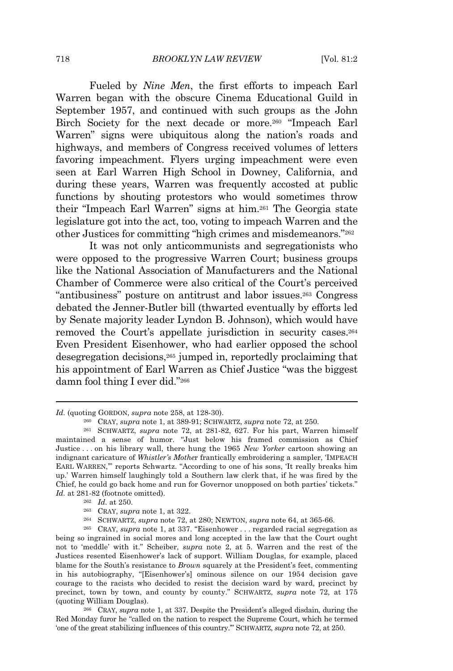Fueled by *Nine Men*, the first efforts to impeach Earl Warren began with the obscure Cinema Educational Guild in September 1957, and continued with such groups as the John Birch Society for the next decade or more.<sup>260</sup> "Impeach Earl Warren" signs were ubiquitous along the nation's roads and highways, and members of Congress received volumes of letters favoring impeachment. Flyers urging impeachment were even seen at Earl Warren High School in Downey, California, and during these years, Warren was frequently accosted at public functions by shouting protestors who would sometimes throw their "Impeach Earl Warren" signs at him.<sup>261</sup> The Georgia state legislature got into the act, too, voting to impeach Warren and the other Justices for committing "high crimes and misdemeanors." 262

It was not only anticommunists and segregationists who were opposed to the progressive Warren Court; business groups like the National Association of Manufacturers and the National Chamber of Commerce were also critical of the Court's perceived "antibusiness" posture on antitrust and labor issues.<sup>263</sup> Congress debated the Jenner-Butler bill (thwarted eventually by efforts led by Senate majority leader Lyndon B. Johnson), which would have removed the Court's appellate jurisdiction in security cases.<sup>264</sup> Even President Eisenhower, who had earlier opposed the school desegregation decisions,<sup>265</sup> jumped in, reportedly proclaiming that his appointment of Earl Warren as Chief Justice "was the biggest damn fool thing I ever did." 266

<sup>264</sup> SCHWARTZ, *supra* note 72, at 280; NEWTON, *supra* note 64, at 365-66.

*Id.* (quoting GORDON, *supra* note 258, at 128-30).

<sup>260</sup> CRAY, *supra* note 1, at 389-91; SCHWARTZ, *supra* note 72, at 250.

<sup>261</sup> SCHWARTZ, *supra* note 72, at 281-82, 627. For his part, Warren himself maintained a sense of humor. "Just below his framed commission as Chief Justice . . . on his library wall, there hung the 1965 *New Yorker* cartoon showing an indignant caricature of *Whistler's Mothe*r frantically embroidering a sampler, 'IMPEACH EARL WARREN,'" reports Schwartz. "According to one of his sons, 'It really breaks him up.' Warren himself laughingly told a Southern law clerk that, if he was fired by the Chief, he could go back home and run for Governor unopposed on both parties' tickets." *Id.* at 281-82 (footnote omitted).

<sup>262</sup> *Id.* at 250.

<sup>263</sup> CRAY, *supra* note 1, at 322.

<sup>265</sup> CRAY, *supra* note 1, at 337. "Eisenhower . . . regarded racial segregation as being so ingrained in social mores and long accepted in the law that the Court ought not to 'meddle' with it." Scheiber, *supra* note 2, at 5. Warren and the rest of the Justices resented Eisenhower's lack of support. William Douglas, for example, placed blame for the South's resistance to *Brown* squarely at the President's feet, commenting in his autobiography, "[Eisenhower's] ominous silence on our 1954 decision gave courage to the racists who decided to resist the decision ward by ward, precinct by precinct, town by town, and county by county." SCHWARTZ, *supra* note 72, at 175 (quoting William Douglas).

<sup>266</sup> CRAY, *supra* note 1, at 337. Despite the President's alleged disdain, during the Red Monday furor he "called on the nation to respect the Supreme Court, which he termed 'one of the great stabilizing influences of this country.'" SCHWARTZ, *supra* note 72, at 250.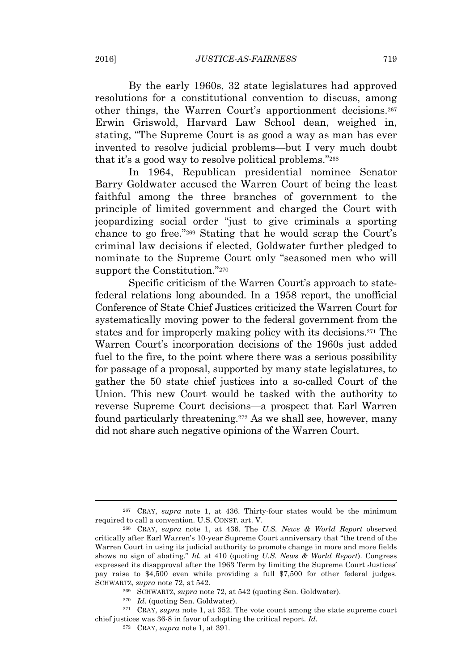By the early 1960s, 32 state legislatures had approved resolutions for a constitutional convention to discuss, among other things, the Warren Court's apportionment decisions.<sup>267</sup> Erwin Griswold, Harvard Law School dean, weighed in, stating, "The Supreme Court is as good a way as man has ever invented to resolve judicial problems—but I very much doubt that it's a good way to resolve political problems." 268

In 1964, Republican presidential nominee Senator Barry Goldwater accused the Warren Court of being the least faithful among the three branches of government to the principle of limited government and charged the Court with jeopardizing social order "just to give criminals a sporting chance to go free." <sup>269</sup> Stating that he would scrap the Court's criminal law decisions if elected, Goldwater further pledged to nominate to the Supreme Court only "seasoned men who will support the Constitution." 270

Specific criticism of the Warren Court's approach to statefederal relations long abounded. In a 1958 report, the unofficial Conference of State Chief Justices criticized the Warren Court for systematically moving power to the federal government from the states and for improperly making policy with its decisions.<sup>271</sup> The Warren Court's incorporation decisions of the 1960s just added fuel to the fire, to the point where there was a serious possibility for passage of a proposal, supported by many state legislatures, to gather the 50 state chief justices into a so-called Court of the Union. This new Court would be tasked with the authority to reverse Supreme Court decisions—a prospect that Earl Warren found particularly threatening.<sup>272</sup> As we shall see, however, many did not share such negative opinions of the Warren Court.

<sup>267</sup> CRAY, *supra* note 1, at 436. Thirty-four states would be the minimum required to call a convention. U.S. CONST. art. V.

<sup>268</sup> CRAY, *supra* note 1, at 436. The *U.S. News & World Report* observed critically after Earl Warren's 10-year Supreme Court anniversary that "the trend of the Warren Court in using its judicial authority to promote change in more and more fields shows no sign of abating." *Id.* at 410 (quoting *U.S. News & World Report*). Congress expressed its disapproval after the 1963 Term by limiting the Supreme Court Justices' pay raise to \$4,500 even while providing a full \$7,500 for other federal judges. SCHWARTZ, *supra* note 72, at 542.

<sup>269</sup> SCHWARTZ, *supra* note 72, at 542 (quoting Sen. Goldwater).

<sup>270</sup> *Id.* (quoting Sen. Goldwater).

<sup>271</sup> CRAY, *supra* note 1, at 352. The vote count among the state supreme court chief justices was 36-8 in favor of adopting the critical report. *Id.*

<sup>272</sup> CRAY, *supra* note 1, at 391.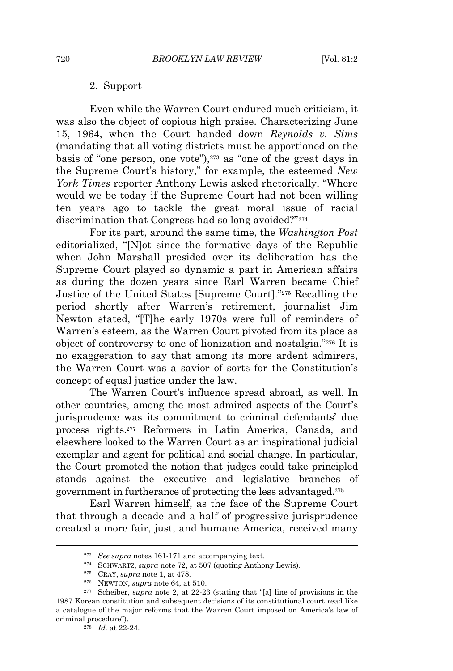#### 2. Support

Even while the Warren Court endured much criticism, it was also the object of copious high praise. Characterizing June 15, 1964, when the Court handed down *Reynolds v. Sims* (mandating that all voting districts must be apportioned on the basis of "one person, one vote"),<sup>273</sup> as "one of the great days in the Supreme Court's history," for example, the esteemed *New York Times* reporter Anthony Lewis asked rhetorically, "Where would we be today if the Supreme Court had not been willing ten years ago to tackle the great moral issue of racial discrimination that Congress had so long avoided?" 274

For its part, around the same time, the *Washington Post* editorialized, "[N]ot since the formative days of the Republic when John Marshall presided over its deliberation has the Supreme Court played so dynamic a part in American affairs as during the dozen years since Earl Warren became Chief Justice of the United States [Supreme Court]." <sup>275</sup> Recalling the period shortly after Warren's retirement, journalist Jim Newton stated, "[T]he early 1970s were full of reminders of Warren's esteem, as the Warren Court pivoted from its place as object of controversy to one of lionization and nostalgia." <sup>276</sup> It is no exaggeration to say that among its more ardent admirers, the Warren Court was a savior of sorts for the Constitution's concept of equal justice under the law.

The Warren Court's influence spread abroad, as well. In other countries, among the most admired aspects of the Court's jurisprudence was its commitment to criminal defendants' due process rights.<sup>277</sup> Reformers in Latin America, Canada, and elsewhere looked to the Warren Court as an inspirational judicial exemplar and agent for political and social change. In particular, the Court promoted the notion that judges could take principled stands against the executive and legislative branches of government in furtherance of protecting the less advantaged.<sup>278</sup>

Earl Warren himself, as the face of the Supreme Court that through a decade and a half of progressive jurisprudence created a more fair, just, and humane America, received many

<sup>273</sup> *See supra* notes 161-171 and accompanying text.

<sup>274</sup> SCHWARTZ, *supra* note 72, at 507 (quoting Anthony Lewis).

<sup>275</sup> CRAY, *supra* note 1, at 478.

<sup>276</sup> NEWTON, *supra* note 64, at 510.

<sup>277</sup> Scheiber, *supra* note 2, at 22-23 (stating that "[a] line of provisions in the 1987 Korean constitution and subsequent decisions of its constitutional court read like a catalogue of the major reforms that the Warren Court imposed on America's law of criminal procedure").

<sup>278</sup> *Id.* at 22-24.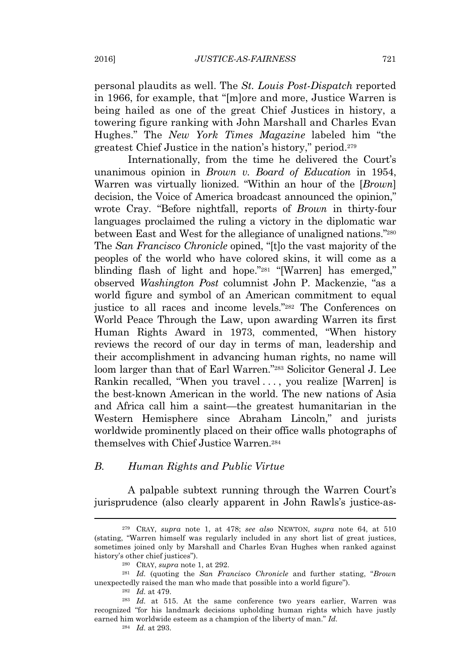personal plaudits as well. The *St. Louis Post-Dispatch* reported in 1966, for example, that "[m]ore and more, Justice Warren is being hailed as one of the great Chief Justices in history, a towering figure ranking with John Marshall and Charles Evan Hughes." The *New York Times Magazine* labeled him "the greatest Chief Justice in the nation's history," period.<sup>279</sup>

Internationally, from the time he delivered the Court's unanimous opinion in *Brown v. Board of Education* in 1954, Warren was virtually lionized. "Within an hour of the [*Brown*] decision, the Voice of America broadcast announced the opinion," wrote Cray. "Before nightfall, reports of *Brown* in thirty-four languages proclaimed the ruling a victory in the diplomatic war between East and West for the allegiance of unaligned nations." 280 The *San Francisco Chronicle* opined, "[t]o the vast majority of the peoples of the world who have colored skins, it will come as a blinding flash of light and hope."<sup>281</sup> "[Warren] has emerged," observed *Washington Post* columnist John P. Mackenzie, "as a world figure and symbol of an American commitment to equal justice to all races and income levels." <sup>282</sup> The Conferences on World Peace Through the Law, upon awarding Warren its first Human Rights Award in 1973, commented, "When history reviews the record of our day in terms of man, leadership and their accomplishment in advancing human rights, no name will loom larger than that of Earl Warren." <sup>283</sup> Solicitor General J. Lee Rankin recalled, "When you travel . . . , you realize [Warren] is the best-known American in the world. The new nations of Asia and Africa call him a saint—the greatest humanitarian in the Western Hemisphere since Abraham Lincoln," and jurists worldwide prominently placed on their office walls photographs of themselves with Chief Justice Warren.<sup>284</sup>

#### *B. Human Rights and Public Virtue*

A palpable subtext running through the Warren Court's jurisprudence (also clearly apparent in John Rawls's justice-as-

<sup>284</sup> *Id.* at 293.

<sup>279</sup> CRAY, *supra* note 1, at 478; *see also* NEWTON, *supra* note 64, at 510 (stating, "Warren himself was regularly included in any short list of great justices, sometimes joined only by Marshall and Charles Evan Hughes when ranked against history's other chief justices").

<sup>280</sup> CRAY, *supra* note 1, at 292.

<sup>281</sup> *Id.* (quoting the *San Francisco Chronicle* and further stating, "*Brown* unexpectedly raised the man who made that possible into a world figure").

<sup>282</sup> *Id.* at 479.

<sup>283</sup> *Id.* at 515. At the same conference two years earlier, Warren was recognized "for his landmark decisions upholding human rights which have justly earned him worldwide esteem as a champion of the liberty of man." *Id.*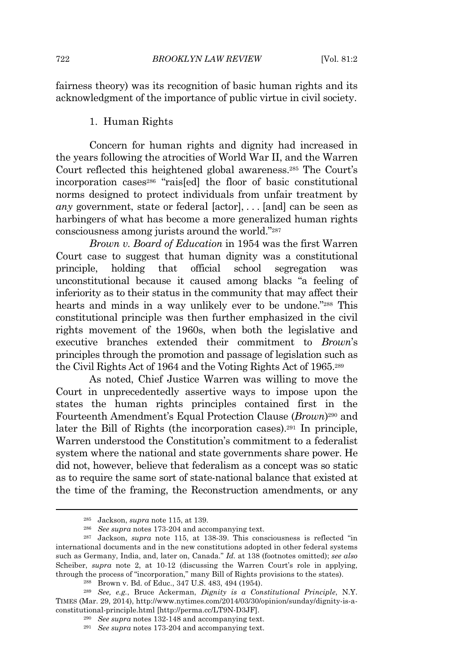fairness theory) was its recognition of basic human rights and its acknowledgment of the importance of public virtue in civil society.

#### 1. Human Rights

Concern for human rights and dignity had increased in the years following the atrocities of World War II, and the Warren Court reflected this heightened global awareness.<sup>285</sup> The Court's incorporation cases<sup>286</sup> "rais[ed] the floor of basic constitutional norms designed to protect individuals from unfair treatment by *any* government, state or federal [actor], . . . [and] can be seen as harbingers of what has become a more generalized human rights consciousness among jurists around the world." 287

*Brown v. Board of Education* in 1954 was the first Warren Court case to suggest that human dignity was a constitutional principle, holding that official school segregation was unconstitutional because it caused among blacks "a feeling of inferiority as to their status in the community that may affect their hearts and minds in a way unlikely ever to be undone." <sup>288</sup> This constitutional principle was then further emphasized in the civil rights movement of the 1960s, when both the legislative and executive branches extended their commitment to *Brown*'s principles through the promotion and passage of legislation such as the Civil Rights Act of 1964 and the Voting Rights Act of 1965.<sup>289</sup>

As noted, Chief Justice Warren was willing to move the Court in unprecedentedly assertive ways to impose upon the states the human rights principles contained first in the Fourteenth Amendment's Equal Protection Clause (*Brown*) <sup>290</sup> and later the Bill of Rights (the incorporation cases).<sup>291</sup> In principle, Warren understood the Constitution's commitment to a federalist system where the national and state governments share power. He did not, however, believe that federalism as a concept was so static as to require the same sort of state-national balance that existed at the time of the framing, the Reconstruction amendments, or any

<sup>285</sup> Jackson, *supra* note 115, at 139.

<sup>286</sup> *See supra* notes 173-204 and accompanying text.

<sup>287</sup> Jackson, *supra* note 115, at 138-39. This consciousness is reflected "in international documents and in the new constitutions adopted in other federal systems such as Germany, India, and, later on, Canada." *Id.* at 138 (footnotes omitted); *see also* Scheiber, *supra* note 2, at 10-12 (discussing the Warren Court's role in applying, through the process of "incorporation," many Bill of Rights provisions to the states).

<sup>288</sup> Brown v. Bd. of Educ., 347 U.S. 483, 494 (1954).

<sup>289</sup> *See, e.g.*, Bruce Ackerman, *Dignity is a Constitutional Principle*, N.Y. TIMES (Mar. 29, 2014), http://www.nytimes.com/2014/03/30/opinion/sunday/dignity-is-aconstitutional-principle.html [http://perma.cc/LT9N-D3JF].

<sup>290</sup> *See supra* notes 132-148 and accompanying text.

<sup>291</sup> *See supra* notes 173-204 and accompanying text.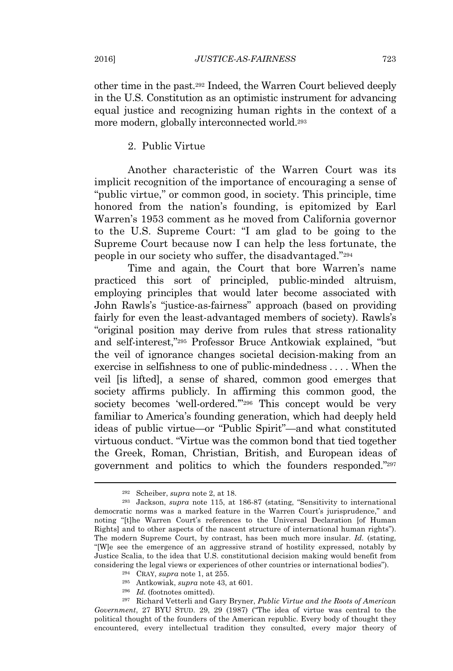other time in the past.<sup>292</sup> Indeed, the Warren Court believed deeply in the U.S. Constitution as an optimistic instrument for advancing equal justice and recognizing human rights in the context of a more modern, globally interconnected world.<sup>293</sup>

2. Public Virtue

Another characteristic of the Warren Court was its implicit recognition of the importance of encouraging a sense of "public virtue," or common good, in society. This principle, time honored from the nation's founding, is epitomized by Earl Warren's 1953 comment as he moved from California governor to the U.S. Supreme Court: "I am glad to be going to the Supreme Court because now I can help the less fortunate, the people in our society who suffer, the disadvantaged." 294

Time and again, the Court that bore Warren's name practiced this sort of principled, public-minded altruism, employing principles that would later become associated with John Rawls's "justice-as-fairness" approach (based on providing fairly for even the least-advantaged members of society). Rawls's "original position may derive from rules that stress rationality and self-interest," <sup>295</sup> Professor Bruce Antkowiak explained, "but the veil of ignorance changes societal decision-making from an exercise in selfishness to one of public-mindedness . . . . When the veil [is lifted], a sense of shared, common good emerges that society affirms publicly. In affirming this common good, the society becomes 'well-ordered."<sup>296</sup> This concept would be very familiar to America's founding generation, which had deeply held ideas of public virtue—or "Public Spirit"—and what constituted virtuous conduct. "Virtue was the common bond that tied together the Greek, Roman, Christian, British, and European ideas of government and politics to which the founders responded." 297

<sup>292</sup> Scheiber, *supra* note 2, at 18.

<sup>293</sup> Jackson, *supra* note 115, at 186-87 (stating, "Sensitivity to international democratic norms was a marked feature in the Warren Court's jurisprudence," and noting "[t]he Warren Court's references to the Universal Declaration [of Human Rights] and to other aspects of the nascent structure of international human rights"). The modern Supreme Court, by contrast, has been much more insular. *Id.* (stating, "[W]e see the emergence of an aggressive strand of hostility expressed, notably by Justice Scalia, to the idea that U.S. constitutional decision making would benefit from considering the legal views or experiences of other countries or international bodies").

<sup>294</sup> CRAY, *supra* note 1, at 255.

<sup>295</sup> Antkowiak, *supra* note 43, at 601.

<sup>296</sup> *Id.* (footnotes omitted).

<sup>297</sup> Richard Vetterli and Gary Bryner, *Public Virtue and the Roots of American Government*, 27 BYU STUD. 29, 29 (1987) ("The idea of virtue was central to the political thought of the founders of the American republic. Every body of thought they encountered, every intellectual tradition they consulted, every major theory of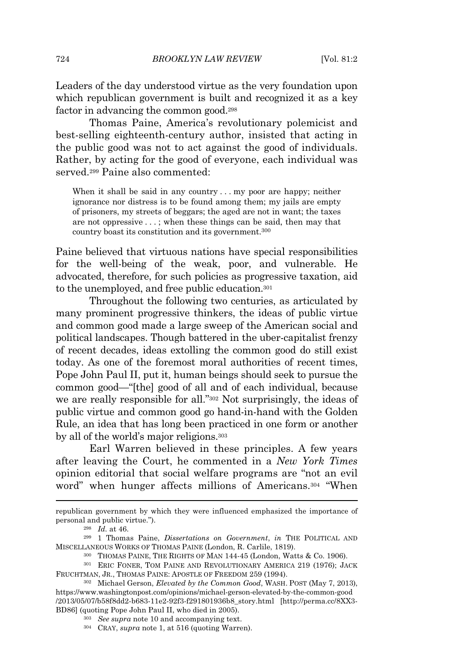Leaders of the day understood virtue as the very foundation upon which republican government is built and recognized it as a key factor in advancing the common good.<sup>298</sup>

Thomas Paine, America's revolutionary polemicist and best-selling eighteenth-century author, insisted that acting in the public good was not to act against the good of individuals. Rather, by acting for the good of everyone, each individual was served.<sup>299</sup> Paine also commented:

When it shall be said in any country . . . my poor are happy; neither ignorance nor distress is to be found among them; my jails are empty of prisoners, my streets of beggars; the aged are not in want; the taxes are not oppressive . . . ; when these things can be said, then may that country boast its constitution and its government.<sup>300</sup>

Paine believed that virtuous nations have special responsibilities for the well-being of the weak, poor, and vulnerable. He advocated, therefore, for such policies as progressive taxation, aid to the unemployed, and free public education.<sup>301</sup>

Throughout the following two centuries, as articulated by many prominent progressive thinkers, the ideas of public virtue and common good made a large sweep of the American social and political landscapes. Though battered in the uber-capitalist frenzy of recent decades, ideas extolling the common good do still exist today. As one of the foremost moral authorities of recent times, Pope John Paul II, put it, human beings should seek to pursue the common good—"[the] good of all and of each individual, because we are really responsible for all." <sup>302</sup> Not surprisingly, the ideas of public virtue and common good go hand-in-hand with the Golden Rule, an idea that has long been practiced in one form or another by all of the world's major religions.<sup>303</sup>

Earl Warren believed in these principles. A few years after leaving the Court, he commented in a *New York Times* opinion editorial that social welfare programs are "not an evil word" when hunger affects millions of Americans.<sup>304</sup> "When

republican government by which they were influenced emphasized the importance of personal and public virtue.").

<sup>298</sup> *Id.* at 46.

<sup>299</sup> 1 Thomas Paine, *Dissertations on Government*, *in* THE POLITICAL AND MISCELLANEOUS WORKS OF THOMAS PAINE (London, R. Carlile, 1819).

<sup>300</sup> THOMAS PAINE, THE RIGHTS OF MAN 144-45 (London, Watts & Co. 1906).

<sup>301</sup> ERIC FONER, TOM PAINE AND REVOLUTIONARY AMERICA 219 (1976); JACK FRUCHTMAN, JR., THOMAS PAINE: APOSTLE OF FREEDOM 259 (1994).

<sup>302</sup> Michael Gerson, *Elevated by the Common Good*, WASH. POST (May 7, 2013), https://www.washingtonpost.com/opinions/michael-gerson-elevated-by-the-common-good /2013/05/07/b58f8dd2-b683-11e2-92f3-f291801936b8\_story.html [http://perma.cc/8XX3- BD86] (quoting Pope John Paul II, who died in 2005).

<sup>303</sup> *See supra* note 10 and accompanying text.

<sup>304</sup> CRAY, *supra* note 1, at 516 (quoting Warren).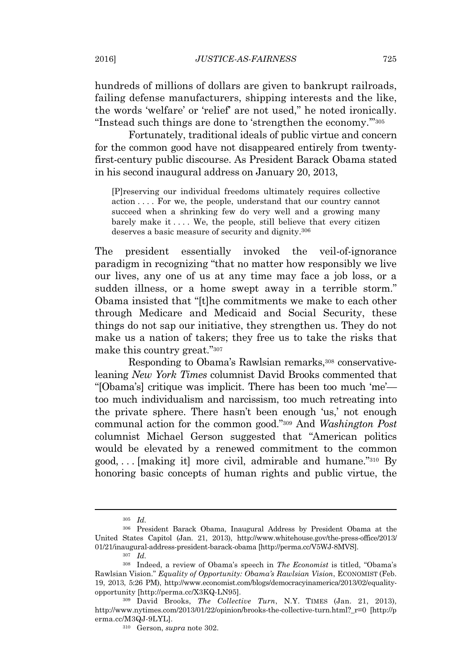hundreds of millions of dollars are given to bankrupt railroads, failing defense manufacturers, shipping interests and the like, the words 'welfare' or 'relief' are not used," he noted ironically. "Instead such things are done to 'strengthen the economy.'" 305

Fortunately, traditional ideals of public virtue and concern for the common good have not disappeared entirely from twentyfirst-century public discourse. As President Barack Obama stated in his second inaugural address on January 20, 2013,

[P]reserving our individual freedoms ultimately requires collective action . . . . For we, the people, understand that our country cannot succeed when a shrinking few do very well and a growing many barely make it  $\dots$ . We, the people, still believe that every citizen deserves a basic measure of security and dignity.<sup>306</sup>

The president essentially invoked the veil-of-ignorance paradigm in recognizing "that no matter how responsibly we live our lives, any one of us at any time may face a job loss, or a sudden illness, or a home swept away in a terrible storm." Obama insisted that "[t]he commitments we make to each other through Medicare and Medicaid and Social Security, these things do not sap our initiative, they strengthen us. They do not make us a nation of takers; they free us to take the risks that make this country great." 307

Responding to Obama's Rawlsian remarks,<sup>308</sup> conservativeleaning *New York Times* columnist David Brooks commented that "[Obama's] critique was implicit. There has been too much 'me' too much individualism and narcissism, too much retreating into the private sphere. There hasn't been enough 'us,' not enough communal action for the common good." <sup>309</sup> And *Washington Post* columnist Michael Gerson suggested that "American politics would be elevated by a renewed commitment to the common good, . . . [making it] more civil, admirable and humane." <sup>310</sup> By honoring basic concepts of human rights and public virtue, the

<sup>305</sup> *Id.*

<sup>306</sup> President Barack Obama, Inaugural Address by President Obama at the United States Capitol (Jan. 21, 2013), http://www.whitehouse.gov/the-press-office/2013/ 01/21/inaugural-address-president-barack-obama [http://perma.cc/V5WJ-8MVS].

<sup>307</sup> *Id.*

<sup>308</sup> Indeed, a review of Obama's speech in *The Economist* is titled, "Obama's Rawlsian Vision." *Equality of Opportunity: Obama's Rawlsian Vision*, ECONOMIST (Feb. 19, 2013, 5:26 PM), http://www.economist.com/blogs/democracyinamerica/2013/02/equalityopportunity [http://perma.cc/X3KQ-LN95].

<sup>309</sup> David Brooks, *The Collective Turn*, N.Y. TIMES (Jan. 21, 2013), http://www.nytimes.com/2013/01/22/opinion/brooks-the-collective-turn.html?\_r=0 [http://p erma.cc/M3QJ-9LYL].

<sup>310</sup> Gerson, *supra* note 302.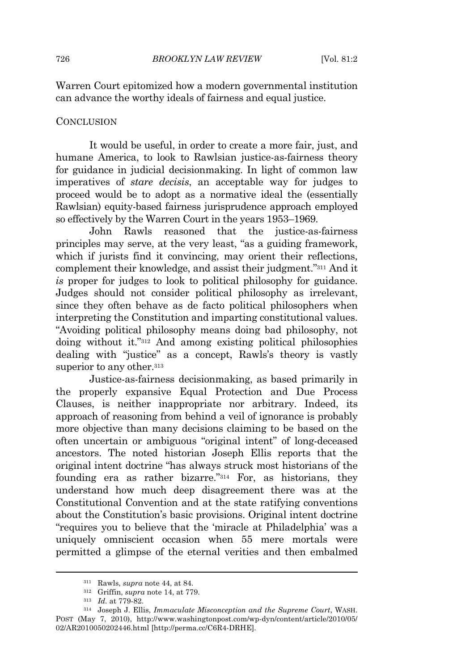Warren Court epitomized how a modern governmental institution can advance the worthy ideals of fairness and equal justice.

#### **CONCLUSION**

It would be useful, in order to create a more fair, just, and humane America, to look to Rawlsian justice-as-fairness theory for guidance in judicial decisionmaking. In light of common law imperatives of *stare decisis*, an acceptable way for judges to proceed would be to adopt as a normative ideal the (essentially Rawlsian) equity-based fairness jurisprudence approach employed so effectively by the Warren Court in the years 1953–1969.

John Rawls reasoned that the justice-as-fairness principles may serve, at the very least, "as a guiding framework, which if jurists find it convincing, may orient their reflections, complement their knowledge, and assist their judgment." <sup>311</sup> And it *is* proper for judges to look to political philosophy for guidance. Judges should not consider political philosophy as irrelevant, since they often behave as de facto political philosophers when interpreting the Constitution and imparting constitutional values. "Avoiding political philosophy means doing bad philosophy, not doing without it." <sup>312</sup> And among existing political philosophies dealing with "justice" as a concept, Rawls's theory is vastly superior to any other.<sup>313</sup>

Justice-as-fairness decisionmaking, as based primarily in the properly expansive Equal Protection and Due Process Clauses, is neither inappropriate nor arbitrary. Indeed, its approach of reasoning from behind a veil of ignorance is probably more objective than many decisions claiming to be based on the often uncertain or ambiguous "original intent" of long-deceased ancestors. The noted historian Joseph Ellis reports that the original intent doctrine "has always struck most historians of the founding era as rather bizarre." <sup>314</sup> For, as historians, they understand how much deep disagreement there was at the Constitutional Convention and at the state ratifying conventions about the Constitution's basic provisions. Original intent doctrine "requires you to believe that the 'miracle at Philadelphia' was a uniquely omniscient occasion when 55 mere mortals were permitted a glimpse of the eternal verities and then embalmed

<sup>311</sup> Rawls, *supra* note 44, at 84*.*

<sup>312</sup> Griffin, *supra* note 14, at 779.

<sup>313</sup> *Id.* at 779-82.

<sup>314</sup> Joseph J. Ellis, *Immaculate Misconception and the Supreme Court*, WASH. POST (May 7, 2010), http://www.washingtonpost.com/wp-dyn/content/article/2010/05/ 02/AR2010050202446.html [http://perma.cc/C6R4-DRHE].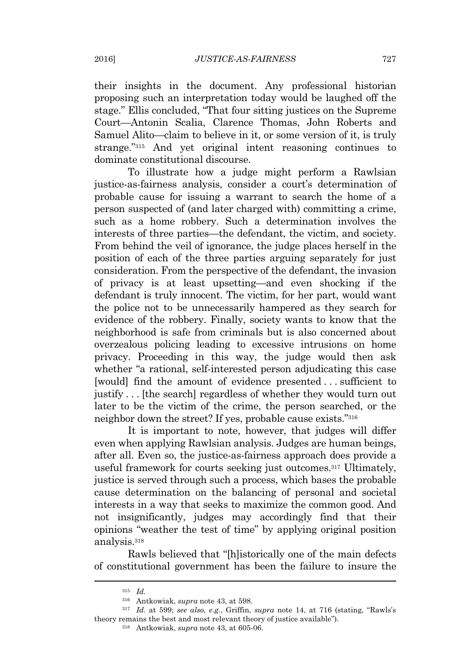their insights in the document. Any professional historian proposing such an interpretation today would be laughed off the stage." Ellis concluded, "That four sitting justices on the Supreme Court—Antonin Scalia, Clarence Thomas, John Roberts and Samuel Alito—claim to believe in it, or some version of it, is truly strange." <sup>315</sup> And yet original intent reasoning continues to dominate constitutional discourse.

To illustrate how a judge might perform a Rawlsian justice-as-fairness analysis, consider a court's determination of probable cause for issuing a warrant to search the home of a person suspected of (and later charged with) committing a crime, such as a home robbery. Such a determination involves the interests of three parties—the defendant, the victim, and society. From behind the veil of ignorance, the judge places herself in the position of each of the three parties arguing separately for just consideration. From the perspective of the defendant, the invasion of privacy is at least upsetting—and even shocking if the defendant is truly innocent. The victim, for her part, would want the police not to be unnecessarily hampered as they search for evidence of the robbery. Finally, society wants to know that the neighborhood is safe from criminals but is also concerned about overzealous policing leading to excessive intrusions on home privacy. Proceeding in this way, the judge would then ask whether "a rational, self-interested person adjudicating this case [would] find the amount of evidence presented . . . sufficient to justify . . . [the search] regardless of whether they would turn out later to be the victim of the crime, the person searched, or the neighbor down the street? If yes, probable cause exists." 316

It is important to note, however, that judges will differ even when applying Rawlsian analysis. Judges are human beings, after all. Even so, the justice-as-fairness approach does provide a useful framework for courts seeking just outcomes.<sup>317</sup> Ultimately, justice is served through such a process, which bases the probable cause determination on the balancing of personal and societal interests in a way that seeks to maximize the common good. And not insignificantly, judges may accordingly find that their opinions "weather the test of time" by applying original position analysis.<sup>318</sup>

Rawls believed that "[h]istorically one of the main defects of constitutional government has been the failure to insure the

<sup>315</sup> *Id.*

<sup>316</sup> Antkowiak, *supra* note 43, at 598.

<sup>317</sup> *Id.* at 599; *see also, e.g.*, Griffin, *supra* note 14, at 716 (stating, "Rawls's theory remains the best and most relevant theory of justice available").

<sup>318</sup> Antkowiak, *supra* note 43, at 605-06.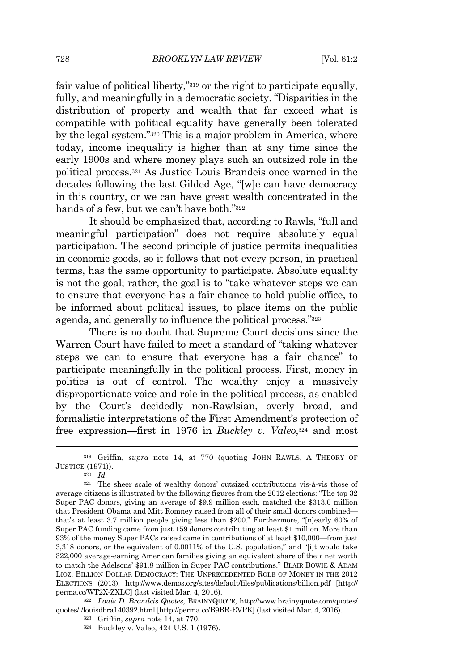fair value of political liberty," <sup>319</sup> or the right to participate equally, fully, and meaningfully in a democratic society. "Disparities in the distribution of property and wealth that far exceed what is compatible with political equality have generally been tolerated by the legal system." <sup>320</sup> This is a major problem in America, where today, income inequality is higher than at any time since the early 1900s and where money plays such an outsized role in the political process.<sup>321</sup> As Justice Louis Brandeis once warned in the decades following the last Gilded Age, "[w]e can have democracy in this country, or we can have great wealth concentrated in the hands of a few, but we can't have both." 322

It should be emphasized that, according to Rawls, "full and meaningful participation" does not require absolutely equal participation. The second principle of justice permits inequalities in economic goods, so it follows that not every person, in practical terms, has the same opportunity to participate. Absolute equality is not the goal; rather, the goal is to "take whatever steps we can to ensure that everyone has a fair chance to hold public office, to be informed about political issues, to place items on the public agenda, and generally to influence the political process." 323

There is no doubt that Supreme Court decisions since the Warren Court have failed to meet a standard of "taking whatever steps we can to ensure that everyone has a fair chance" to participate meaningfully in the political process. First, money in politics is out of control. The wealthy enjoy a massively disproportionate voice and role in the political process, as enabled by the Court's decidedly non-Rawlsian, overly broad, and formalistic interpretations of the First Amendment's protection of free expression—first in 1976 in *Buckley v. Valeo*, <sup>324</sup> and most

<sup>320</sup> *Id.*

<sup>322</sup> *Louis D. Brandeis Quotes*, BRAINYQUOTE, http://www.brainyquote.com/quotes/ quotes/l/louisdbra140392.html [http://perma.cc/B9BR-EVPK] (last visited Mar. 4, 2016).

<sup>319</sup> Griffin, *supra* note 14, at 770 (quoting JOHN RAWLS, A THEORY OF JUSTICE (1971)).

<sup>321</sup> The sheer scale of wealthy donors' outsized contributions vis-à-vis those of average citizens is illustrated by the following figures from the 2012 elections: "The top 32 Super PAC donors, giving an average of \$9.9 million each, matched the \$313.0 million that President Obama and Mitt Romney raised from all of their small donors combined that's at least 3.7 million people giving less than \$200." Furthermore, "[n]early 60% of Super PAC funding came from just 159 donors contributing at least \$1 million. More than 93% of the money Super PACs raised came in contributions of at least \$10,000—from just 3,318 donors, or the equivalent of 0.0011% of the U.S. population," and "[i]t would take 322,000 average-earning American families giving an equivalent share of their net worth to match the Adelsons' \$91.8 million in Super PAC contributions." BLAIR BOWIE & ADAM LIOZ, BILLION DOLLAR DEMOCRACY: THE UNPRECEDENTED ROLE OF MONEY IN THE 2012 ELECTIONS (2013), http://www.demos.org/sites/default/files/publications/billion.pdf [http:// perma.cc/WT2X-ZXLC] (last visited Mar. 4, 2016).

<sup>323</sup> Griffin, *supra* note 14, at 770.

<sup>324</sup> Buckley v. Valeo, 424 U.S. 1 (1976).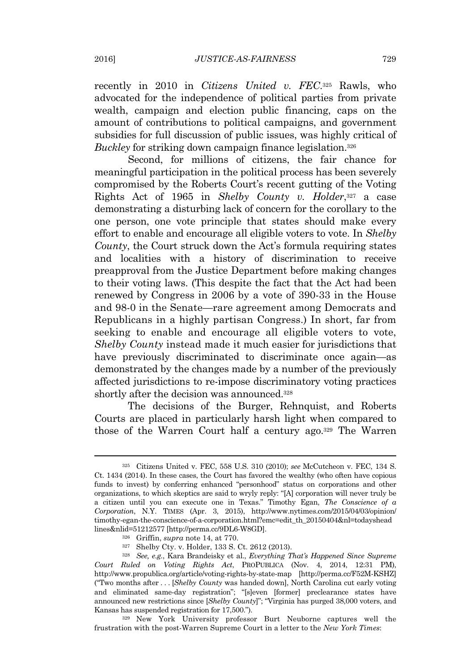recently in 2010 in *Citizens United v. FEC*. <sup>325</sup> Rawls, who advocated for the independence of political parties from private wealth, campaign and election public financing, caps on the amount of contributions to political campaigns, and government subsidies for full discussion of public issues, was highly critical of *Buckley* for striking down campaign finance legislation.<sup>326</sup>

Second, for millions of citizens, the fair chance for meaningful participation in the political process has been severely compromised by the Roberts Court's recent gutting of the Voting Rights Act of 1965 in *Shelby County v. Holder*, <sup>327</sup> a case demonstrating a disturbing lack of concern for the corollary to the one person, one vote principle that states should make every effort to enable and encourage all eligible voters to vote. In *Shelby County*, the Court struck down the Act's formula requiring states and localities with a history of discrimination to receive preapproval from the Justice Department before making changes to their voting laws. (This despite the fact that the Act had been renewed by Congress in 2006 by a vote of 390-33 in the House and 98-0 in the Senate—rare agreement among Democrats and Republicans in a highly partisan Congress.) In short, far from seeking to enable and encourage all eligible voters to vote, *Shelby County* instead made it much easier for jurisdictions that have previously discriminated to discriminate once again—as demonstrated by the changes made by a number of the previously affected jurisdictions to re-impose discriminatory voting practices shortly after the decision was announced.<sup>328</sup>

The decisions of the Burger, Rehnquist, and Roberts Courts are placed in particularly harsh light when compared to those of the Warren Court half a century ago.<sup>329</sup> The Warren

<sup>329</sup> New York University professor Burt Neuborne captures well the frustration with the post-Warren Supreme Court in a letter to the *New York Times*:

<sup>325</sup> Citizens United v. FEC, 558 U.S. 310 (2010); *see* McCutcheon v. FEC, 134 S. Ct. 1434 (2014). In these cases, the Court has favored the wealthy (who often have copious funds to invest) by conferring enhanced "personhood" status on corporations and other organizations, to which skeptics are said to wryly reply: "[A] corporation will never truly be a citizen until you can execute one in Texas." Timothy Egan, *The Conscience of a Corporation*, N.Y. TIMES (Apr. 3, 2015), http://www.nytimes.com/2015/04/03/opinion/ timothy-egan-the-conscience-of-a-corporation.html?emc=edit\_th\_20150404&nl=todayshead lines&nlid=51212577 [http://perma.cc/9DL6-W8GD].

<sup>326</sup> Griffin, *supra* note 14, at 770.

<sup>327</sup> Shelby Cty. v. Holder, 133 S. Ct. 2612 (2013).

<sup>328</sup> *See, e.g.*, Kara Brandeisky et al., *Everything That's Happened Since Supreme Court Ruled on Voting Rights Act*, PROPUBLICA (Nov. 4, 2014, 12:31 PM), http://www.propublica.org/article/voting-rights-by-state-map [http://perma.cc/F52M-KSHZ] ("Two months after . . . [*Shelby County* was handed down], North Carolina cut early voting and eliminated same-day registration"; "[s]even [former] preclearance states have announced new restrictions since [*Shelby County*]"; "Virginia has purged 38,000 voters, and Kansas has suspended registration for 17,500.").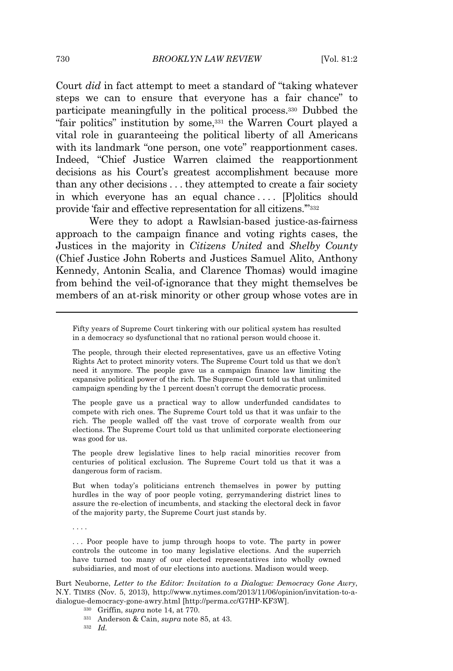Court *did* in fact attempt to meet a standard of "taking whatever steps we can to ensure that everyone has a fair chance" to participate meaningfully in the political process.<sup>330</sup> Dubbed the "fair politics" institution by some,<sup>331</sup> the Warren Court played a vital role in guaranteeing the political liberty of all Americans with its landmark "one person, one vote" reapportionment cases. Indeed, "Chief Justice Warren claimed the reapportionment decisions as his Court's greatest accomplishment because more than any other decisions . . . they attempted to create a fair society in which everyone has an equal chance .... [P]olitics should provide 'fair and effective representation for all citizens.'" 332

Were they to adopt a Rawlsian-based justice-as-fairness approach to the campaign finance and voting rights cases, the Justices in the majority in *Citizens United* and *Shelby County* (Chief Justice John Roberts and Justices Samuel Alito, Anthony Kennedy, Antonin Scalia, and Clarence Thomas) would imagine from behind the veil-of-ignorance that they might themselves be members of an at-risk minority or other group whose votes are in

The people gave us a practical way to allow underfunded candidates to compete with rich ones. The Supreme Court told us that it was unfair to the rich. The people walled off the vast trove of corporate wealth from our elections. The Supreme Court told us that unlimited corporate electioneering was good for us.

The people drew legislative lines to help racial minorities recover from centuries of political exclusion. The Supreme Court told us that it was a dangerous form of racism.

But when today's politicians entrench themselves in power by putting hurdles in the way of poor people voting, gerrymandering district lines to assure the re-election of incumbents, and stacking the electoral deck in favor of the majority party, the Supreme Court just stands by.

. . . .

... Poor people have to jump through hoops to vote. The party in power controls the outcome in too many legislative elections. And the superrich have turned too many of our elected representatives into wholly owned subsidiaries, and most of our elections into auctions. Madison would weep.

Burt Neuborne, *Letter to the Editor: Invitation to a Dialogue: Democracy Gone Awry*, N.Y. TIMES (Nov. 5, 2013), http://www.nytimes.com/2013/11/06/opinion/invitation-to-adialogue-democracy-gone-awry.html [http://perma.cc/G7HP-KF3W].

- <sup>330</sup> Griffin, *supra* note 14, at 770.
- <sup>331</sup> Anderson & Cain, *supra* note 85, at 43.
- <sup>332</sup> *Id.*

Fifty years of Supreme Court tinkering with our political system has resulted in a democracy so dysfunctional that no rational person would choose it.

The people, through their elected representatives, gave us an effective Voting Rights Act to protect minority voters. The Supreme Court told us that we don't need it anymore. The people gave us a campaign finance law limiting the expansive political power of the rich. The Supreme Court told us that unlimited campaign spending by the 1 percent doesn't corrupt the democratic process.